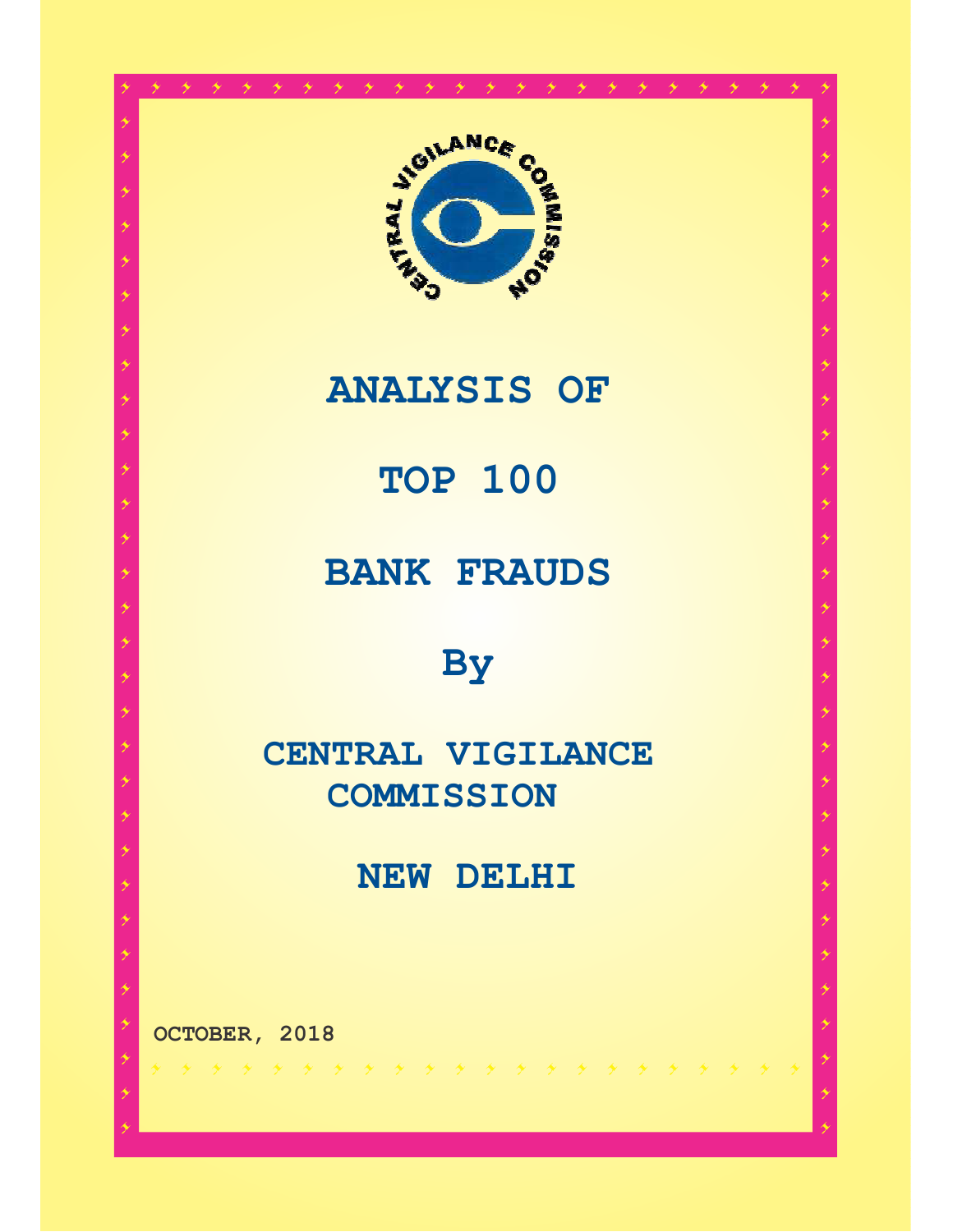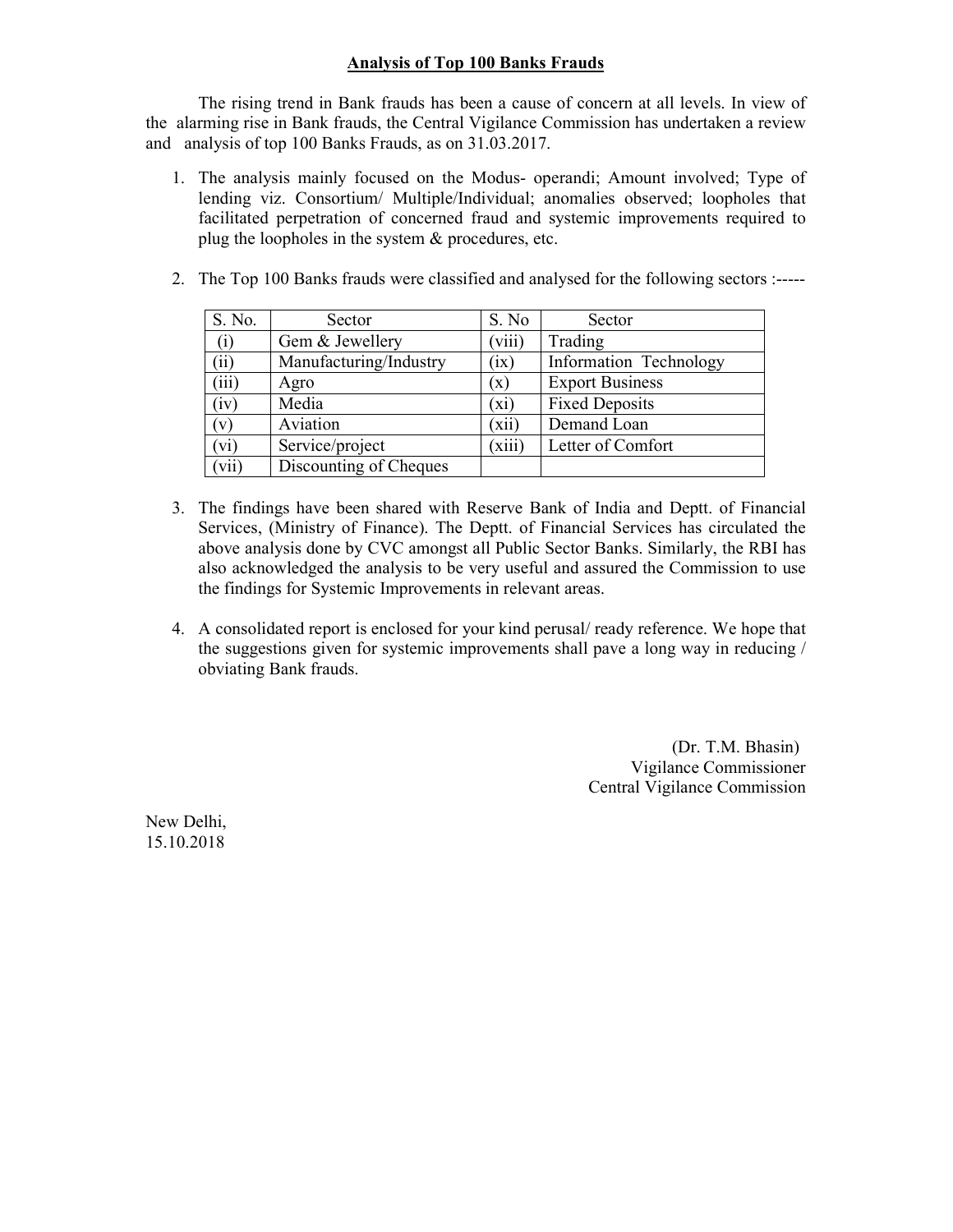#### **Analysis of Top 100 Banks Frauds**

 The rising trend in Bank frauds has been a cause of concern at all levels. In view of the alarming rise in Bank frauds, the Central Vigilance Commission has undertaken a review and analysis of top 100 Banks Frauds, as on 31.03.2017.

1. The analysis mainly focused on the Modus- operandi; Amount involved; Type of lending viz. Consortium/ Multiple/Individual; anomalies observed; loopholes that facilitated perpetration of concerned fraud and systemic improvements required to plug the loopholes in the system & procedures, etc.

| S. No. | Sector                 | S. No   | Sector                 |
|--------|------------------------|---------|------------------------|
| (i)    | Gem & Jewellery        | (viii)  | Trading                |
| (ii)   | Manufacturing/Industry | (ix)    | Information Technology |
| (iii)  | Agro                   | (x)     | <b>Export Business</b> |
| (iv)   | Media                  | $(x_i)$ | <b>Fixed Deposits</b>  |
| (v)    | Aviation               | (xii)   | Demand Loan            |
| (vi)   | Service/project        | (xiii)  | Letter of Comfort      |
| (vii)  | Discounting of Cheques |         |                        |

2. The Top 100 Banks frauds were classified and analysed for the following sectors :-----

- 3. The findings have been shared with Reserve Bank of India and Deptt. of Financial Services, (Ministry of Finance). The Deptt. of Financial Services has circulated the above analysis done by CVC amongst all Public Sector Banks. Similarly, the RBI has also acknowledged the analysis to be very useful and assured the Commission to use the findings for Systemic Improvements in relevant areas.
- 4. A consolidated report is enclosed for your kind perusal/ ready reference. We hope that the suggestions given for systemic improvements shall pave a long way in reducing / obviating Bank frauds.

 (Dr. T.M. Bhasin) Vigilance Commissioner Central Vigilance Commission

New Delhi, 15.10.2018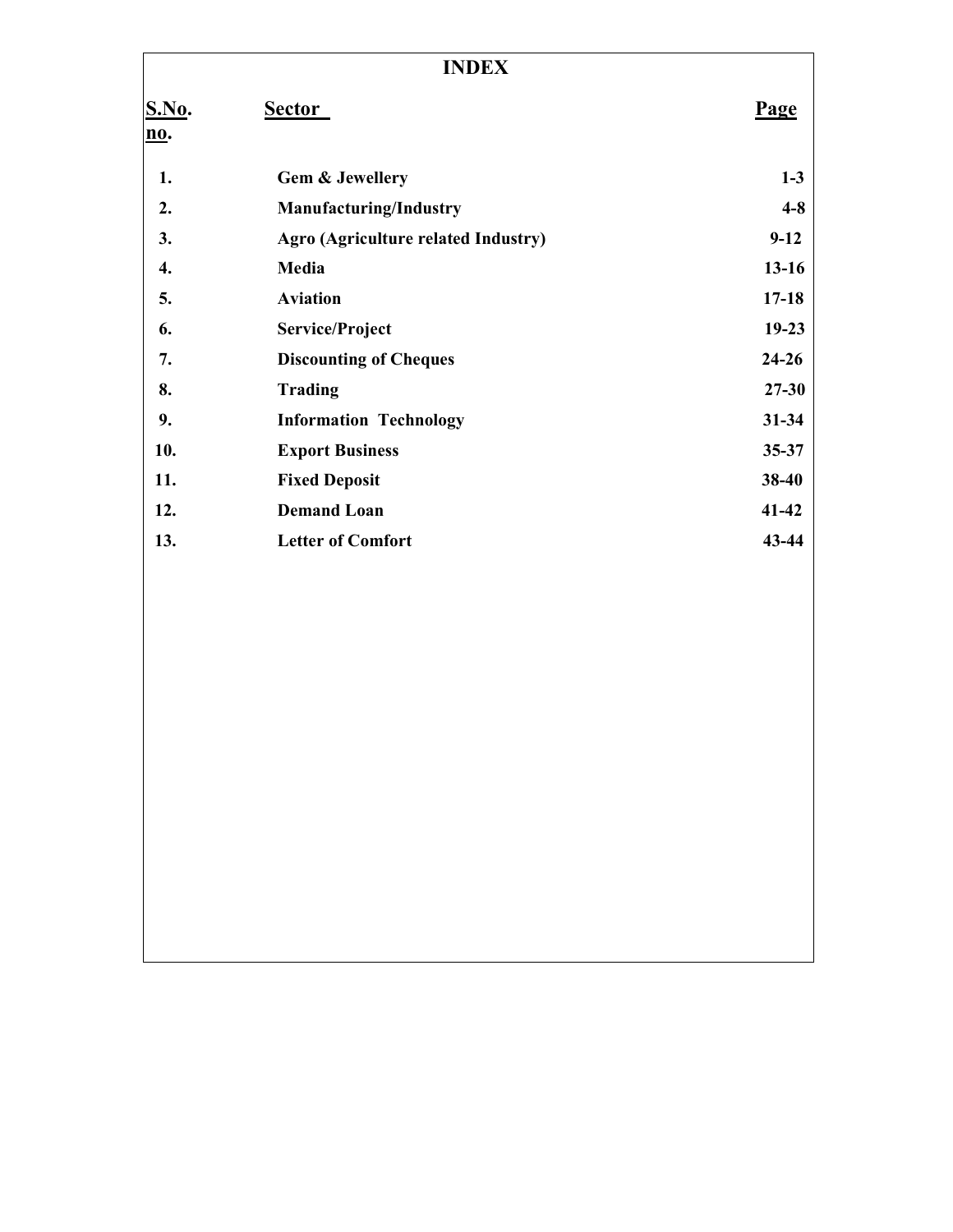| <b>INDEX</b>               |                                     |           |  |
|----------------------------|-------------------------------------|-----------|--|
| <b>S.No.</b><br><u>no.</u> | <b>Sector</b>                       | Page      |  |
| 1.                         | <b>Gem &amp; Jewellery</b>          | $1-3$     |  |
| 2.                         | <b>Manufacturing/Industry</b>       | $4 - 8$   |  |
| 3.                         | Agro (Agriculture related Industry) | $9-12$    |  |
| 4.                         | Media                               | $13 - 16$ |  |
| 5.                         | <b>Aviation</b>                     | $17 - 18$ |  |
| 6.                         | Service/Project                     | $19 - 23$ |  |
| 7.                         | <b>Discounting of Cheques</b>       | $24 - 26$ |  |
| 8.                         | <b>Trading</b>                      | $27 - 30$ |  |
| 9.                         | <b>Information Technology</b>       | $31 - 34$ |  |
| 10.                        | <b>Export Business</b>              | $35 - 37$ |  |
| 11.                        | <b>Fixed Deposit</b>                | 38-40     |  |
| 12.                        | <b>Demand Loan</b>                  | $41 - 42$ |  |
| 13.                        | <b>Letter of Comfort</b>            | 43-44     |  |
|                            |                                     |           |  |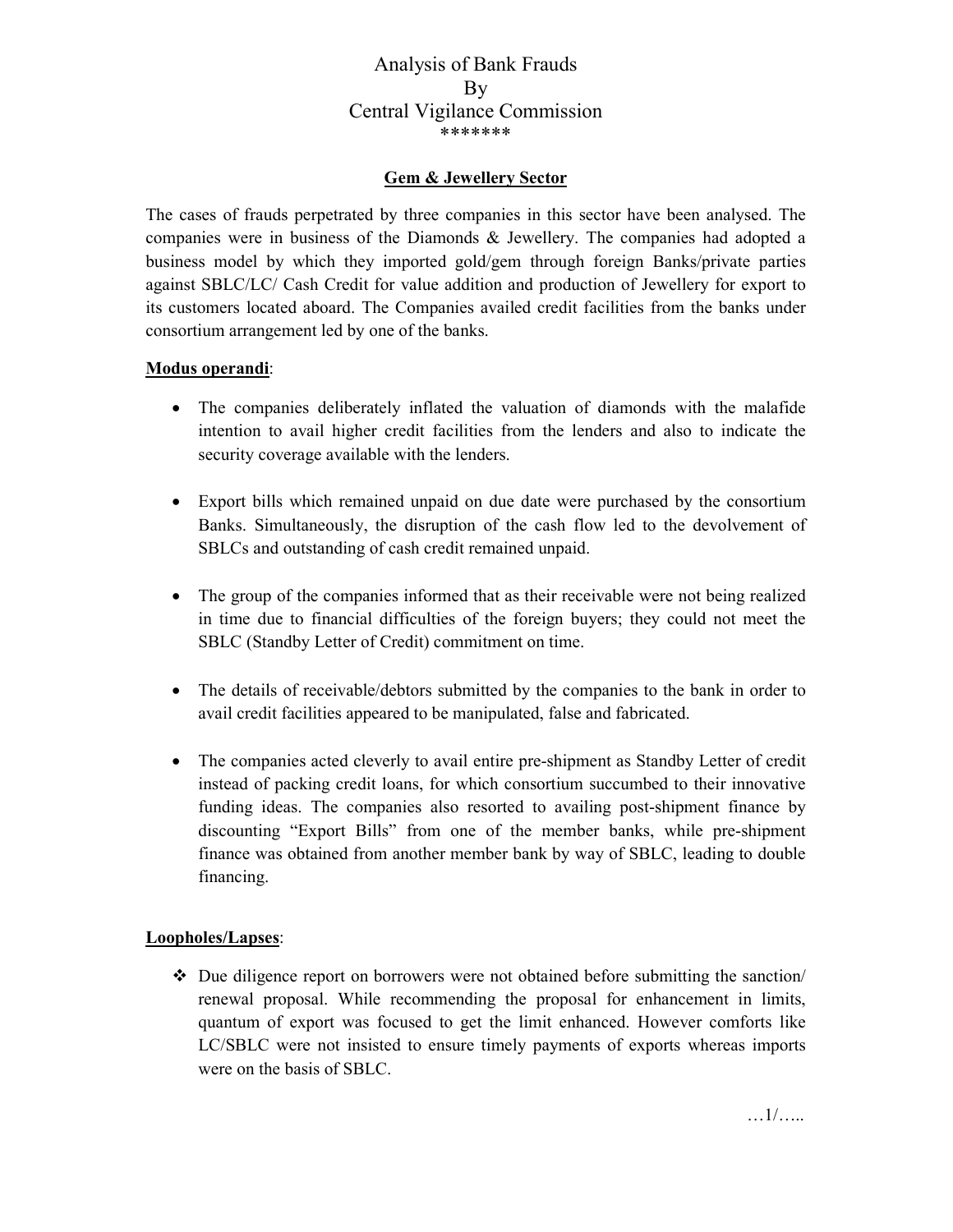### **Gem & Jewellery Sector**

The cases of frauds perpetrated by three companies in this sector have been analysed. The companies were in business of the Diamonds & Jewellery. The companies had adopted a business model by which they imported gold/gem through foreign Banks/private parties against SBLC/LC/ Cash Credit for value addition and production of Jewellery for export to its customers located aboard. The Companies availed credit facilities from the banks under consortium arrangement led by one of the banks.

#### **Modus operandi**:

- The companies deliberately inflated the valuation of diamonds with the malafide intention to avail higher credit facilities from the lenders and also to indicate the security coverage available with the lenders.
- Export bills which remained unpaid on due date were purchased by the consortium Banks. Simultaneously, the disruption of the cash flow led to the devolvement of SBLCs and outstanding of cash credit remained unpaid.
- The group of the companies informed that as their receivable were not being realized in time due to financial difficulties of the foreign buyers; they could not meet the SBLC (Standby Letter of Credit) commitment on time.
- The details of receivable/debtors submitted by the companies to the bank in order to avail credit facilities appeared to be manipulated, false and fabricated.
- The companies acted cleverly to avail entire pre-shipment as Standby Letter of credit instead of packing credit loans, for which consortium succumbed to their innovative funding ideas. The companies also resorted to availing post-shipment finance by discounting "Export Bills" from one of the member banks, while pre-shipment finance was obtained from another member bank by way of SBLC, leading to double financing.

### **Loopholes/Lapses**:

 Due diligence report on borrowers were not obtained before submitting the sanction/ renewal proposal. While recommending the proposal for enhancement in limits, quantum of export was focused to get the limit enhanced. However comforts like LC/SBLC were not insisted to ensure timely payments of exports whereas imports were on the basis of SBLC.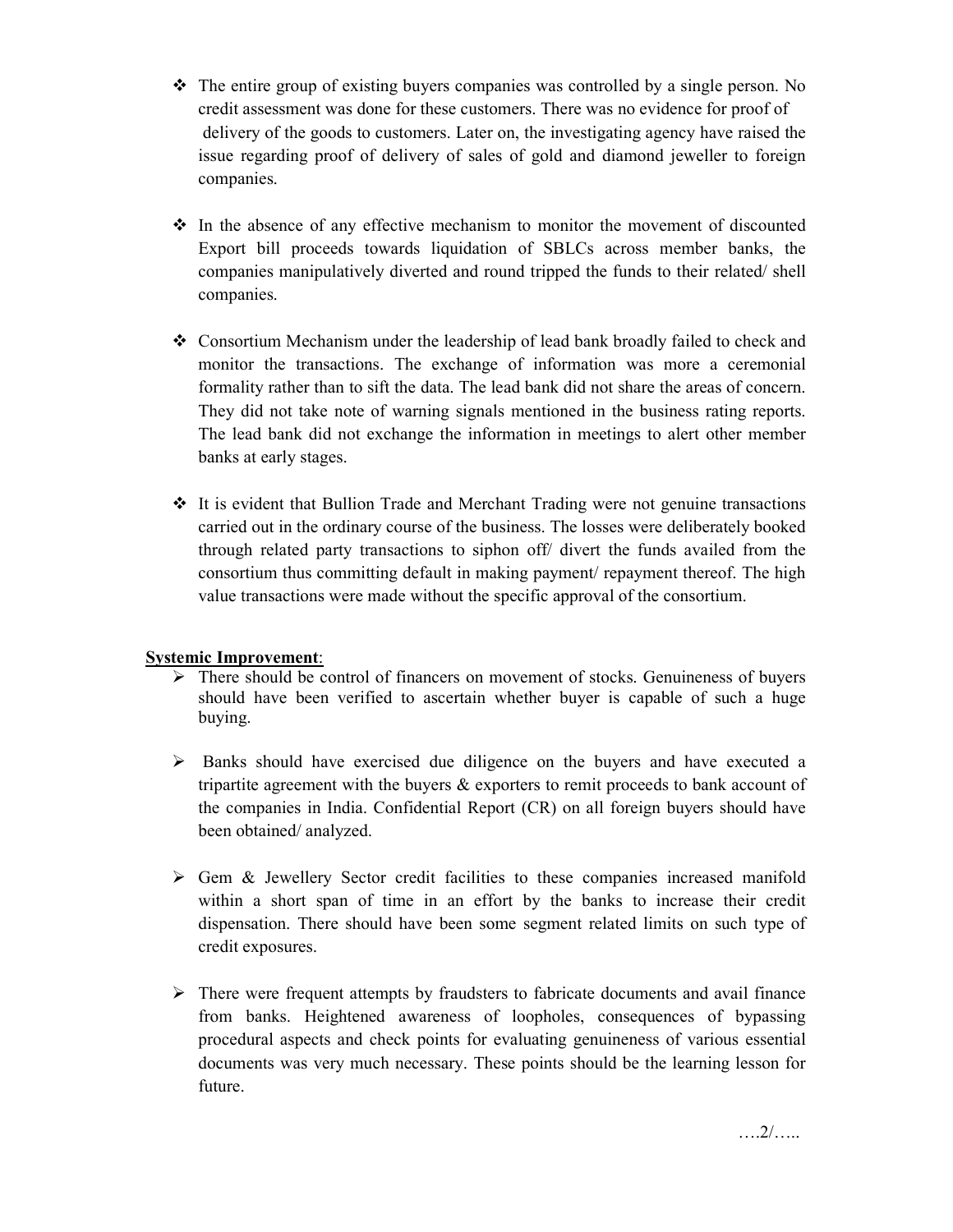- $\hat{\mathbf{v}}$  The entire group of existing buyers companies was controlled by a single person. No credit assessment was done for these customers. There was no evidence for proof of delivery of the goods to customers. Later on, the investigating agency have raised the issue regarding proof of delivery of sales of gold and diamond jeweller to foreign companies.
- $\div$  In the absence of any effective mechanism to monitor the movement of discounted Export bill proceeds towards liquidation of SBLCs across member banks, the companies manipulatively diverted and round tripped the funds to their related/ shell companies.
- Consortium Mechanism under the leadership of lead bank broadly failed to check and monitor the transactions. The exchange of information was more a ceremonial formality rather than to sift the data. The lead bank did not share the areas of concern. They did not take note of warning signals mentioned in the business rating reports. The lead bank did not exchange the information in meetings to alert other member banks at early stages.
- $\div$  It is evident that Bullion Trade and Merchant Trading were not genuine transactions carried out in the ordinary course of the business. The losses were deliberately booked through related party transactions to siphon off/ divert the funds availed from the consortium thus committing default in making payment/ repayment thereof. The high value transactions were made without the specific approval of the consortium.

- $\blacktriangleright$  There should be control of financers on movement of stocks. Genuineness of buyers should have been verified to ascertain whether buyer is capable of such a huge buying.
- > Banks should have exercised due diligence on the buyers and have executed a tripartite agreement with the buyers & exporters to remit proceeds to bank account of the companies in India. Confidential Report (CR) on all foreign buyers should have been obtained/ analyzed.
- > Gem & Jewellery Sector credit facilities to these companies increased manifold within a short span of time in an effort by the banks to increase their credit dispensation. There should have been some segment related limits on such type of credit exposures.
- > There were frequent attempts by fraudsters to fabricate documents and avail finance from banks. Heightened awareness of loopholes, consequences of bypassing procedural aspects and check points for evaluating genuineness of various essential documents was very much necessary. These points should be the learning lesson for future.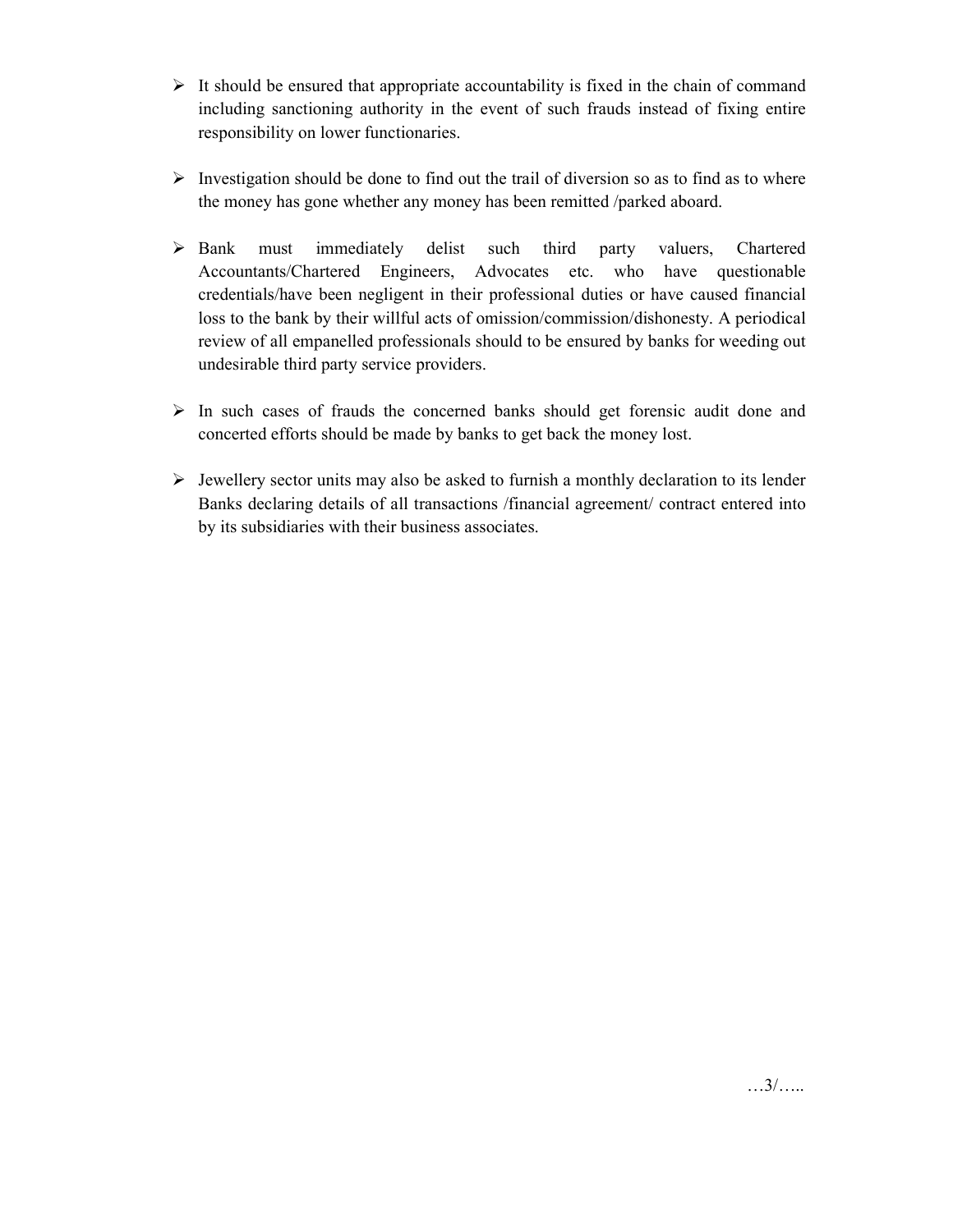- > It should be ensured that appropriate accountability is fixed in the chain of command including sanctioning authority in the event of such frauds instead of fixing entire responsibility on lower functionaries.
- > Investigation should be done to find out the trail of diversion so as to find as to where the money has gone whether any money has been remitted /parked aboard.
- $\triangleright$  Bank must immediately delist such third party valuers, Chartered Accountants/Chartered Engineers, Advocates etc. who have questionable credentials/have been negligent in their professional duties or have caused financial loss to the bank by their willful acts of omission/commission/dishonesty. A periodical review of all empanelled professionals should to be ensured by banks for weeding out undesirable third party service providers.
- > In such cases of frauds the concerned banks should get forensic audit done and concerted efforts should be made by banks to get back the money lost.
- > Jewellery sector units may also be asked to furnish a monthly declaration to its lender Banks declaring details of all transactions /financial agreement/ contract entered into by its subsidiaries with their business associates.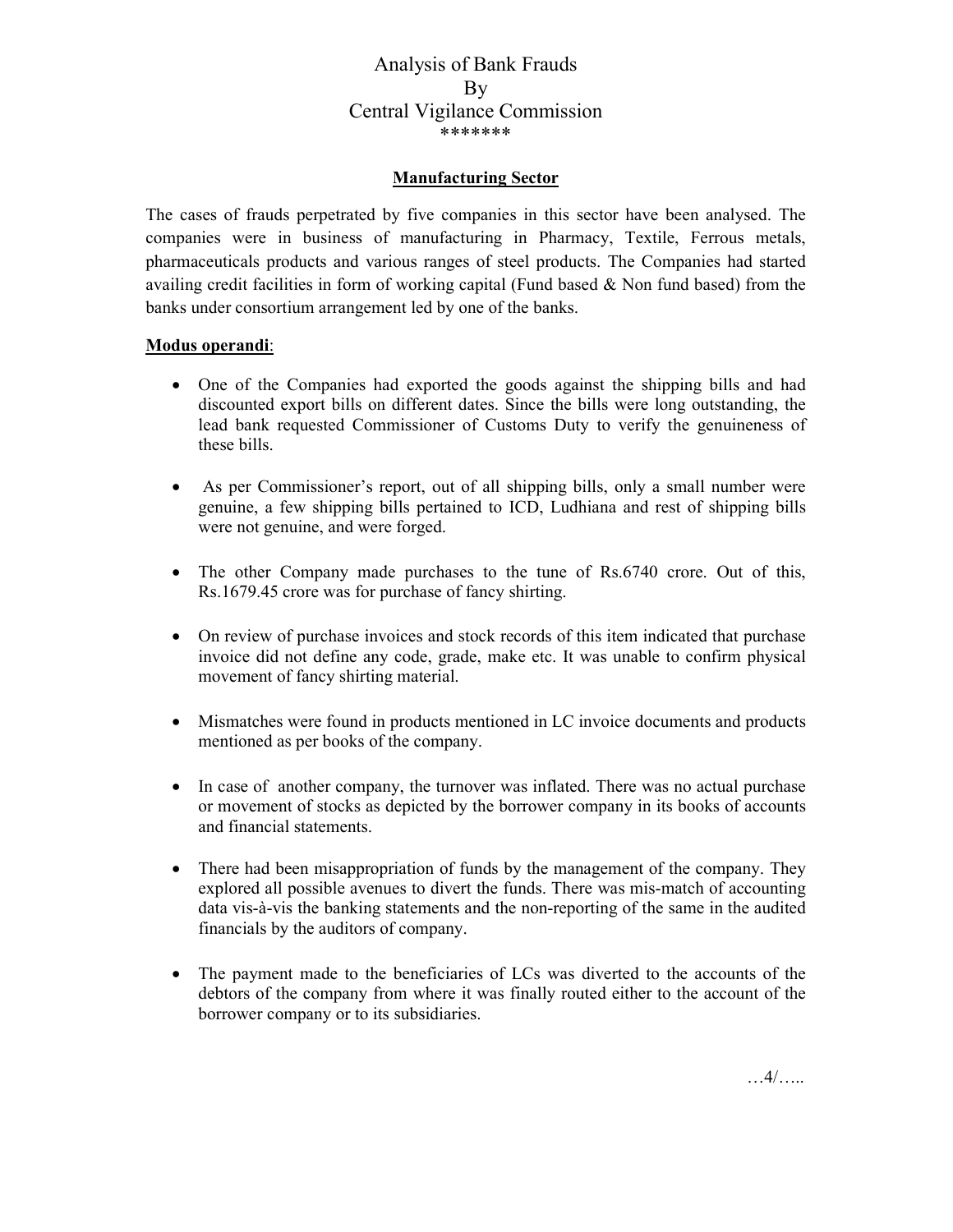#### **Manufacturing Sector**

The cases of frauds perpetrated by five companies in this sector have been analysed. The companies were in business of manufacturing in Pharmacy, Textile, Ferrous metals, pharmaceuticals products and various ranges of steel products. The Companies had started availing credit facilities in form of working capital (Fund based  $\&$  Non fund based) from the banks under consortium arrangement led by one of the banks.

#### **Modus operandi**:

- One of the Companies had exported the goods against the shipping bills and had discounted export bills on different dates. Since the bills were long outstanding, the lead bank requested Commissioner of Customs Duty to verify the genuineness of these bills.
- As per Commissioner's report, out of all shipping bills, only a small number were genuine, a few shipping bills pertained to ICD, Ludhiana and rest of shipping bills were not genuine, and were forged.
- The other Company made purchases to the tune of Rs.6740 crore. Out of this, Rs.1679.45 crore was for purchase of fancy shirting.
- On review of purchase invoices and stock records of this item indicated that purchase invoice did not define any code, grade, make etc. It was unable to confirm physical movement of fancy shirting material.
- Mismatches were found in products mentioned in LC invoice documents and products mentioned as per books of the company.
- In case of another company, the turnover was inflated. There was no actual purchase or movement of stocks as depicted by the borrower company in its books of accounts and financial statements.
- There had been misappropriation of funds by the management of the company. They explored all possible avenues to divert the funds. There was mis-match of accounting data vis-à-vis the banking statements and the non-reporting of the same in the audited financials by the auditors of company.
- The payment made to the beneficiaries of LCs was diverted to the accounts of the debtors of the company from where it was finally routed either to the account of the borrower company or to its subsidiaries.

…4/…..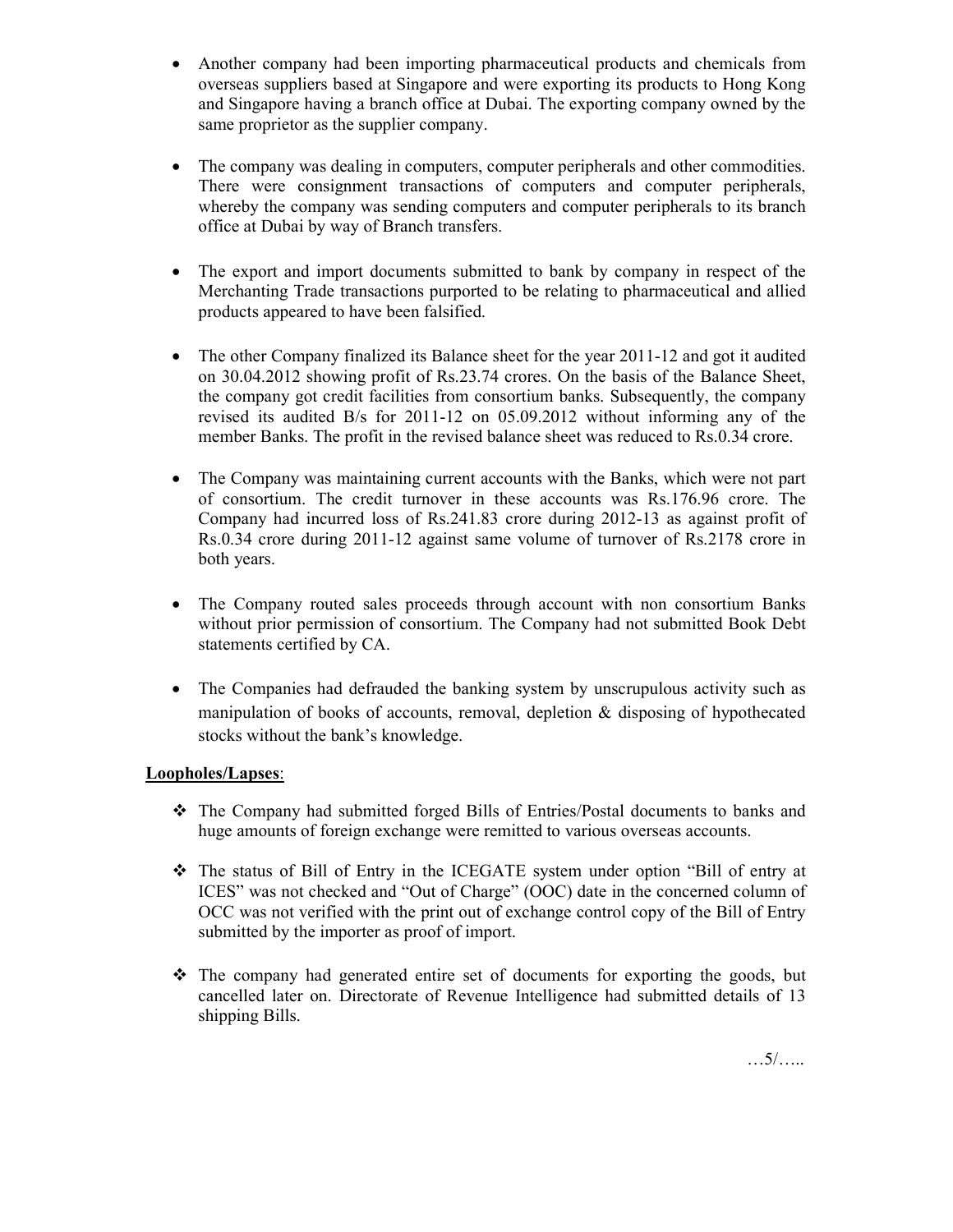- Another company had been importing pharmaceutical products and chemicals from overseas suppliers based at Singapore and were exporting its products to Hong Kong and Singapore having a branch office at Dubai. The exporting company owned by the same proprietor as the supplier company.
- The company was dealing in computers, computer peripherals and other commodities. There were consignment transactions of computers and computer peripherals, whereby the company was sending computers and computer peripherals to its branch office at Dubai by way of Branch transfers.
- The export and import documents submitted to bank by company in respect of the Merchanting Trade transactions purported to be relating to pharmaceutical and allied products appeared to have been falsified.
- The other Company finalized its Balance sheet for the year 2011-12 and got it audited on 30.04.2012 showing profit of Rs.23.74 crores. On the basis of the Balance Sheet, the company got credit facilities from consortium banks. Subsequently, the company revised its audited B/s for 2011-12 on 05.09.2012 without informing any of the member Banks. The profit in the revised balance sheet was reduced to Rs.0.34 crore.
- The Company was maintaining current accounts with the Banks, which were not part of consortium. The credit turnover in these accounts was Rs.176.96 crore. The Company had incurred loss of Rs.241.83 crore during 2012-13 as against profit of Rs.0.34 crore during 2011-12 against same volume of turnover of Rs.2178 crore in both years.
- The Company routed sales proceeds through account with non consortium Banks without prior permission of consortium. The Company had not submitted Book Debt statements certified by CA.
- The Companies had defrauded the banking system by unscrupulous activity such as manipulation of books of accounts, removal, depletion & disposing of hypothecated stocks without the bank's knowledge.

### **Loopholes/Lapses**:

- The Company had submitted forged Bills of Entries/Postal documents to banks and huge amounts of foreign exchange were remitted to various overseas accounts.
- The status of Bill of Entry in the ICEGATE system under option "Bill of entry at ICES" was not checked and "Out of Charge" (OOC) date in the concerned column of OCC was not verified with the print out of exchange control copy of the Bill of Entry submitted by the importer as proof of import.
- The company had generated entire set of documents for exporting the goods, but cancelled later on. Directorate of Revenue Intelligence had submitted details of 13 shipping Bills.

…5/…..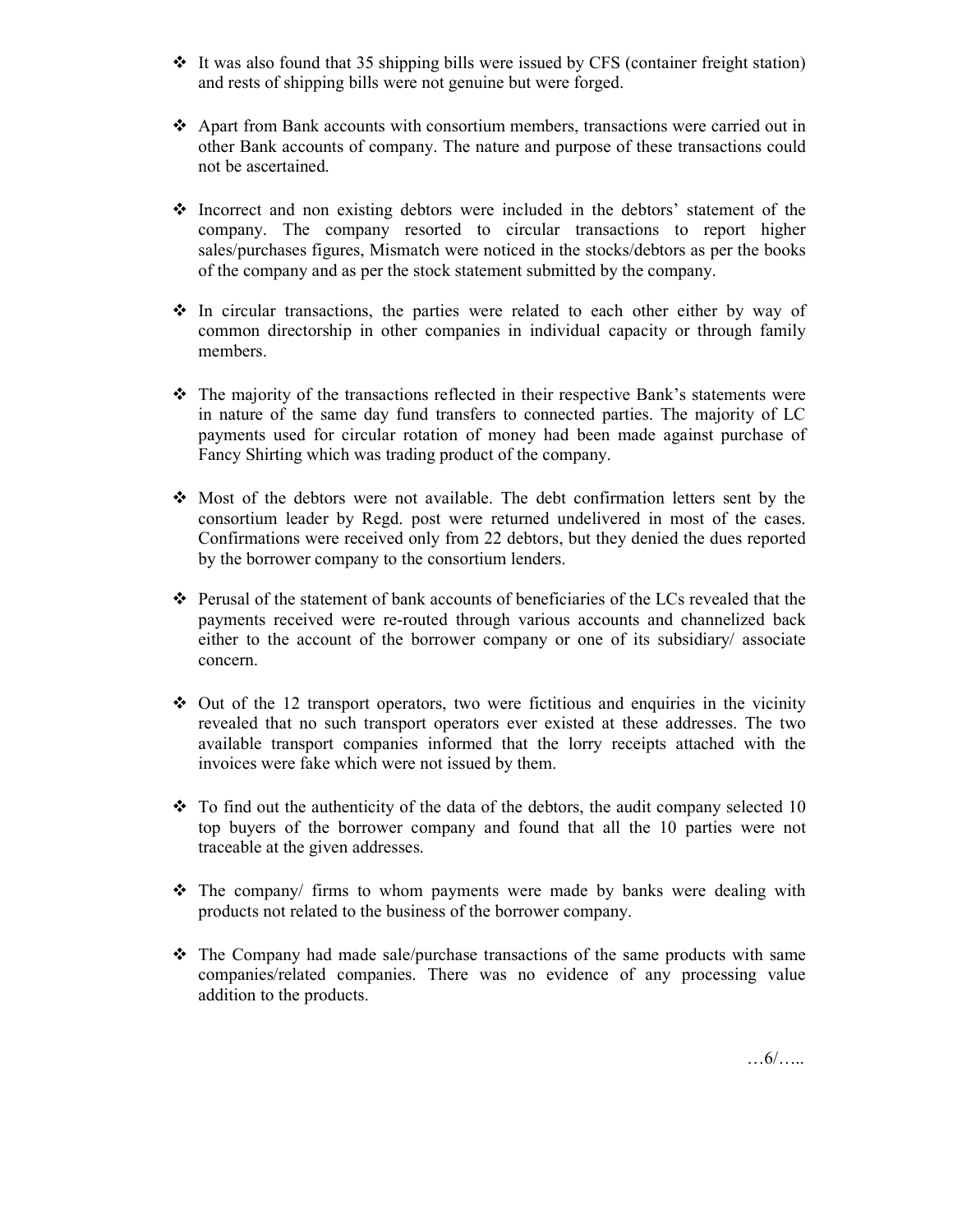- $\div$  It was also found that 35 shipping bills were issued by CFS (container freight station) and rests of shipping bills were not genuine but were forged.
- Apart from Bank accounts with consortium members, transactions were carried out in other Bank accounts of company. The nature and purpose of these transactions could not be ascertained.
- Incorrect and non existing debtors were included in the debtors' statement of the company. The company resorted to circular transactions to report higher sales/purchases figures, Mismatch were noticed in the stocks/debtors as per the books of the company and as per the stock statement submitted by the company.
- $\div$  In circular transactions, the parties were related to each other either by way of common directorship in other companies in individual capacity or through family members.
- The majority of the transactions reflected in their respective Bank's statements were in nature of the same day fund transfers to connected parties. The majority of LC payments used for circular rotation of money had been made against purchase of Fancy Shirting which was trading product of the company.
- Most of the debtors were not available. The debt confirmation letters sent by the consortium leader by Regd. post were returned undelivered in most of the cases. Confirmations were received only from 22 debtors, but they denied the dues reported by the borrower company to the consortium lenders.
- Perusal of the statement of bank accounts of beneficiaries of the LCs revealed that the payments received were re-routed through various accounts and channelized back either to the account of the borrower company or one of its subsidiary/ associate concern.
- $\div$  Out of the 12 transport operators, two were fictitious and enquiries in the vicinity revealed that no such transport operators ever existed at these addresses. The two available transport companies informed that the lorry receipts attached with the invoices were fake which were not issued by them.
- $\div$  To find out the authenticity of the data of the debtors, the audit company selected 10 top buyers of the borrower company and found that all the 10 parties were not traceable at the given addresses.
- The company/ firms to whom payments were made by banks were dealing with products not related to the business of the borrower company.
- $\div$  The Company had made sale/purchase transactions of the same products with same companies/related companies. There was no evidence of any processing value addition to the products.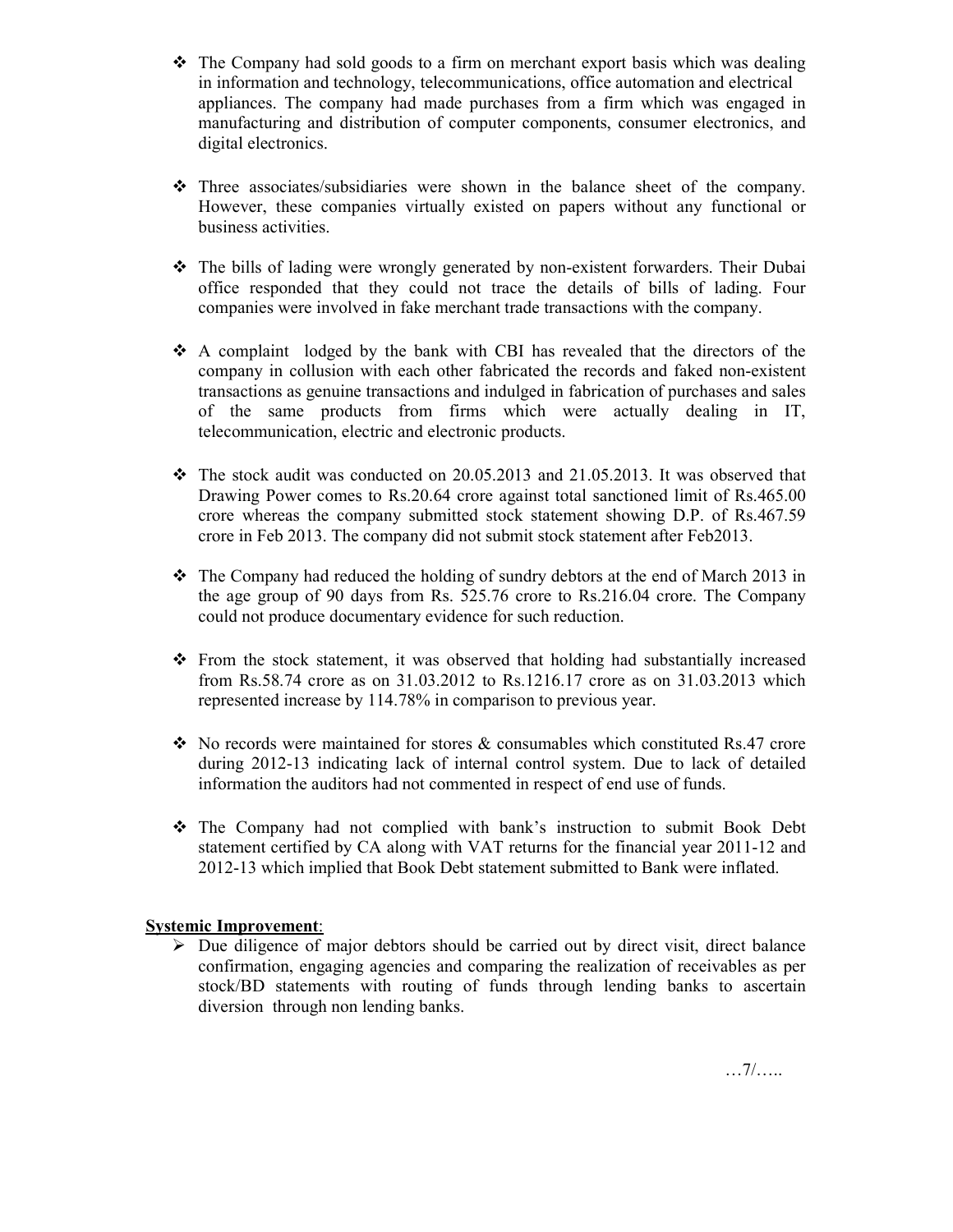- $\div$  The Company had sold goods to a firm on merchant export basis which was dealing in information and technology, telecommunications, office automation and electrical appliances. The company had made purchases from a firm which was engaged in manufacturing and distribution of computer components, consumer electronics, and digital electronics.
- Three associates/subsidiaries were shown in the balance sheet of the company. However, these companies virtually existed on papers without any functional or business activities.
- The bills of lading were wrongly generated by non-existent forwarders. Their Dubai office responded that they could not trace the details of bills of lading. Four companies were involved in fake merchant trade transactions with the company.
- A complaint lodged by the bank with CBI has revealed that the directors of the company in collusion with each other fabricated the records and faked non-existent transactions as genuine transactions and indulged in fabrication of purchases and sales of the same products from firms which were actually dealing in IT, telecommunication, electric and electronic products.
- $\div$  The stock audit was conducted on 20.05.2013 and 21.05.2013. It was observed that Drawing Power comes to Rs.20.64 crore against total sanctioned limit of Rs.465.00 crore whereas the company submitted stock statement showing D.P. of Rs.467.59 crore in Feb 2013. The company did not submit stock statement after Feb2013.
- $\div$  The Company had reduced the holding of sundry debtors at the end of March 2013 in the age group of 90 days from Rs. 525.76 crore to Rs.216.04 crore. The Company could not produce documentary evidence for such reduction.
- $\div$  From the stock statement, it was observed that holding had substantially increased from Rs.58.74 crore as on 31.03.2012 to Rs.1216.17 crore as on 31.03.2013 which represented increase by 114.78% in comparison to previous year.
- $\cdot$  No records were maintained for stores & consumables which constituted Rs.47 crore during 2012-13 indicating lack of internal control system. Due to lack of detailed information the auditors had not commented in respect of end use of funds.
- The Company had not complied with bank's instruction to submit Book Debt statement certified by CA along with VAT returns for the financial year 2011-12 and 2012-13 which implied that Book Debt statement submitted to Bank were inflated.

### **Systemic Improvement**:

 $\blacktriangleright$  Due diligence of major debtors should be carried out by direct visit, direct balance confirmation, engaging agencies and comparing the realization of receivables as per stock/BD statements with routing of funds through lending banks to ascertain diversion through non lending banks.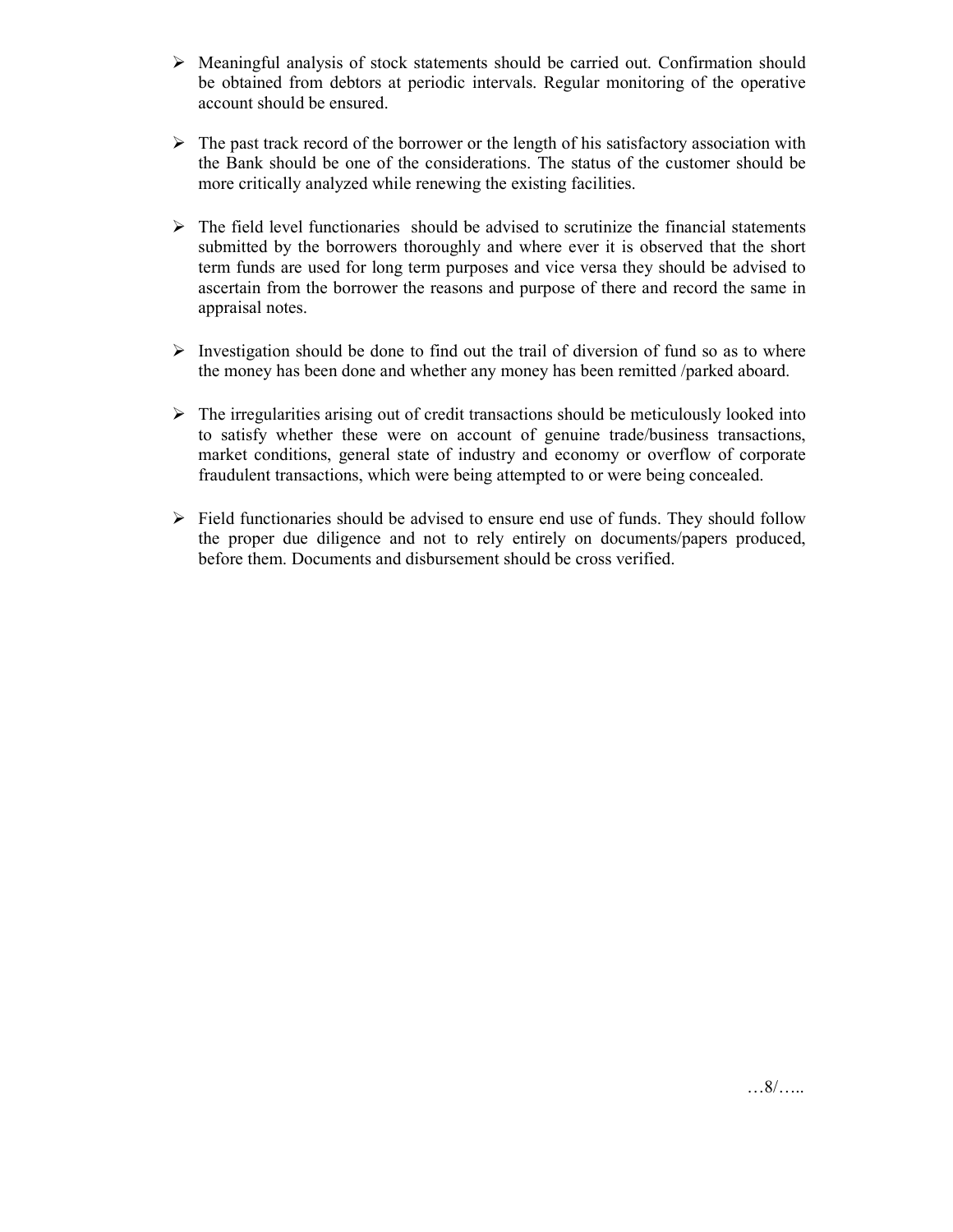- Meaningful analysis of stock statements should be carried out. Confirmation should be obtained from debtors at periodic intervals. Regular monitoring of the operative account should be ensured.
- > The past track record of the borrower or the length of his satisfactory association with the Bank should be one of the considerations. The status of the customer should be more critically analyzed while renewing the existing facilities.
- > The field level functionaries should be advised to scrutinize the financial statements submitted by the borrowers thoroughly and where ever it is observed that the short term funds are used for long term purposes and vice versa they should be advised to ascertain from the borrower the reasons and purpose of there and record the same in appraisal notes.
- > Investigation should be done to find out the trail of diversion of fund so as to where the money has been done and whether any money has been remitted /parked aboard.
- > The irregularities arising out of credit transactions should be meticulously looked into to satisfy whether these were on account of genuine trade/business transactions, market conditions, general state of industry and economy or overflow of corporate fraudulent transactions, which were being attempted to or were being concealed.
- > Field functionaries should be advised to ensure end use of funds. They should follow the proper due diligence and not to rely entirely on documents/papers produced, before them. Documents and disbursement should be cross verified.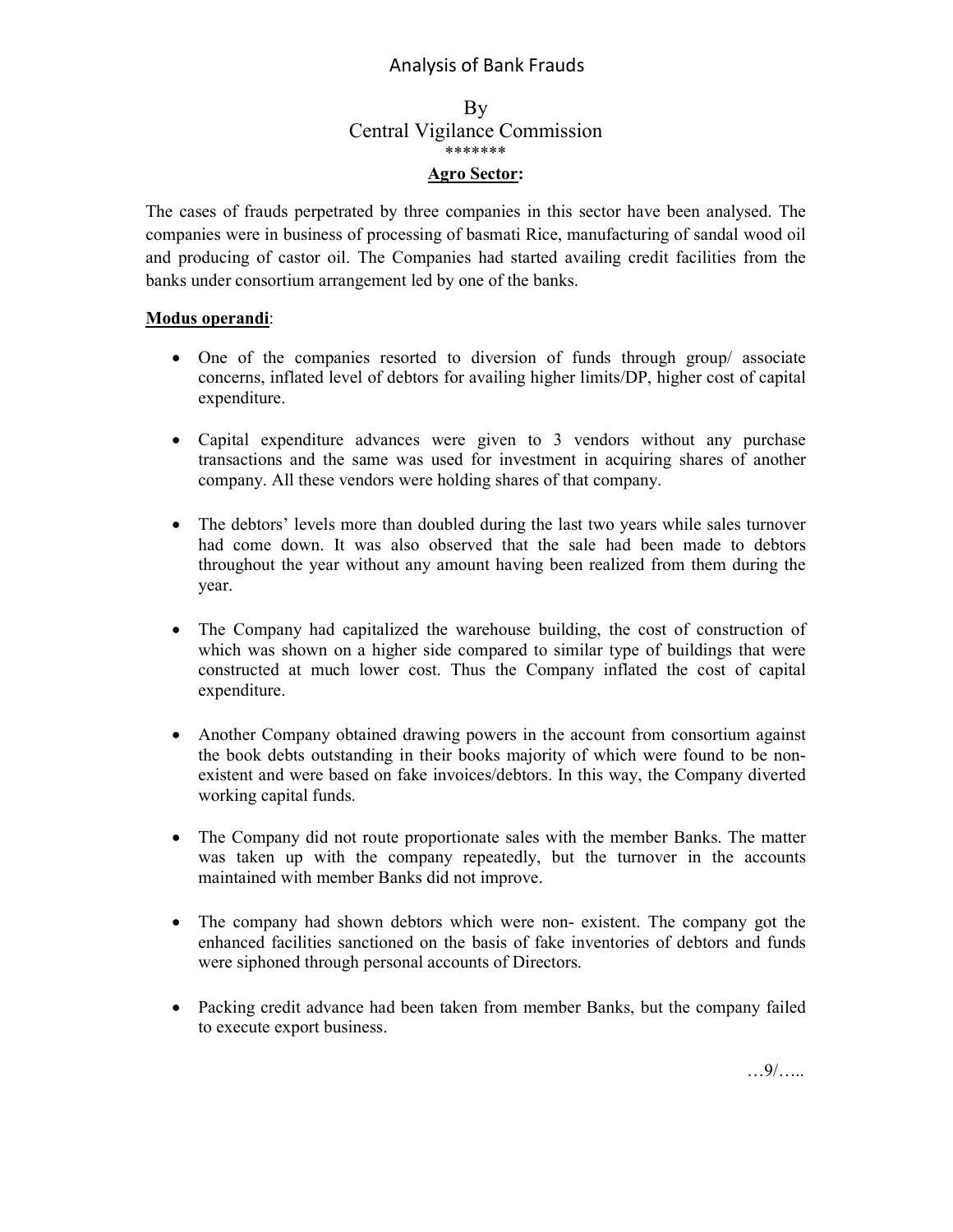# Analysis of Bank Frauds

### By Central Vigilance Commission \*\*\*\*\*\*\* **Agro Sector:**

The cases of frauds perpetrated by three companies in this sector have been analysed. The companies were in business of processing of basmati Rice, manufacturing of sandal wood oil and producing of castor oil. The Companies had started availing credit facilities from the banks under consortium arrangement led by one of the banks.

#### **Modus operandi**:

- One of the companies resorted to diversion of funds through group/ associate concerns, inflated level of debtors for availing higher limits/DP, higher cost of capital expenditure.
- Capital expenditure advances were given to 3 vendors without any purchase transactions and the same was used for investment in acquiring shares of another company. All these vendors were holding shares of that company.
- The debtors' levels more than doubled during the last two years while sales turnover had come down. It was also observed that the sale had been made to debtors throughout the year without any amount having been realized from them during the year.
- The Company had capitalized the warehouse building, the cost of construction of which was shown on a higher side compared to similar type of buildings that were constructed at much lower cost. Thus the Company inflated the cost of capital expenditure.
- Another Company obtained drawing powers in the account from consortium against the book debts outstanding in their books majority of which were found to be nonexistent and were based on fake invoices/debtors. In this way, the Company diverted working capital funds.
- The Company did not route proportionate sales with the member Banks. The matter was taken up with the company repeatedly, but the turnover in the accounts maintained with member Banks did not improve.
- The company had shown debtors which were non-existent. The company got the enhanced facilities sanctioned on the basis of fake inventories of debtors and funds were siphoned through personal accounts of Directors.
- Packing credit advance had been taken from member Banks, but the company failed to execute export business.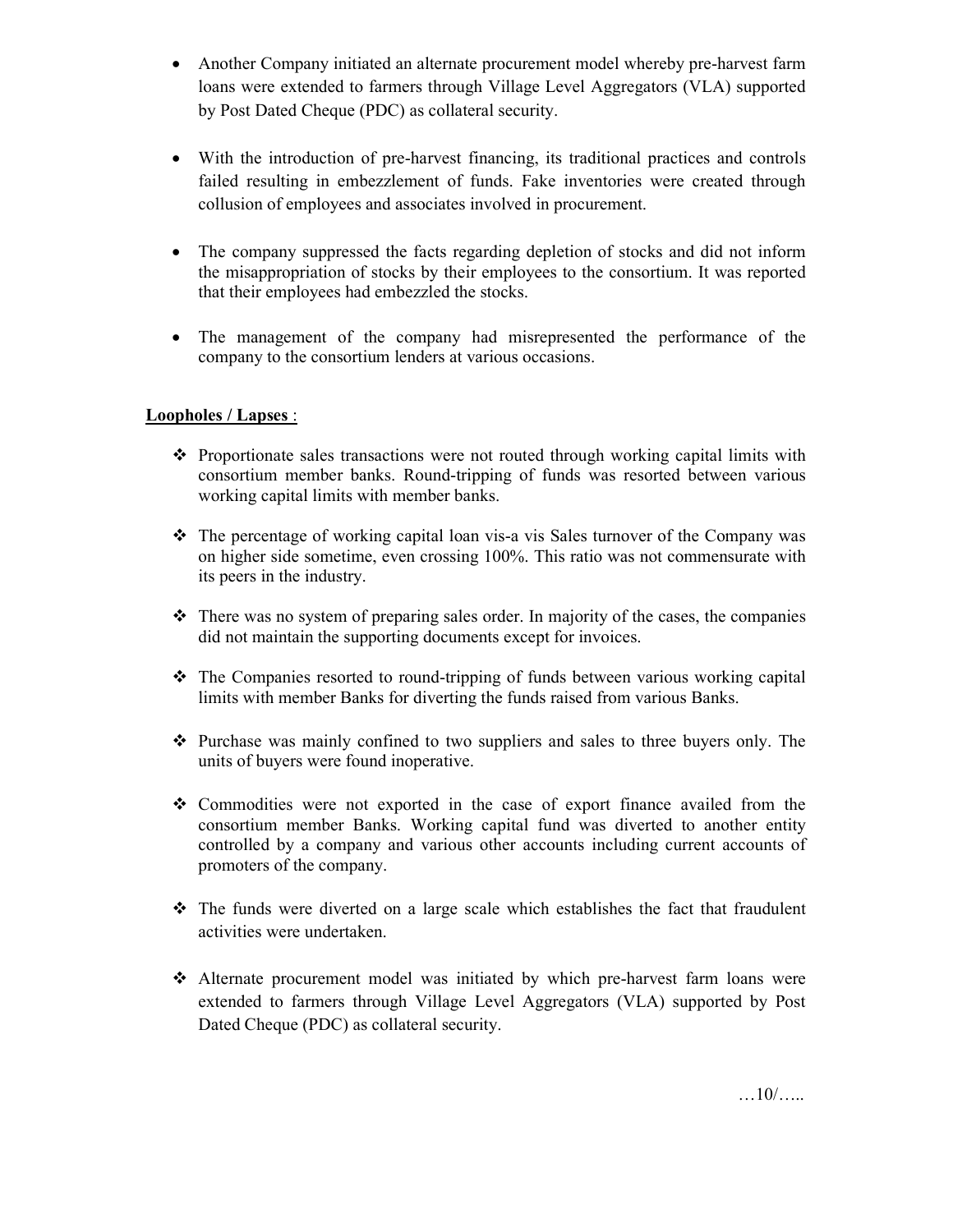- Another Company initiated an alternate procurement model whereby pre-harvest farm loans were extended to farmers through Village Level Aggregators (VLA) supported by Post Dated Cheque (PDC) as collateral security.
- With the introduction of pre-harvest financing, its traditional practices and controls failed resulting in embezzlement of funds. Fake inventories were created through collusion of employees and associates involved in procurement.
- The company suppressed the facts regarding depletion of stocks and did not inform the misappropriation of stocks by their employees to the consortium. It was reported that their employees had embezzled the stocks.
- The management of the company had misrepresented the performance of the company to the consortium lenders at various occasions.

# **Loopholes / Lapses** :

- Proportionate sales transactions were not routed through working capital limits with consortium member banks. Round-tripping of funds was resorted between various working capital limits with member banks.
- The percentage of working capital loan vis-a vis Sales turnover of the Company was on higher side sometime, even crossing 100%. This ratio was not commensurate with its peers in the industry.
- $\cdot \cdot$  There was no system of preparing sales order. In majority of the cases, the companies did not maintain the supporting documents except for invoices.
- \* The Companies resorted to round-tripping of funds between various working capital limits with member Banks for diverting the funds raised from various Banks.
- Purchase was mainly confined to two suppliers and sales to three buyers only. The units of buyers were found inoperative.
- Commodities were not exported in the case of export finance availed from the consortium member Banks. Working capital fund was diverted to another entity controlled by a company and various other accounts including current accounts of promoters of the company.
- The funds were diverted on a large scale which establishes the fact that fraudulent activities were undertaken.
- Alternate procurement model was initiated by which pre-harvest farm loans were extended to farmers through Village Level Aggregators (VLA) supported by Post Dated Cheque (PDC) as collateral security.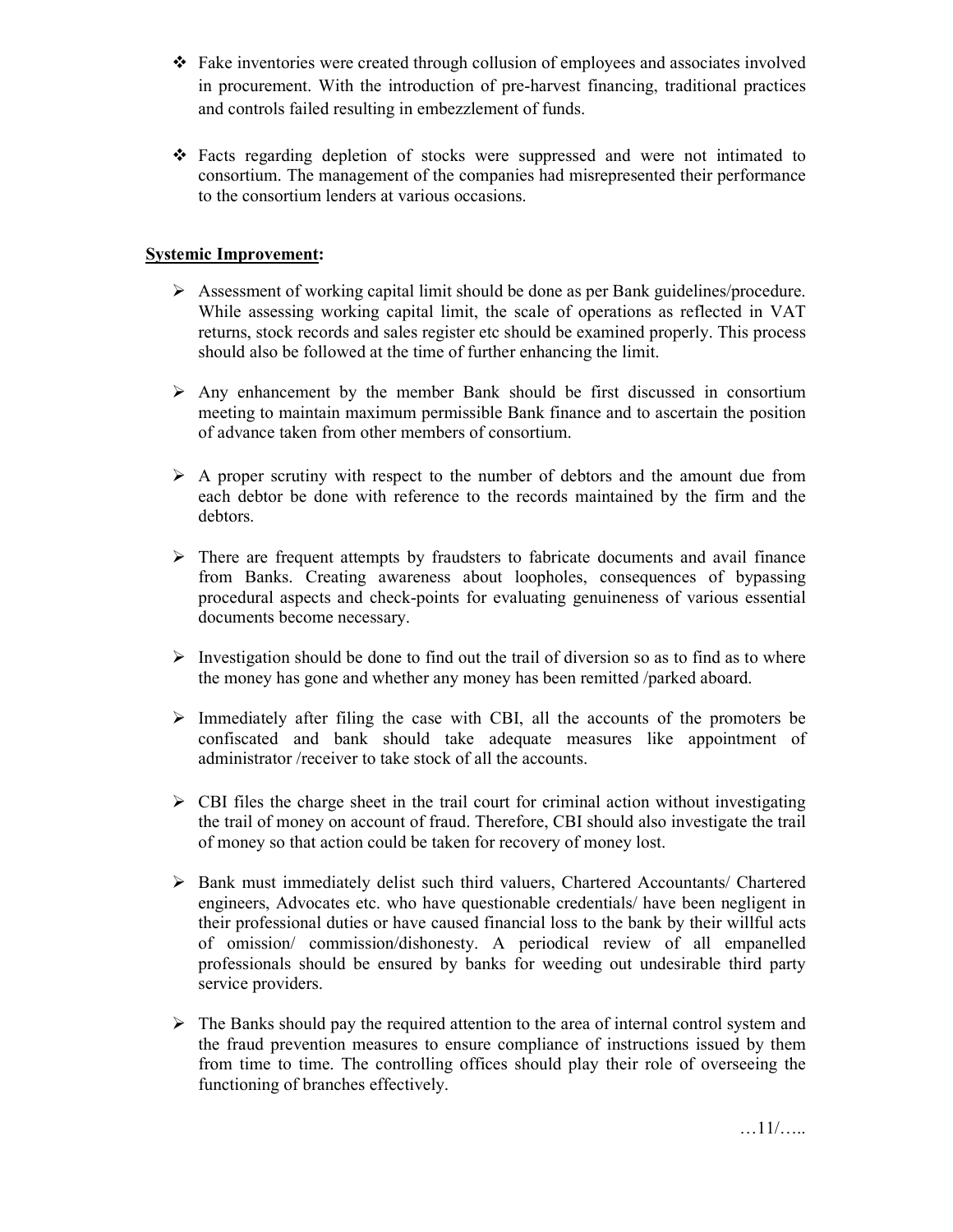- Fake inventories were created through collusion of employees and associates involved in procurement. With the introduction of pre-harvest financing, traditional practices and controls failed resulting in embezzlement of funds.
- Facts regarding depletion of stocks were suppressed and were not intimated to consortium. The management of the companies had misrepresented their performance to the consortium lenders at various occasions.

- Assessment of working capital limit should be done as per Bank guidelines/procedure. While assessing working capital limit, the scale of operations as reflected in VAT returns, stock records and sales register etc should be examined properly. This process should also be followed at the time of further enhancing the limit.
- > Any enhancement by the member Bank should be first discussed in consortium meeting to maintain maximum permissible Bank finance and to ascertain the position of advance taken from other members of consortium.
- A proper scrutiny with respect to the number of debtors and the amount due from each debtor be done with reference to the records maintained by the firm and the debtors.
- > There are frequent attempts by fraudsters to fabricate documents and avail finance from Banks. Creating awareness about loopholes, consequences of bypassing procedural aspects and check-points for evaluating genuineness of various essential documents become necessary.
- > Investigation should be done to find out the trail of diversion so as to find as to where the money has gone and whether any money has been remitted /parked aboard.
- Immediately after filing the case with CBI, all the accounts of the promoters be confiscated and bank should take adequate measures like appointment of administrator /receiver to take stock of all the accounts.
- > CBI files the charge sheet in the trail court for criminal action without investigating the trail of money on account of fraud. Therefore, CBI should also investigate the trail of money so that action could be taken for recovery of money lost.
- Bank must immediately delist such third valuers, Chartered Accountants/ Chartered engineers, Advocates etc. who have questionable credentials/ have been negligent in their professional duties or have caused financial loss to the bank by their willful acts of omission/ commission/dishonesty. A periodical review of all empanelled professionals should be ensured by banks for weeding out undesirable third party service providers.
- > The Banks should pay the required attention to the area of internal control system and the fraud prevention measures to ensure compliance of instructions issued by them from time to time. The controlling offices should play their role of overseeing the functioning of branches effectively.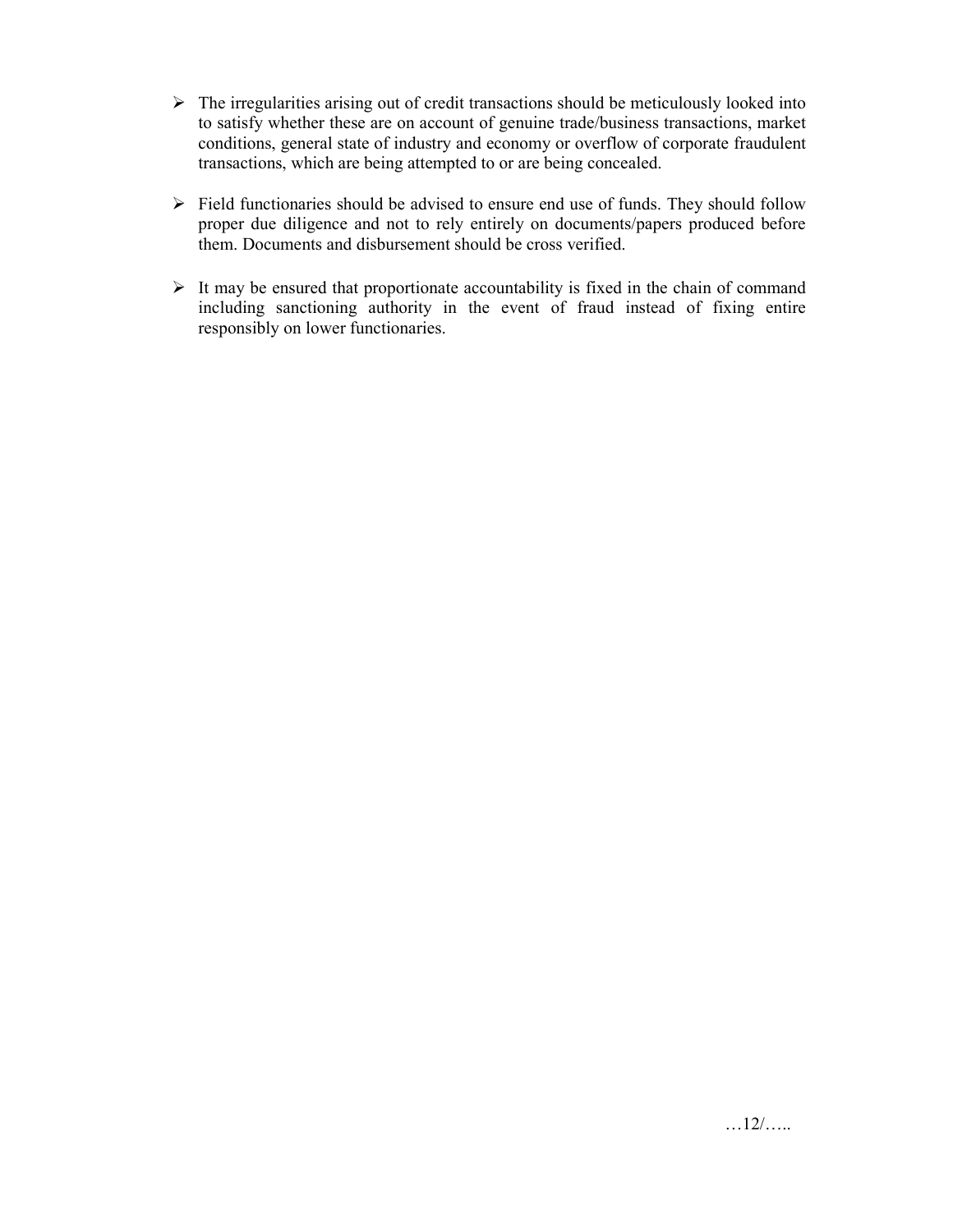- > The irregularities arising out of credit transactions should be meticulously looked into to satisfy whether these are on account of genuine trade/business transactions, market conditions, general state of industry and economy or overflow of corporate fraudulent transactions, which are being attempted to or are being concealed.
- > Field functionaries should be advised to ensure end use of funds. They should follow proper due diligence and not to rely entirely on documents/papers produced before them. Documents and disbursement should be cross verified.
- > It may be ensured that proportionate accountability is fixed in the chain of command including sanctioning authority in the event of fraud instead of fixing entire responsibly on lower functionaries.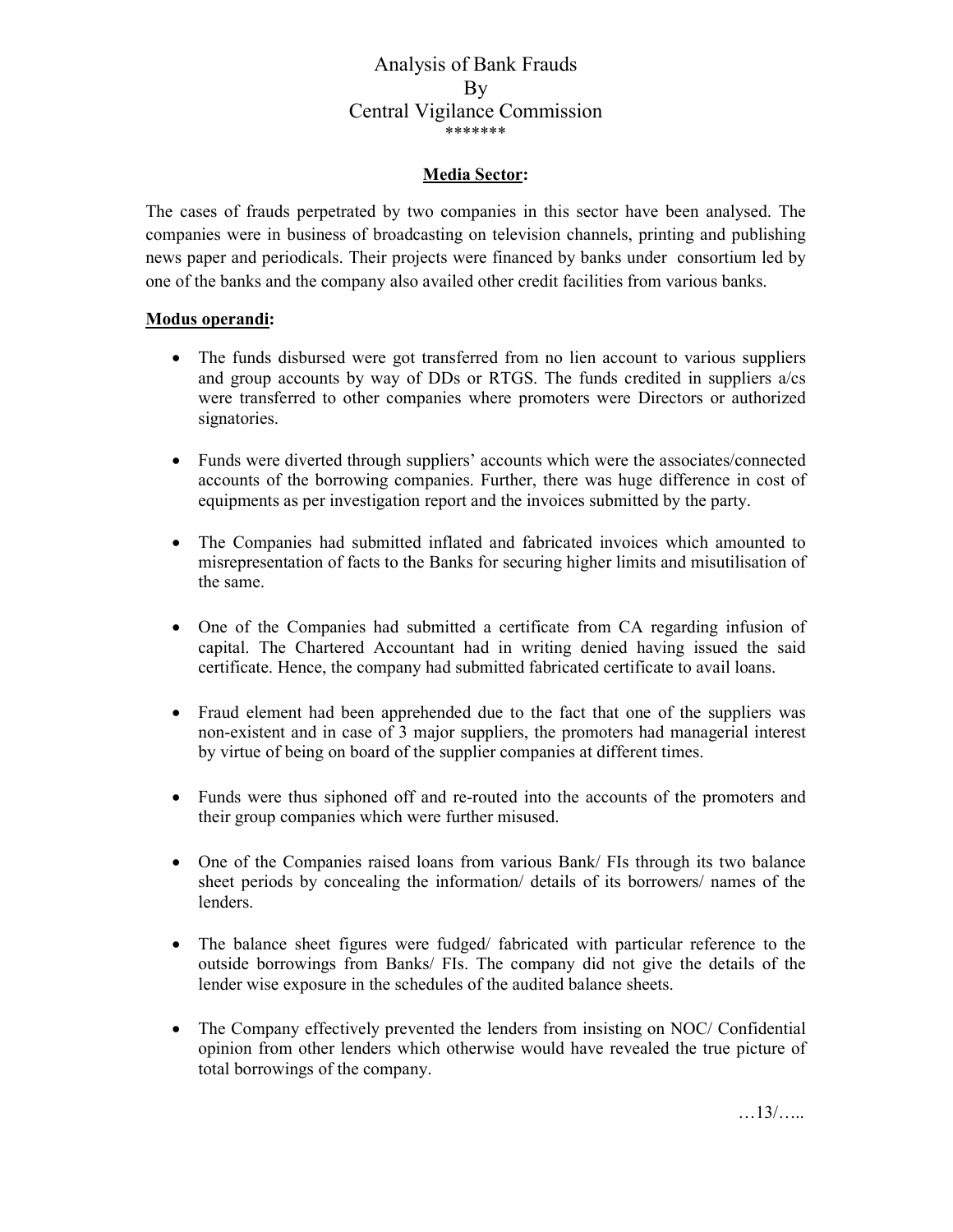#### **Media Sector:**

The cases of frauds perpetrated by two companies in this sector have been analysed. The companies were in business of broadcasting on television channels, printing and publishing news paper and periodicals. Their projects were financed by banks under consortium led by one of the banks and the company also availed other credit facilities from various banks.

#### **Modus operandi:**

- The funds disbursed were got transferred from no lien account to various suppliers and group accounts by way of DDs or RTGS. The funds credited in suppliers a/cs were transferred to other companies where promoters were Directors or authorized signatories.
- Funds were diverted through suppliers' accounts which were the associates/connected accounts of the borrowing companies. Further, there was huge difference in cost of equipments as per investigation report and the invoices submitted by the party.
- The Companies had submitted inflated and fabricated invoices which amounted to misrepresentation of facts to the Banks for securing higher limits and misutilisation of the same.
- One of the Companies had submitted a certificate from CA regarding infusion of capital. The Chartered Accountant had in writing denied having issued the said certificate. Hence, the company had submitted fabricated certificate to avail loans.
- Fraud element had been apprehended due to the fact that one of the suppliers was non-existent and in case of 3 major suppliers, the promoters had managerial interest by virtue of being on board of the supplier companies at different times.
- Funds were thus siphoned off and re-routed into the accounts of the promoters and their group companies which were further misused.
- One of the Companies raised loans from various Bank/ FIs through its two balance sheet periods by concealing the information/ details of its borrowers/ names of the lenders.
- The balance sheet figures were fudged/ fabricated with particular reference to the outside borrowings from Banks/ FIs. The company did not give the details of the lender wise exposure in the schedules of the audited balance sheets.
- The Company effectively prevented the lenders from insisting on NOC/ Confidential opinion from other lenders which otherwise would have revealed the true picture of total borrowings of the company.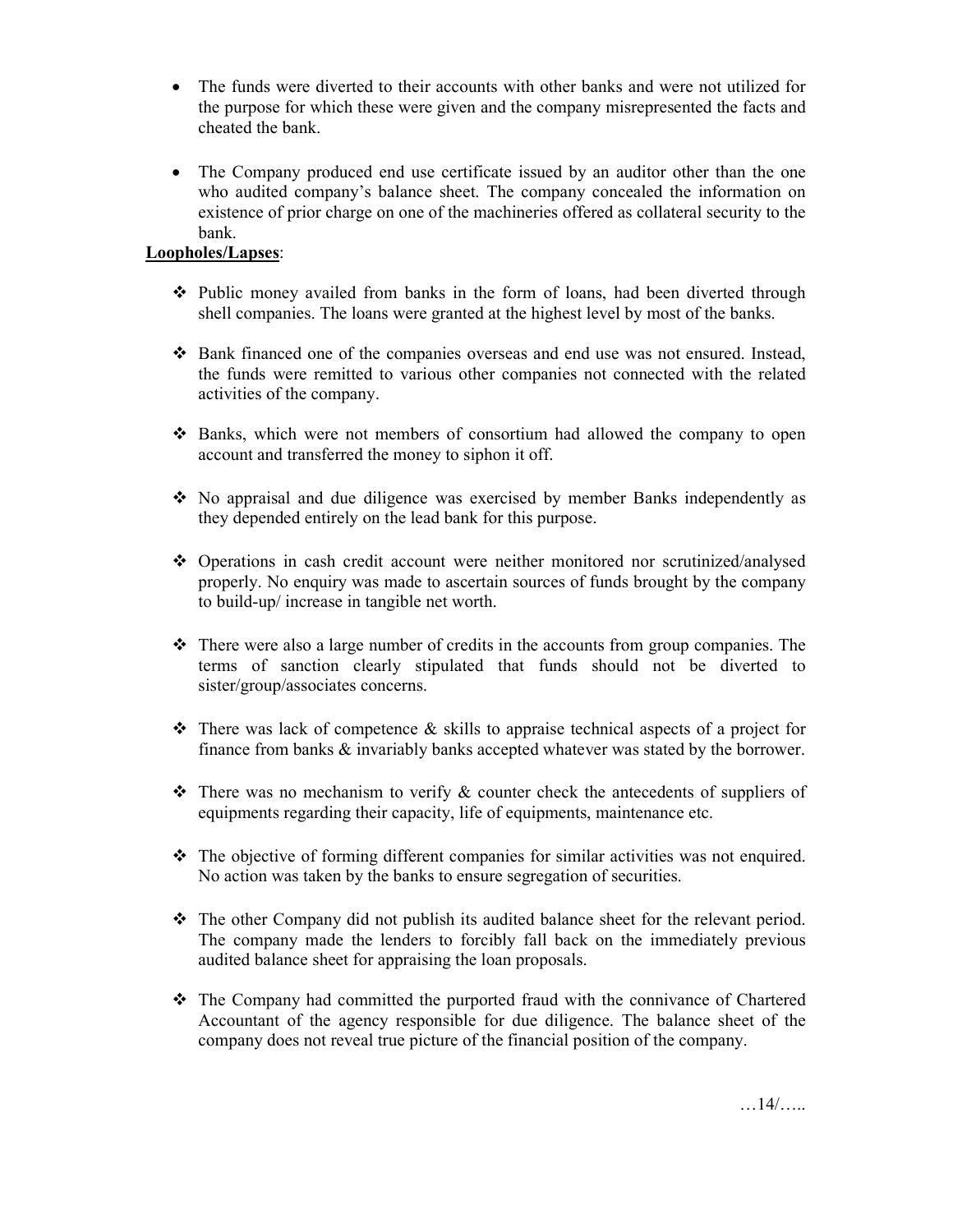- The funds were diverted to their accounts with other banks and were not utilized for the purpose for which these were given and the company misrepresented the facts and cheated the bank.
- The Company produced end use certificate issued by an auditor other than the one who audited company's balance sheet. The company concealed the information on existence of prior charge on one of the machineries offered as collateral security to the bank.

### **Loopholes/Lapses**:

- Public money availed from banks in the form of loans, had been diverted through shell companies. The loans were granted at the highest level by most of the banks.
- Bank financed one of the companies overseas and end use was not ensured. Instead, the funds were remitted to various other companies not connected with the related activities of the company.
- $\div$  Banks, which were not members of consortium had allowed the company to open account and transferred the money to siphon it off.
- No appraisal and due diligence was exercised by member Banks independently as they depended entirely on the lead bank for this purpose.
- Operations in cash credit account were neither monitored nor scrutinized/analysed properly. No enquiry was made to ascertain sources of funds brought by the company to build-up/ increase in tangible net worth.
- $\div$  There were also a large number of credits in the accounts from group companies. The terms of sanction clearly stipulated that funds should not be diverted to sister/group/associates concerns.
- $\div$  There was lack of competence  $\&$  skills to appraise technical aspects of a project for finance from banks & invariably banks accepted whatever was stated by the borrower.
- $\div$  There was no mechanism to verify & counter check the antecedents of suppliers of equipments regarding their capacity, life of equipments, maintenance etc.
- $\div$  The objective of forming different companies for similar activities was not enquired. No action was taken by the banks to ensure segregation of securities.
- The other Company did not publish its audited balance sheet for the relevant period. The company made the lenders to forcibly fall back on the immediately previous audited balance sheet for appraising the loan proposals.
- The Company had committed the purported fraud with the connivance of Chartered Accountant of the agency responsible for due diligence. The balance sheet of the company does not reveal true picture of the financial position of the company.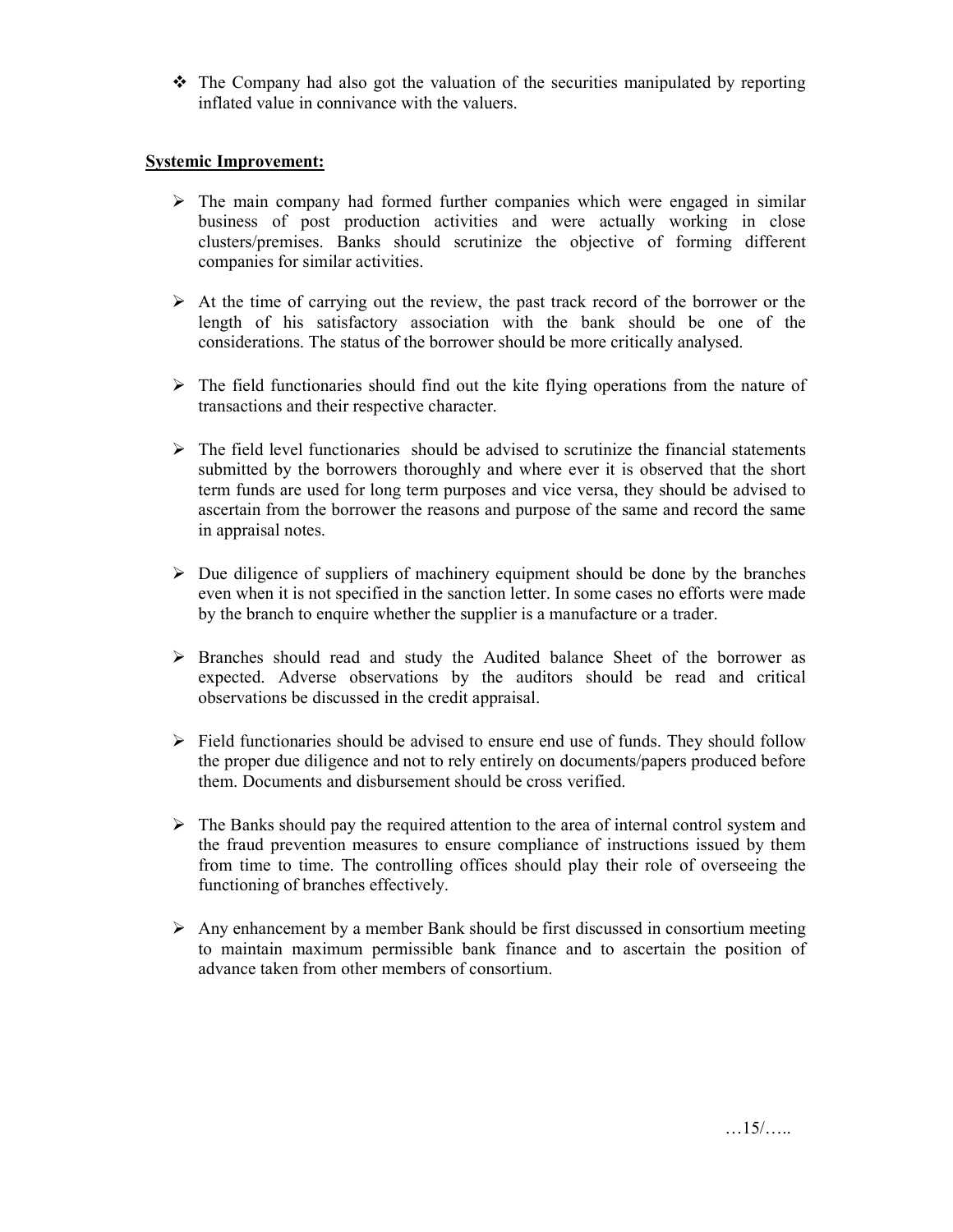$\div$  The Company had also got the valuation of the securities manipulated by reporting inflated value in connivance with the valuers.

- > The main company had formed further companies which were engaged in similar business of post production activities and were actually working in close clusters/premises. Banks should scrutinize the objective of forming different companies for similar activities.
- > At the time of carrying out the review, the past track record of the borrower or the length of his satisfactory association with the bank should be one of the considerations. The status of the borrower should be more critically analysed.
- > The field functionaries should find out the kite flying operations from the nature of transactions and their respective character.
- > The field level functionaries should be advised to scrutinize the financial statements submitted by the borrowers thoroughly and where ever it is observed that the short term funds are used for long term purposes and vice versa, they should be advised to ascertain from the borrower the reasons and purpose of the same and record the same in appraisal notes.
- > Due diligence of suppliers of machinery equipment should be done by the branches even when it is not specified in the sanction letter. In some cases no efforts were made by the branch to enquire whether the supplier is a manufacture or a trader.
- Branches should read and study the Audited balance Sheet of the borrower as expected. Adverse observations by the auditors should be read and critical observations be discussed in the credit appraisal.
- > Field functionaries should be advised to ensure end use of funds. They should follow the proper due diligence and not to rely entirely on documents/papers produced before them. Documents and disbursement should be cross verified.
- > The Banks should pay the required attention to the area of internal control system and the fraud prevention measures to ensure compliance of instructions issued by them from time to time. The controlling offices should play their role of overseeing the functioning of branches effectively.
- > Any enhancement by a member Bank should be first discussed in consortium meeting to maintain maximum permissible bank finance and to ascertain the position of advance taken from other members of consortium.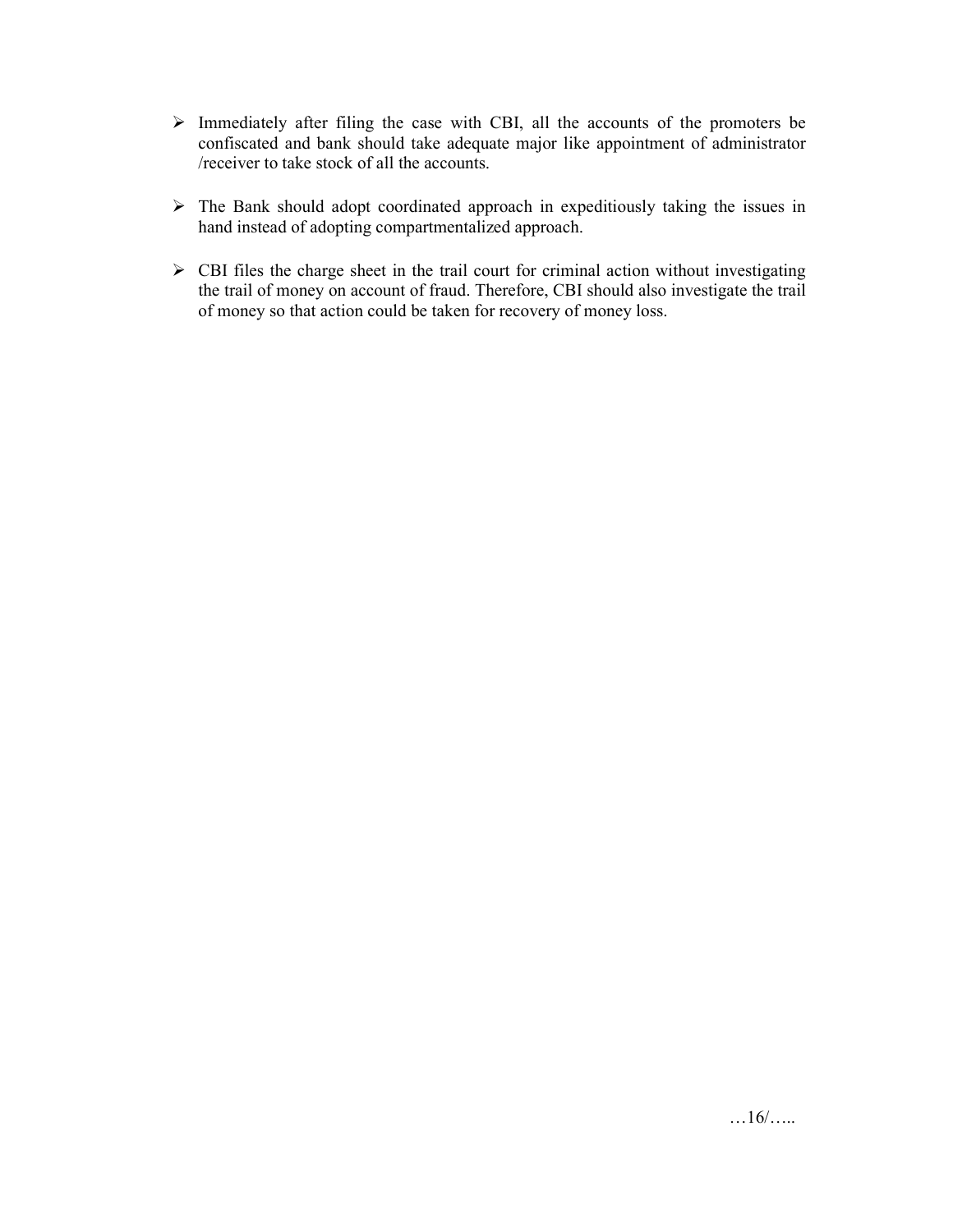- Immediately after filing the case with CBI, all the accounts of the promoters be confiscated and bank should take adequate major like appointment of administrator /receiver to take stock of all the accounts.
- > The Bank should adopt coordinated approach in expeditiously taking the issues in hand instead of adopting compartmentalized approach.
- > CBI files the charge sheet in the trail court for criminal action without investigating the trail of money on account of fraud. Therefore, CBI should also investigate the trail of money so that action could be taken for recovery of money loss.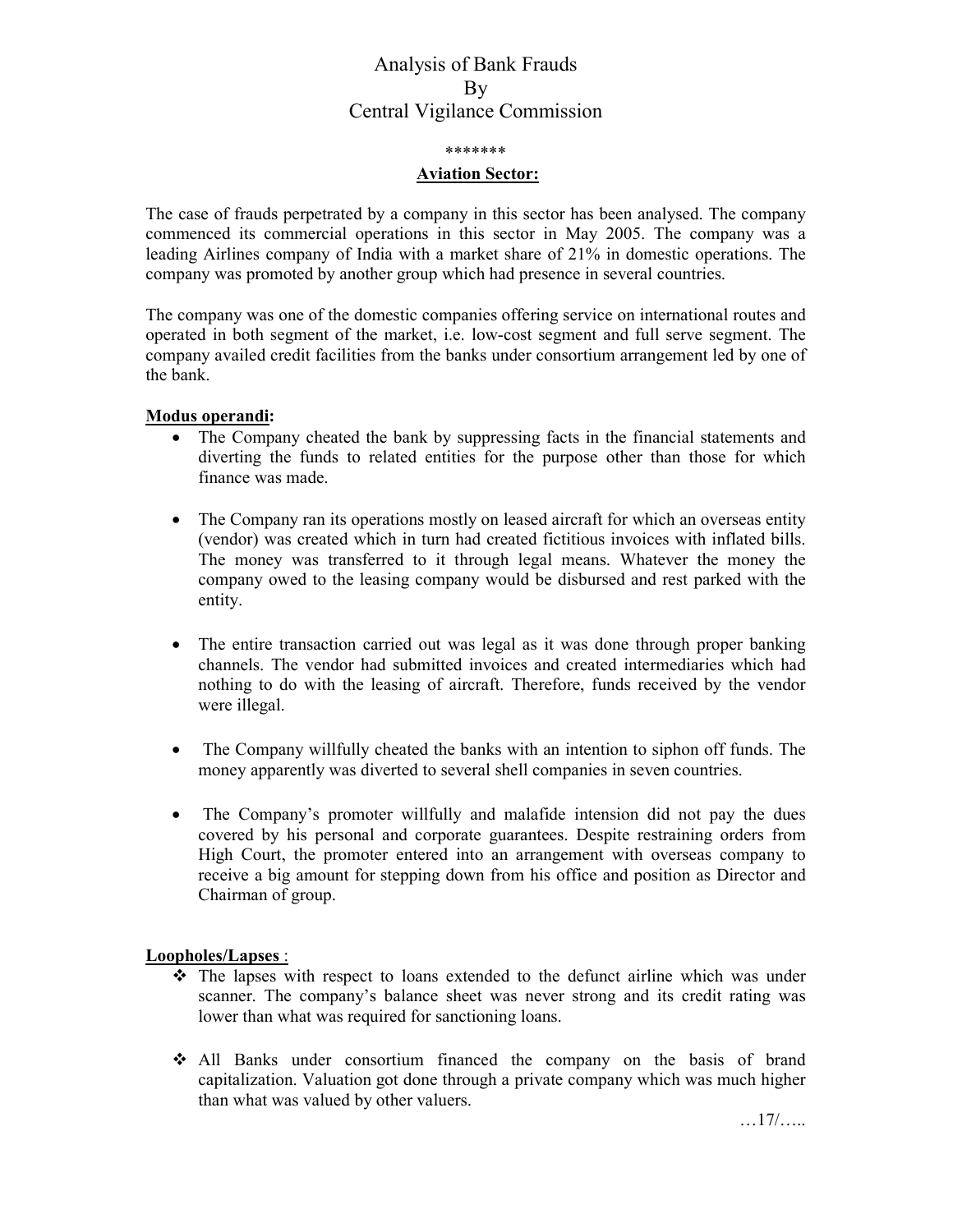#### \*\*\*\*\*\*\*

#### **Aviation Sector:**

The case of frauds perpetrated by a company in this sector has been analysed. The company commenced its commercial operations in this sector in May 2005. The company was a leading Airlines company of India with a market share of 21% in domestic operations. The company was promoted by another group which had presence in several countries.

The company was one of the domestic companies offering service on international routes and operated in both segment of the market, i.e. low-cost segment and full serve segment. The company availed credit facilities from the banks under consortium arrangement led by one of the bank.

#### **Modus operandi:**

- The Company cheated the bank by suppressing facts in the financial statements and diverting the funds to related entities for the purpose other than those for which finance was made.
- The Company ran its operations mostly on leased aircraft for which an overseas entity (vendor) was created which in turn had created fictitious invoices with inflated bills. The money was transferred to it through legal means. Whatever the money the company owed to the leasing company would be disbursed and rest parked with the entity.
- The entire transaction carried out was legal as it was done through proper banking channels. The vendor had submitted invoices and created intermediaries which had nothing to do with the leasing of aircraft. Therefore, funds received by the vendor were illegal.
- The Company willfully cheated the banks with an intention to siphon off funds. The money apparently was diverted to several shell companies in seven countries.
- The Company's promoter willfully and malafide intension did not pay the dues covered by his personal and corporate guarantees. Despite restraining orders from High Court, the promoter entered into an arrangement with overseas company to receive a big amount for stepping down from his office and position as Director and Chairman of group.

#### **Loopholes/Lapses** :

- The lapses with respect to loans extended to the defunct airline which was under scanner. The company's balance sheet was never strong and its credit rating was lower than what was required for sanctioning loans.
- All Banks under consortium financed the company on the basis of brand capitalization. Valuation got done through a private company which was much higher than what was valued by other valuers.

…17/…..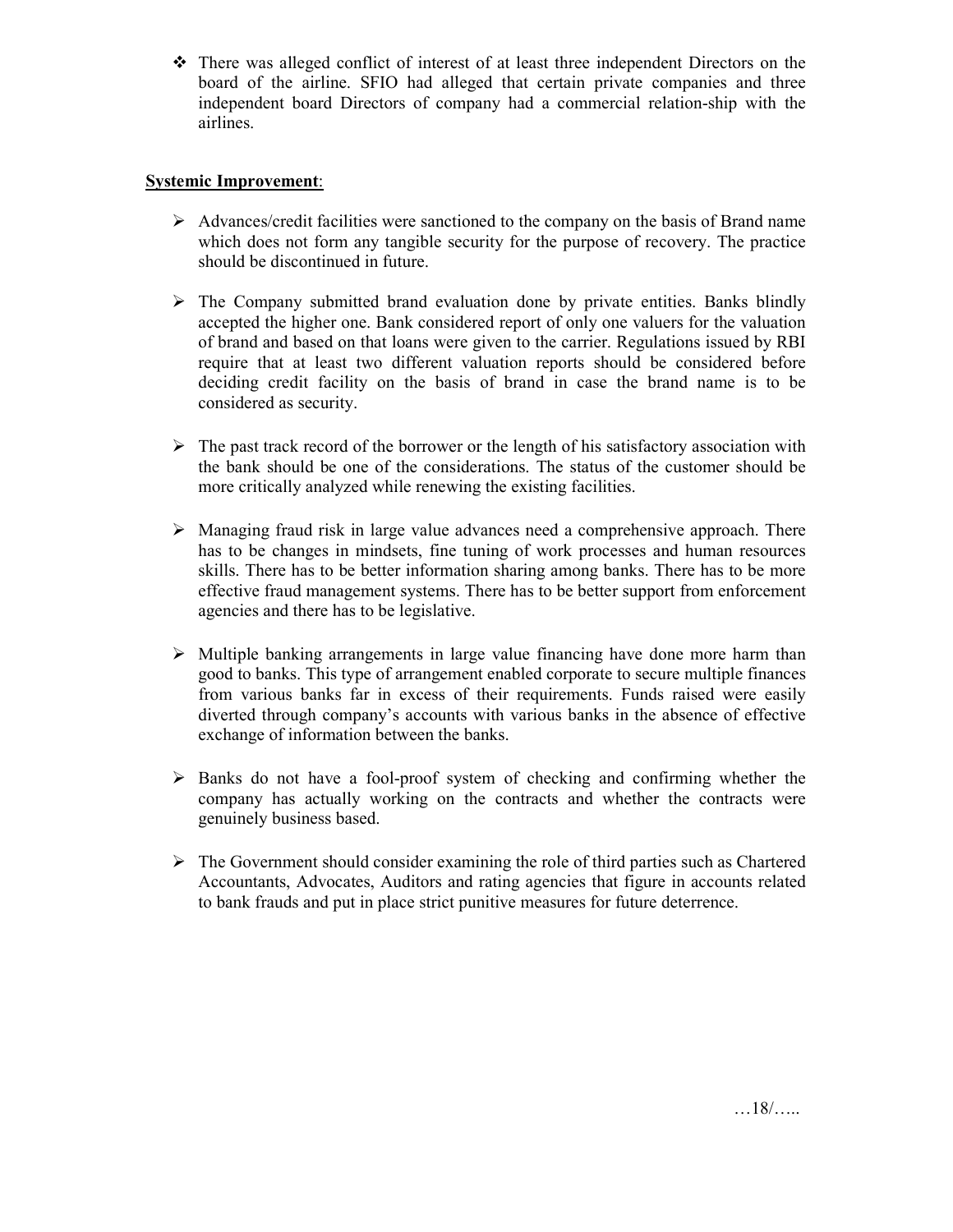There was alleged conflict of interest of at least three independent Directors on the board of the airline. SFIO had alleged that certain private companies and three independent board Directors of company had a commercial relation-ship with the airlines.

- > Advances/credit facilities were sanctioned to the company on the basis of Brand name which does not form any tangible security for the purpose of recovery. The practice should be discontinued in future.
- > The Company submitted brand evaluation done by private entities. Banks blindly accepted the higher one. Bank considered report of only one valuers for the valuation of brand and based on that loans were given to the carrier. Regulations issued by RBI require that at least two different valuation reports should be considered before deciding credit facility on the basis of brand in case the brand name is to be considered as security.
- > The past track record of the borrower or the length of his satisfactory association with the bank should be one of the considerations. The status of the customer should be more critically analyzed while renewing the existing facilities.
- > Managing fraud risk in large value advances need a comprehensive approach. There has to be changes in mindsets, fine tuning of work processes and human resources skills. There has to be better information sharing among banks. There has to be more effective fraud management systems. There has to be better support from enforcement agencies and there has to be legislative.
- > Multiple banking arrangements in large value financing have done more harm than good to banks. This type of arrangement enabled corporate to secure multiple finances from various banks far in excess of their requirements. Funds raised were easily diverted through company's accounts with various banks in the absence of effective exchange of information between the banks.
- > Banks do not have a fool-proof system of checking and confirming whether the company has actually working on the contracts and whether the contracts were genuinely business based.
- > The Government should consider examining the role of third parties such as Chartered Accountants, Advocates, Auditors and rating agencies that figure in accounts related to bank frauds and put in place strict punitive measures for future deterrence.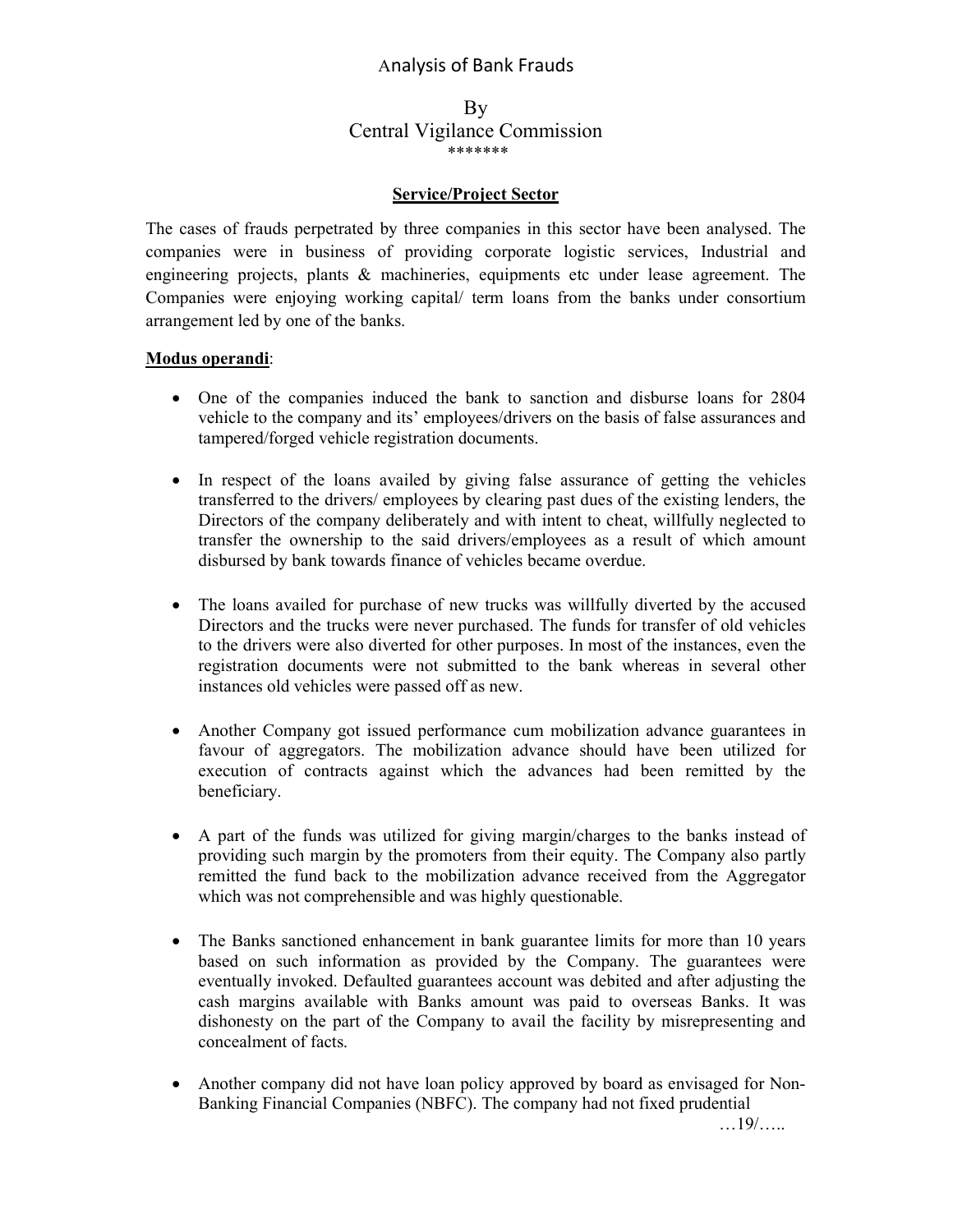## Analysis of Bank Frauds

#### By Central Vigilance Commission \*\*\*\*\*\*\*

#### **Service/Project Sector**

The cases of frauds perpetrated by three companies in this sector have been analysed. The companies were in business of providing corporate logistic services, Industrial and engineering projects, plants  $\&$  machineries, equipments etc under lease agreement. The Companies were enjoying working capital/ term loans from the banks under consortium arrangement led by one of the banks.

#### **Modus operandi**:

- One of the companies induced the bank to sanction and disburse loans for 2804 vehicle to the company and its' employees/drivers on the basis of false assurances and tampered/forged vehicle registration documents.
- In respect of the loans availed by giving false assurance of getting the vehicles transferred to the drivers/ employees by clearing past dues of the existing lenders, the Directors of the company deliberately and with intent to cheat, willfully neglected to transfer the ownership to the said drivers/employees as a result of which amount disbursed by bank towards finance of vehicles became overdue.
- The loans availed for purchase of new trucks was willfully diverted by the accused Directors and the trucks were never purchased. The funds for transfer of old vehicles to the drivers were also diverted for other purposes. In most of the instances, even the registration documents were not submitted to the bank whereas in several other instances old vehicles were passed off as new.
- Another Company got issued performance cum mobilization advance guarantees in favour of aggregators. The mobilization advance should have been utilized for execution of contracts against which the advances had been remitted by the beneficiary.
- A part of the funds was utilized for giving margin/charges to the banks instead of providing such margin by the promoters from their equity. The Company also partly remitted the fund back to the mobilization advance received from the Aggregator which was not comprehensible and was highly questionable.
- The Banks sanctioned enhancement in bank guarantee limits for more than 10 years based on such information as provided by the Company. The guarantees were eventually invoked. Defaulted guarantees account was debited and after adjusting the cash margins available with Banks amount was paid to overseas Banks. It was dishonesty on the part of the Company to avail the facility by misrepresenting and concealment of facts.
- Another company did not have loan policy approved by board as envisaged for Non-Banking Financial Companies (NBFC). The company had not fixed prudential

…19/…..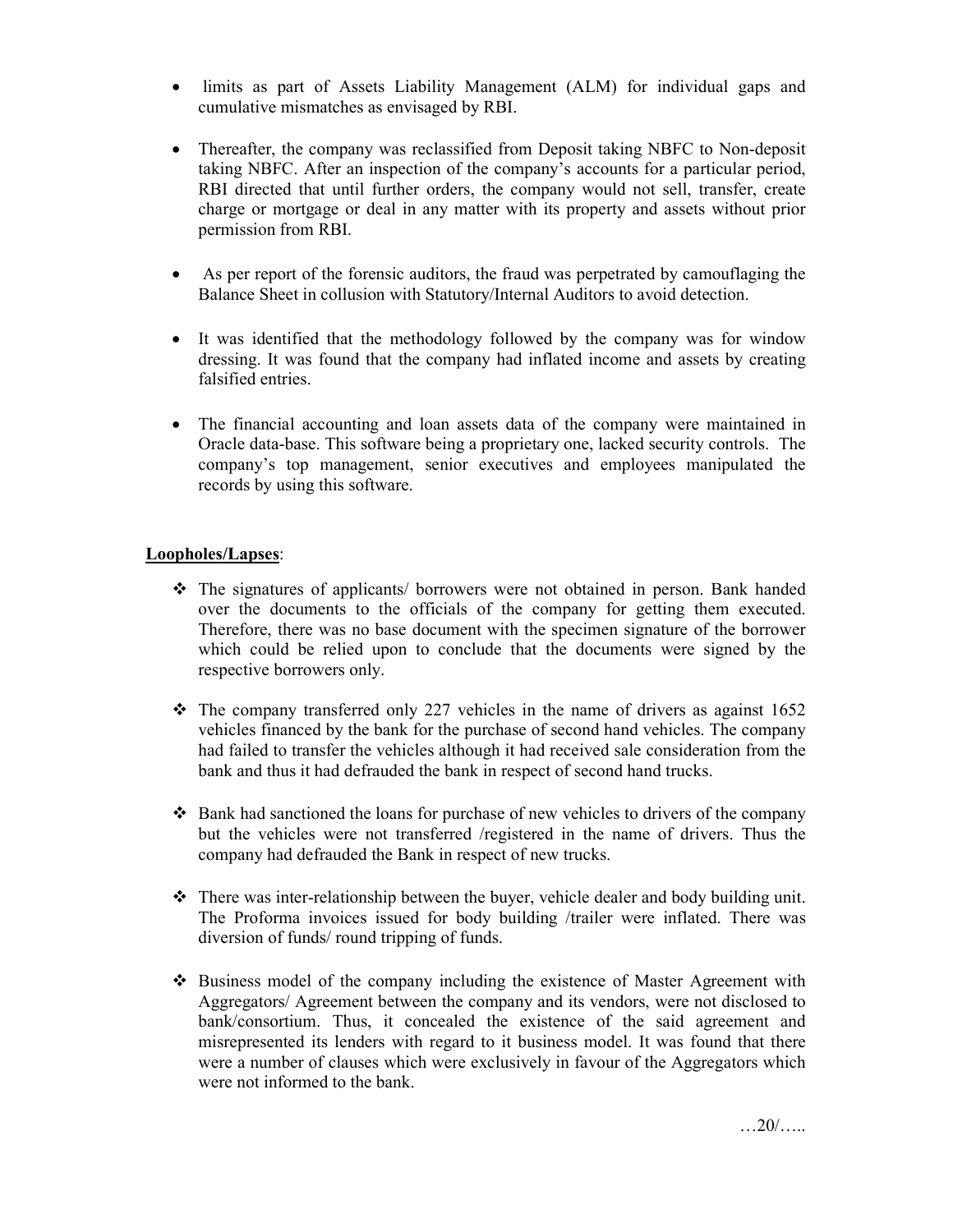- limits as part of Assets Liability Management (ALM) for individual gaps and cumulative mismatches as envisaged by RBI.
- Thereafter, the company was reclassified from Deposit taking NBFC to Non-deposit taking NBFC. After an inspection of the company's accounts for a particular period, RBI directed that until further orders, the company would not sell, transfer, create charge or mortgage or deal in any matter with its property and assets without prior permission from RBI.
- As per report of the forensic auditors, the fraud was perpetrated by camouflaging the Balance Sheet in collusion with Statutory/Internal Auditors to avoid detection.
- It was identified that the methodology followed by the company was for window dressing. It was found that the company had inflated income and assets by creating falsified entries.
- The financial accounting and loan assets data of the company were maintained in Oracle data-base. This software being a proprietary one, lacked security controls. The company's top management, senior executives and employees manipulated the records by using this software.

#### **Loopholes/Lapses**:

- The signatures of applicants/ borrowers were not obtained in person. Bank handed over the documents to the officials of the company for getting them executed. Therefore, there was no base document with the specimen signature of the borrower which could be relied upon to conclude that the documents were signed by the respective borrowers only.
- $\cdot$  The company transferred only 227 vehicles in the name of drivers as against 1652 vehicles financed by the bank for the purchase of second hand vehicles. The company had failed to transfer the vehicles although it had received sale consideration from the bank and thus it had defrauded the bank in respect of second hand trucks.
- $\div$  Bank had sanctioned the loans for purchase of new vehicles to drivers of the company but the vehicles were not transferred /registered in the name of drivers. Thus the company had defrauded the Bank in respect of new trucks.
- There was inter-relationship between the buyer, vehicle dealer and body building unit. The Proforma invoices issued for body building /trailer were inflated. There was diversion of funds/ round tripping of funds.
- $\div$  Business model of the company including the existence of Master Agreement with Aggregators/ Agreement between the company and its vendors, were not disclosed to bank/consortium. Thus, it concealed the existence of the said agreement and misrepresented its lenders with regard to it business model. It was found that there were a number of clauses which were exclusively in favour of the Aggregators which were not informed to the bank.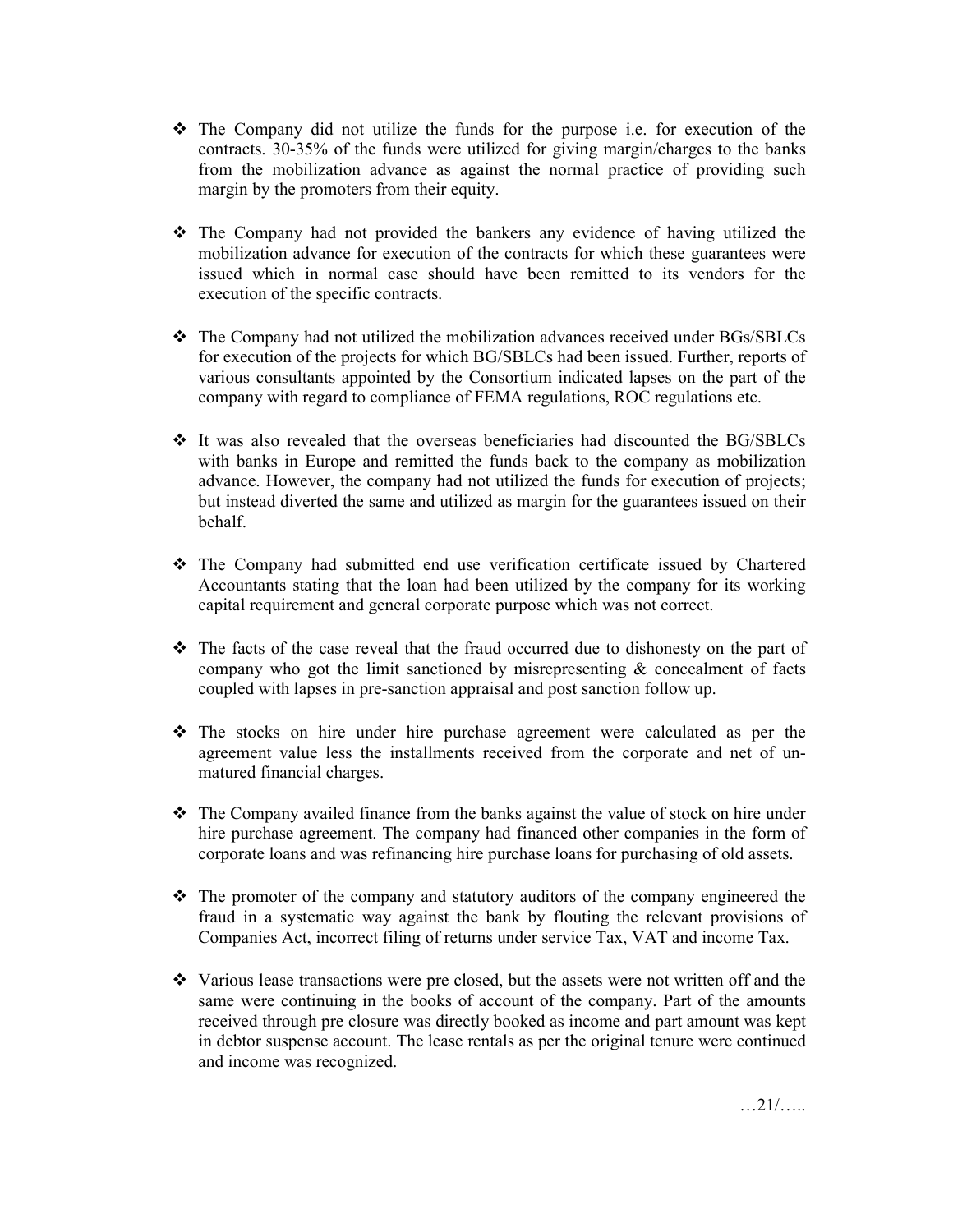- $\hat{\mathbf{v}}$  The Company did not utilize the funds for the purpose i.e. for execution of the contracts. 30-35% of the funds were utilized for giving margin/charges to the banks from the mobilization advance as against the normal practice of providing such margin by the promoters from their equity.
- The Company had not provided the bankers any evidence of having utilized the mobilization advance for execution of the contracts for which these guarantees were issued which in normal case should have been remitted to its vendors for the execution of the specific contracts.
- The Company had not utilized the mobilization advances received under BGs/SBLCs for execution of the projects for which BG/SBLCs had been issued. Further, reports of various consultants appointed by the Consortium indicated lapses on the part of the company with regard to compliance of FEMA regulations, ROC regulations etc.
- $\div$  It was also revealed that the overseas beneficiaries had discounted the BG/SBLCs with banks in Europe and remitted the funds back to the company as mobilization advance. However, the company had not utilized the funds for execution of projects; but instead diverted the same and utilized as margin for the guarantees issued on their behalf.
- The Company had submitted end use verification certificate issued by Chartered Accountants stating that the loan had been utilized by the company for its working capital requirement and general corporate purpose which was not correct.
- The facts of the case reveal that the fraud occurred due to dishonesty on the part of company who got the limit sanctioned by misrepresenting & concealment of facts coupled with lapses in pre-sanction appraisal and post sanction follow up.
- The stocks on hire under hire purchase agreement were calculated as per the agreement value less the installments received from the corporate and net of unmatured financial charges.
- The Company availed finance from the banks against the value of stock on hire under hire purchase agreement. The company had financed other companies in the form of corporate loans and was refinancing hire purchase loans for purchasing of old assets.
- The promoter of the company and statutory auditors of the company engineered the fraud in a systematic way against the bank by flouting the relevant provisions of Companies Act, incorrect filing of returns under service Tax, VAT and income Tax.
- Various lease transactions were pre closed, but the assets were not written off and the same were continuing in the books of account of the company. Part of the amounts received through pre closure was directly booked as income and part amount was kept in debtor suspense account. The lease rentals as per the original tenure were continued and income was recognized.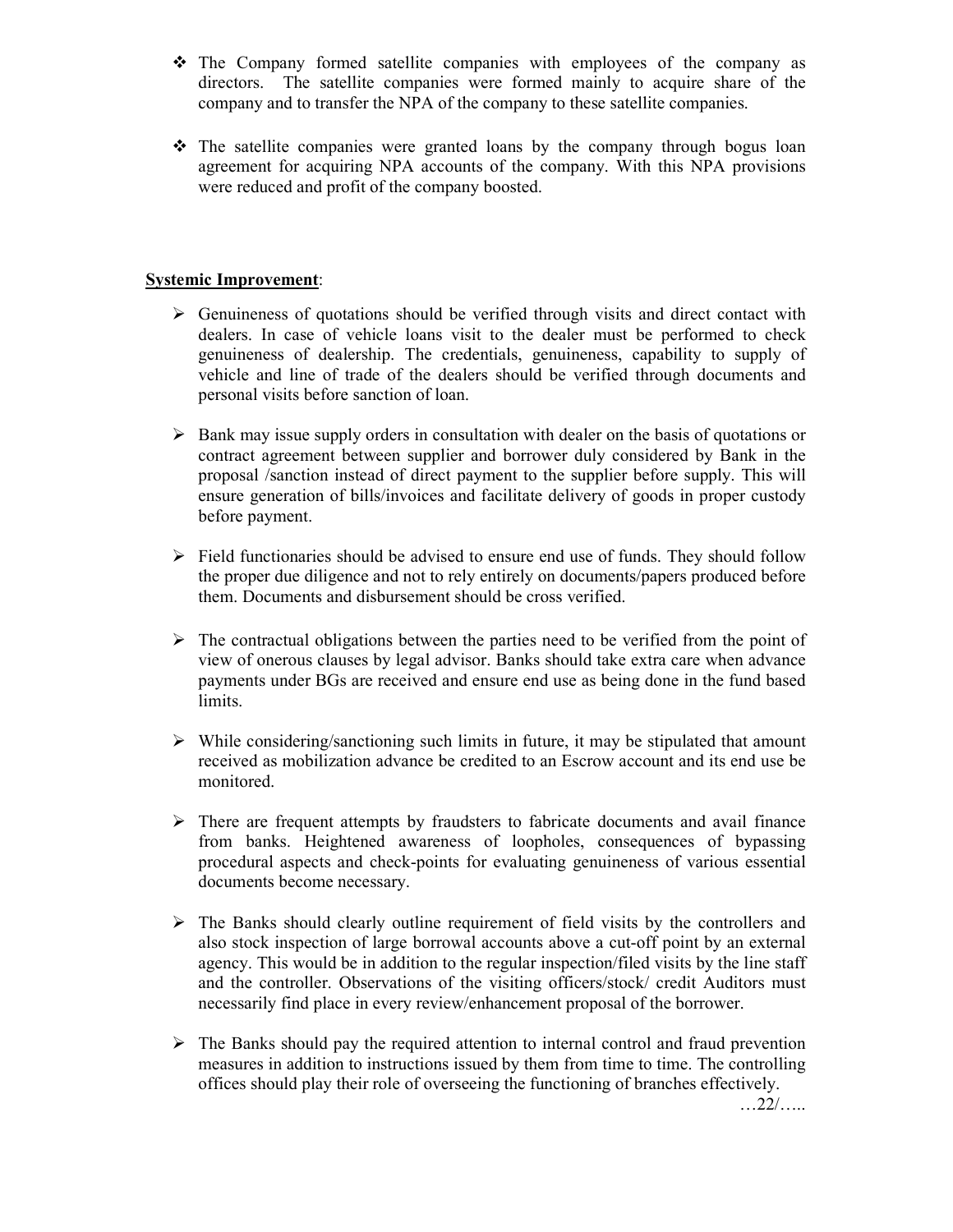- $\div$  The Company formed satellite companies with employees of the company as directors. The satellite companies were formed mainly to acquire share of the company and to transfer the NPA of the company to these satellite companies.
- The satellite companies were granted loans by the company through bogus loan agreement for acquiring NPA accounts of the company. With this NPA provisions were reduced and profit of the company boosted.

#### **Systemic Improvement**:

- Genuineness of quotations should be verified through visits and direct contact with dealers. In case of vehicle loans visit to the dealer must be performed to check genuineness of dealership. The credentials, genuineness, capability to supply of vehicle and line of trade of the dealers should be verified through documents and personal visits before sanction of loan.
- > Bank may issue supply orders in consultation with dealer on the basis of quotations or contract agreement between supplier and borrower duly considered by Bank in the proposal /sanction instead of direct payment to the supplier before supply. This will ensure generation of bills/invoices and facilitate delivery of goods in proper custody before payment.
- > Field functionaries should be advised to ensure end use of funds. They should follow the proper due diligence and not to rely entirely on documents/papers produced before them. Documents and disbursement should be cross verified.
- > The contractual obligations between the parties need to be verified from the point of view of onerous clauses by legal advisor. Banks should take extra care when advance payments under BGs are received and ensure end use as being done in the fund based limits.
- > While considering/sanctioning such limits in future, it may be stipulated that amount received as mobilization advance be credited to an Escrow account and its end use be monitored.
- > There are frequent attempts by fraudsters to fabricate documents and avail finance from banks. Heightened awareness of loopholes, consequences of bypassing procedural aspects and check-points for evaluating genuineness of various essential documents become necessary.
- > The Banks should clearly outline requirement of field visits by the controllers and also stock inspection of large borrowal accounts above a cut-off point by an external agency. This would be in addition to the regular inspection/filed visits by the line staff and the controller. Observations of the visiting officers/stock/ credit Auditors must necessarily find place in every review/enhancement proposal of the borrower.
- > The Banks should pay the required attention to internal control and fraud prevention measures in addition to instructions issued by them from time to time. The controlling offices should play their role of overseeing the functioning of branches effectively.

…22/…..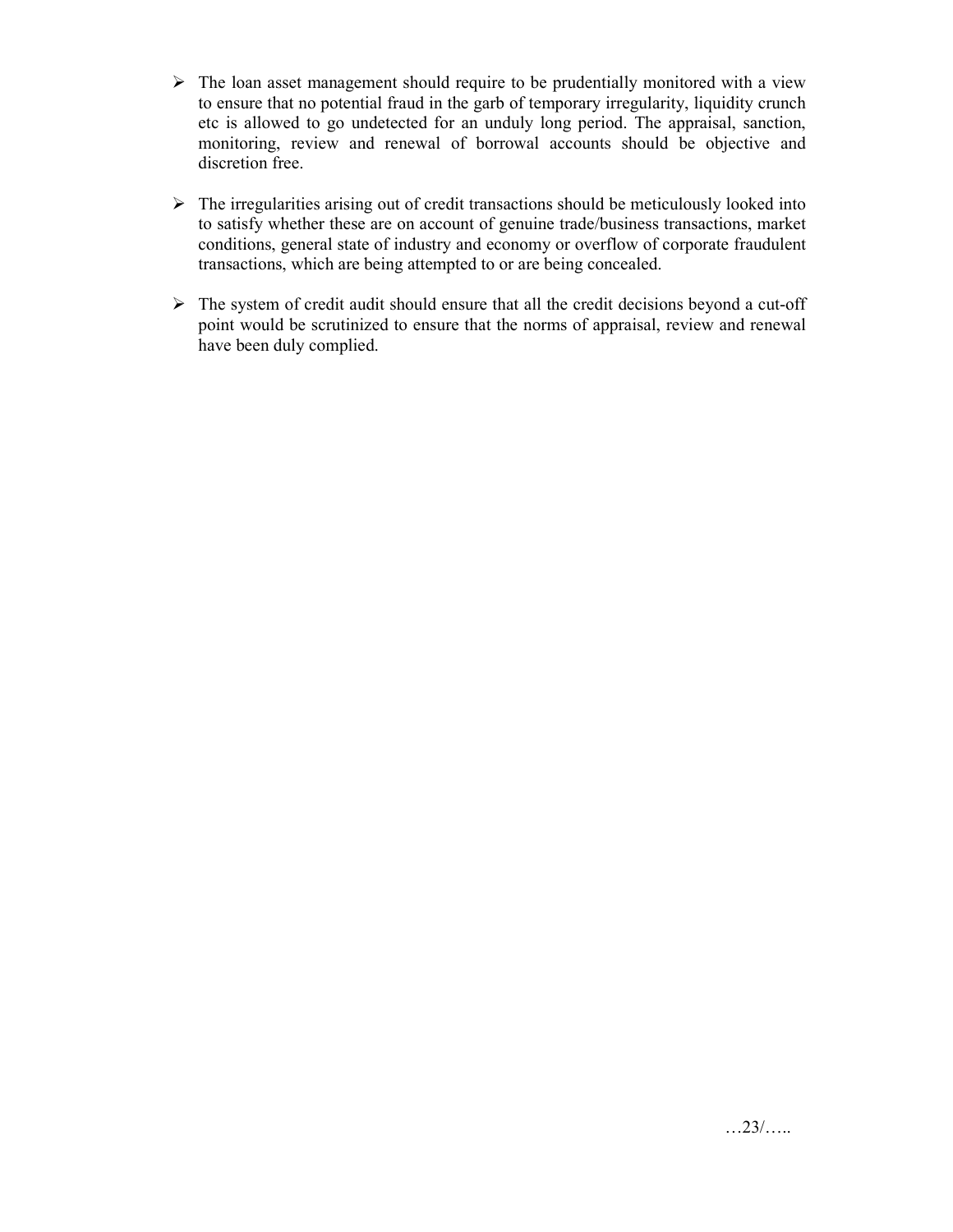- > The loan asset management should require to be prudentially monitored with a view to ensure that no potential fraud in the garb of temporary irregularity, liquidity crunch etc is allowed to go undetected for an unduly long period. The appraisal, sanction, monitoring, review and renewal of borrowal accounts should be objective and discretion free.
- > The irregularities arising out of credit transactions should be meticulously looked into to satisfy whether these are on account of genuine trade/business transactions, market conditions, general state of industry and economy or overflow of corporate fraudulent transactions, which are being attempted to or are being concealed.
- > The system of credit audit should ensure that all the credit decisions beyond a cut-off point would be scrutinized to ensure that the norms of appraisal, review and renewal have been duly complied.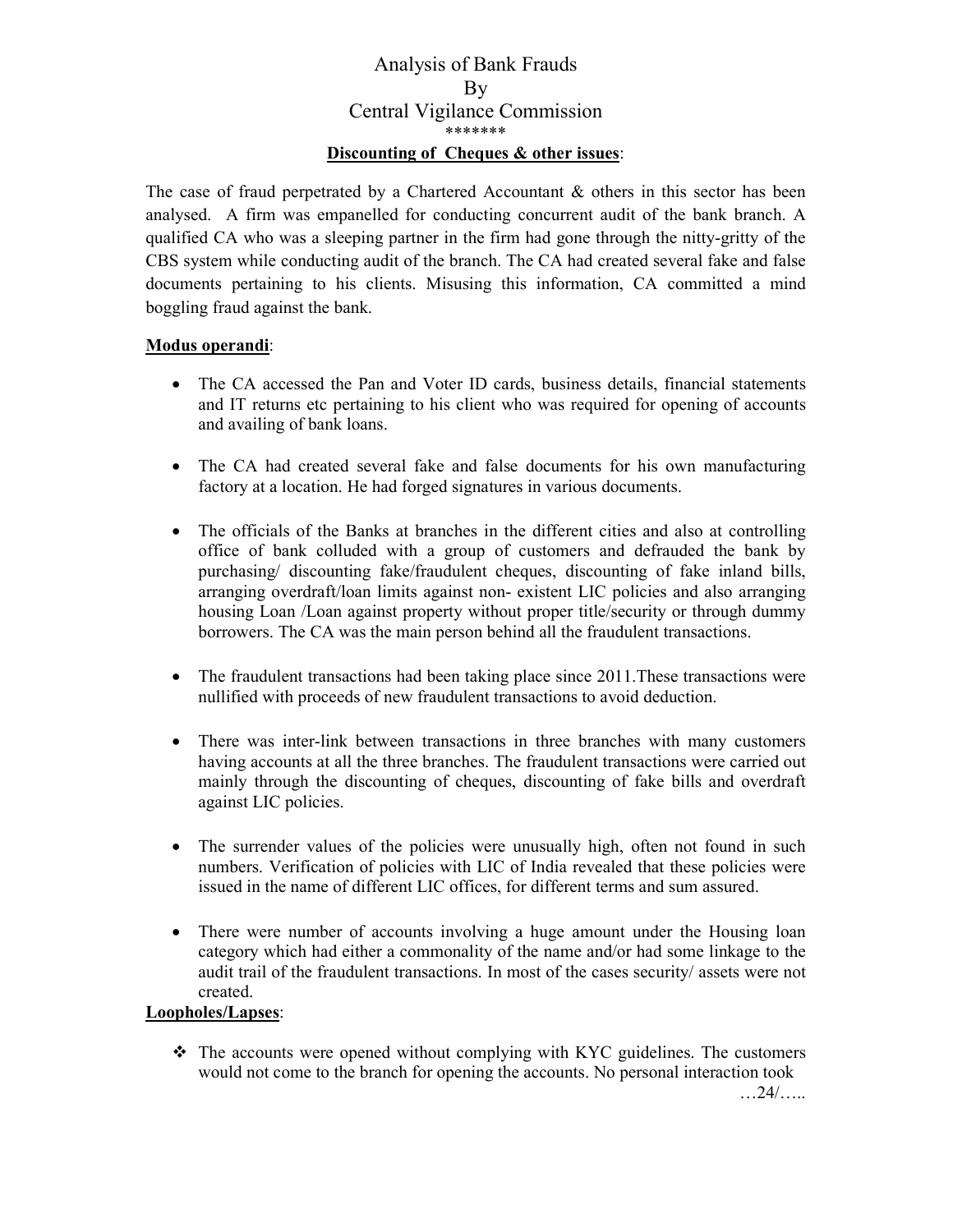# Analysis of Bank Frauds By Central Vigilance Commission \*\*\*\*\*\*\* **Discounting of Cheques & other issues**:

The case of fraud perpetrated by a Chartered Accountant  $\&$  others in this sector has been analysed. A firm was empanelled for conducting concurrent audit of the bank branch. A qualified CA who was a sleeping partner in the firm had gone through the nitty-gritty of the CBS system while conducting audit of the branch. The CA had created several fake and false documents pertaining to his clients. Misusing this information, CA committed a mind boggling fraud against the bank.

#### **Modus operandi**:

- The CA accessed the Pan and Voter ID cards, business details, financial statements and IT returns etc pertaining to his client who was required for opening of accounts and availing of bank loans.
- The CA had created several fake and false documents for his own manufacturing factory at a location. He had forged signatures in various documents.
- The officials of the Banks at branches in the different cities and also at controlling office of bank colluded with a group of customers and defrauded the bank by purchasing/ discounting fake/fraudulent cheques, discounting of fake inland bills, arranging overdraft/loan limits against non- existent LIC policies and also arranging housing Loan /Loan against property without proper title/security or through dummy borrowers. The CA was the main person behind all the fraudulent transactions.
- The fraudulent transactions had been taking place since 2011. These transactions were nullified with proceeds of new fraudulent transactions to avoid deduction.
- There was inter-link between transactions in three branches with many customers having accounts at all the three branches. The fraudulent transactions were carried out mainly through the discounting of cheques, discounting of fake bills and overdraft against LIC policies.
- The surrender values of the policies were unusually high, often not found in such numbers. Verification of policies with LIC of India revealed that these policies were issued in the name of different LIC offices, for different terms and sum assured.
- There were number of accounts involving a huge amount under the Housing loan category which had either a commonality of the name and/or had some linkage to the audit trail of the fraudulent transactions. In most of the cases security/ assets were not created.

### **Loopholes/Lapses**:

• The accounts were opened without complying with KYC guidelines. The customers would not come to the branch for opening the accounts. No personal interaction took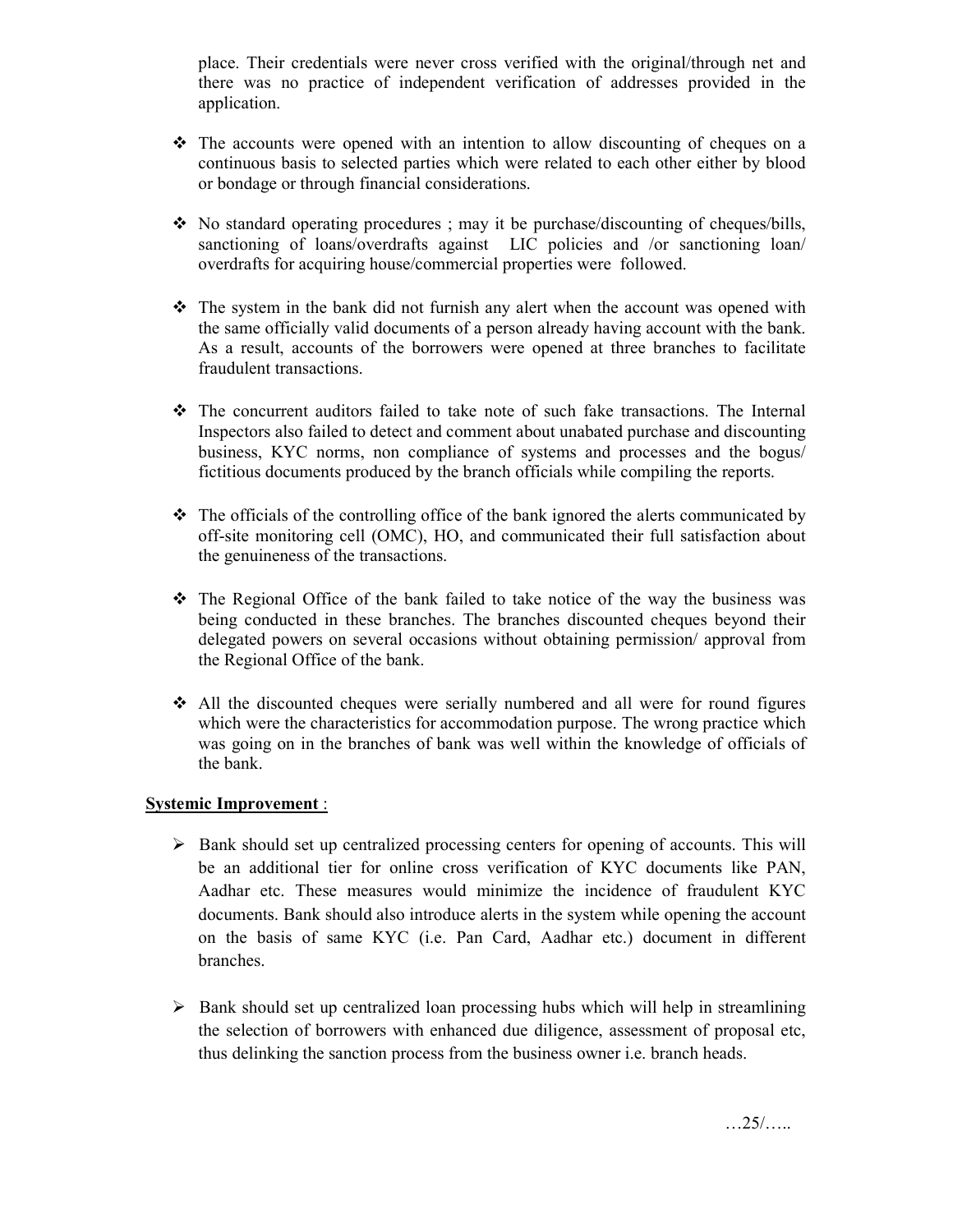place. Their credentials were never cross verified with the original/through net and there was no practice of independent verification of addresses provided in the application.

- $\hat{\mathbf{v}}$  The accounts were opened with an intention to allow discounting of cheques on a continuous basis to selected parties which were related to each other either by blood or bondage or through financial considerations.
- $\bullet$  No standard operating procedures ; may it be purchase/discounting of cheques/bills, sanctioning of loans/overdrafts against LIC policies and /or sanctioning loan/ overdrafts for acquiring house/commercial properties were followed.
- $\hat{\mathbf{v}}$  The system in the bank did not furnish any alert when the account was opened with the same officially valid documents of a person already having account with the bank. As a result, accounts of the borrowers were opened at three branches to facilitate fraudulent transactions.
- The concurrent auditors failed to take note of such fake transactions. The Internal Inspectors also failed to detect and comment about unabated purchase and discounting business, KYC norms, non compliance of systems and processes and the bogus/ fictitious documents produced by the branch officials while compiling the reports.
- $\div$  The officials of the controlling office of the bank ignored the alerts communicated by off-site monitoring cell (OMC), HO, and communicated their full satisfaction about the genuineness of the transactions.
- $\div$  The Regional Office of the bank failed to take notice of the way the business was being conducted in these branches. The branches discounted cheques beyond their delegated powers on several occasions without obtaining permission/ approval from the Regional Office of the bank.
- $\div$  All the discounted cheques were serially numbered and all were for round figures which were the characteristics for accommodation purpose. The wrong practice which was going on in the branches of bank was well within the knowledge of officials of the bank.

- > Bank should set up centralized processing centers for opening of accounts. This will be an additional tier for online cross verification of KYC documents like PAN, Aadhar etc. These measures would minimize the incidence of fraudulent KYC documents. Bank should also introduce alerts in the system while opening the account on the basis of same KYC (i.e. Pan Card, Aadhar etc.) document in different branches.
- > Bank should set up centralized loan processing hubs which will help in streamlining the selection of borrowers with enhanced due diligence, assessment of proposal etc, thus delinking the sanction process from the business owner i.e. branch heads.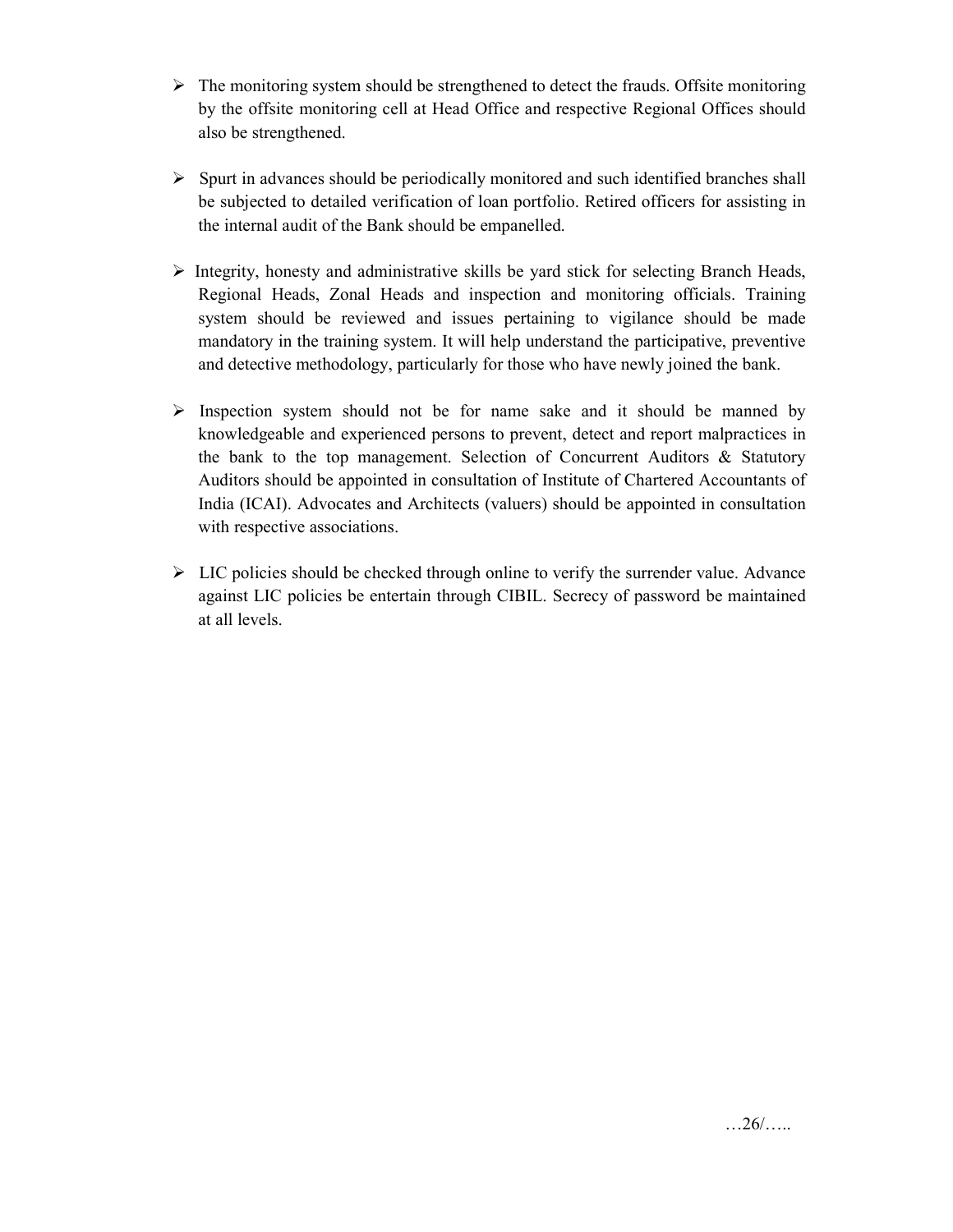- > The monitoring system should be strengthened to detect the frauds. Offsite monitoring by the offsite monitoring cell at Head Office and respective Regional Offices should also be strengthened.
- > Spurt in advances should be periodically monitored and such identified branches shall be subjected to detailed verification of loan portfolio. Retired officers for assisting in the internal audit of the Bank should be empanelled.
- Integrity, honesty and administrative skills be yard stick for selecting Branch Heads, Regional Heads, Zonal Heads and inspection and monitoring officials. Training system should be reviewed and issues pertaining to vigilance should be made mandatory in the training system. It will help understand the participative, preventive and detective methodology, particularly for those who have newly joined the bank.
- Inspection system should not be for name sake and it should be manned by knowledgeable and experienced persons to prevent, detect and report malpractices in the bank to the top management. Selection of Concurrent Auditors & Statutory Auditors should be appointed in consultation of Institute of Chartered Accountants of India (ICAI). Advocates and Architects (valuers) should be appointed in consultation with respective associations.
- > LIC policies should be checked through online to verify the surrender value. Advance against LIC policies be entertain through CIBIL. Secrecy of password be maintained at all levels.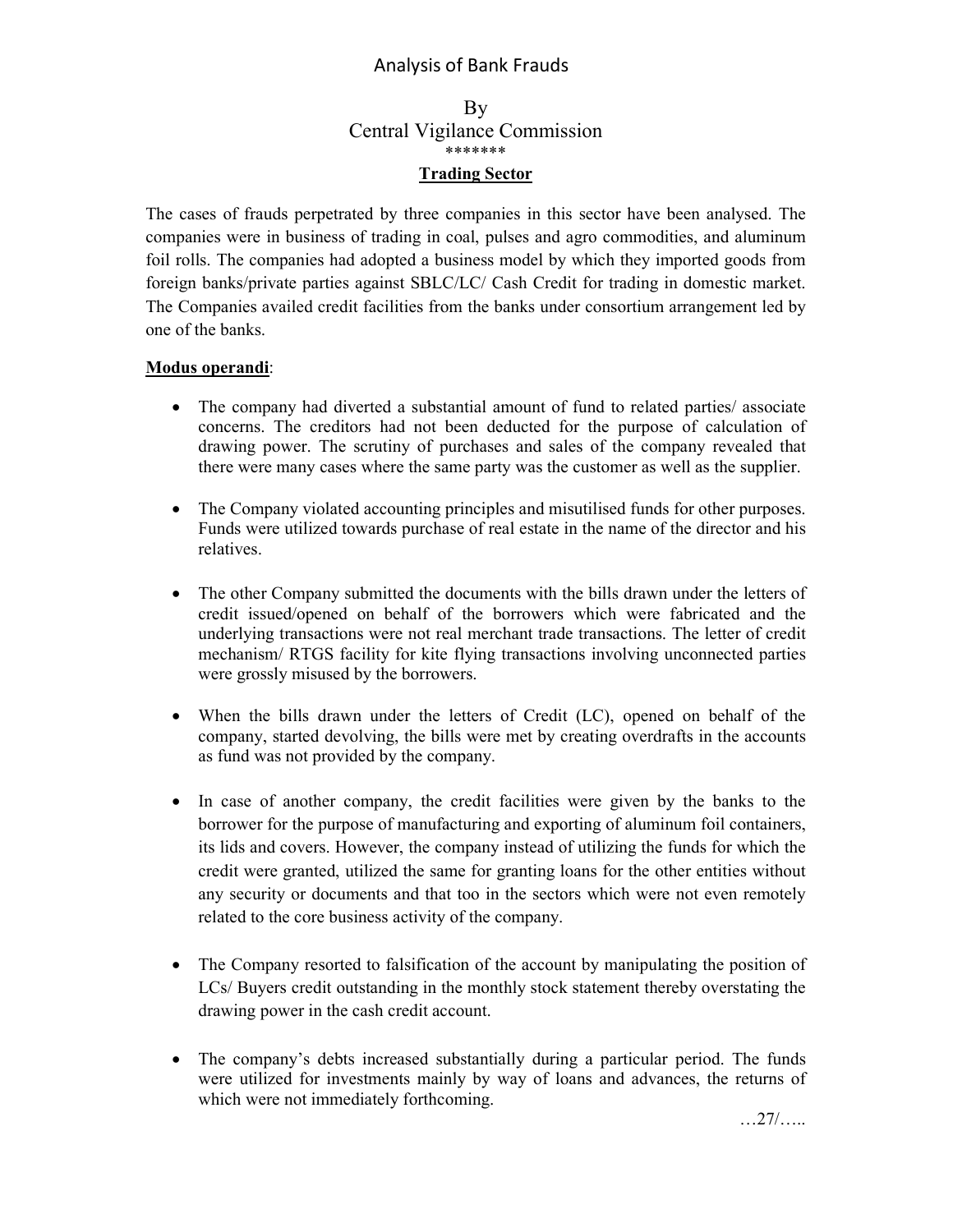# Analysis of Bank Frauds

### By Central Vigilance Commission \*\*\*\*\*\*\* **Trading Sector**

The cases of frauds perpetrated by three companies in this sector have been analysed. The companies were in business of trading in coal, pulses and agro commodities, and aluminum foil rolls. The companies had adopted a business model by which they imported goods from foreign banks/private parties against SBLC/LC/ Cash Credit for trading in domestic market. The Companies availed credit facilities from the banks under consortium arrangement led by one of the banks.

#### **Modus operandi**:

- The company had diverted a substantial amount of fund to related parties/ associate concerns. The creditors had not been deducted for the purpose of calculation of drawing power. The scrutiny of purchases and sales of the company revealed that there were many cases where the same party was the customer as well as the supplier.
- The Company violated accounting principles and misutilised funds for other purposes. Funds were utilized towards purchase of real estate in the name of the director and his relatives.
- The other Company submitted the documents with the bills drawn under the letters of credit issued/opened on behalf of the borrowers which were fabricated and the underlying transactions were not real merchant trade transactions. The letter of credit mechanism/ RTGS facility for kite flying transactions involving unconnected parties were grossly misused by the borrowers.
- When the bills drawn under the letters of Credit (LC), opened on behalf of the company, started devolving, the bills were met by creating overdrafts in the accounts as fund was not provided by the company.
- In case of another company, the credit facilities were given by the banks to the borrower for the purpose of manufacturing and exporting of aluminum foil containers, its lids and covers. However, the company instead of utilizing the funds for which the credit were granted, utilized the same for granting loans for the other entities without any security or documents and that too in the sectors which were not even remotely related to the core business activity of the company.
- The Company resorted to falsification of the account by manipulating the position of LCs/ Buyers credit outstanding in the monthly stock statement thereby overstating the drawing power in the cash credit account.
- The company's debts increased substantially during a particular period. The funds were utilized for investments mainly by way of loans and advances, the returns of which were not immediately forthcoming.

…27/…..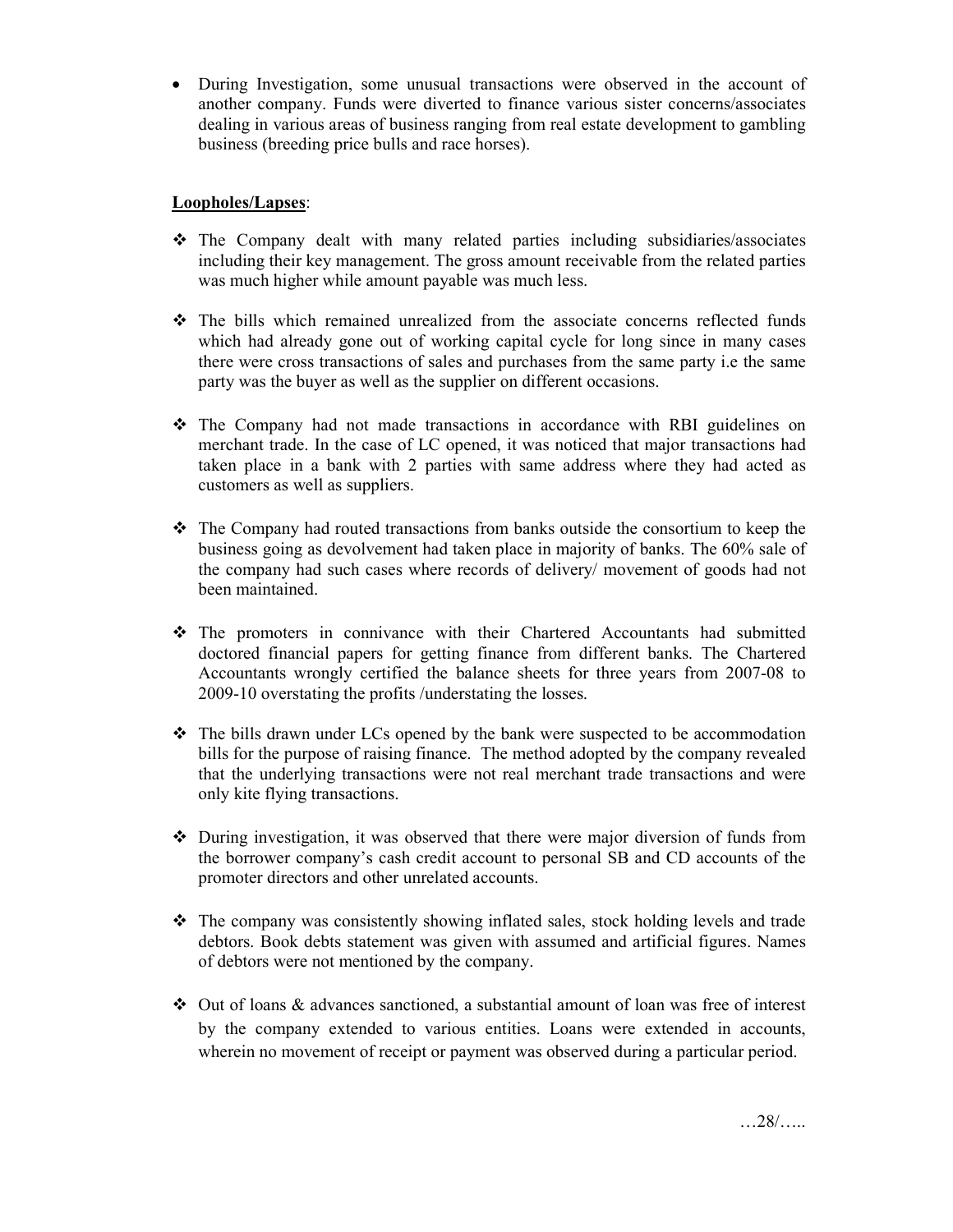• During Investigation, some unusual transactions were observed in the account of another company. Funds were diverted to finance various sister concerns/associates dealing in various areas of business ranging from real estate development to gambling business (breeding price bulls and race horses).

#### **Loopholes/Lapses**:

- The Company dealt with many related parties including subsidiaries/associates including their key management. The gross amount receivable from the related parties was much higher while amount payable was much less.
- The bills which remained unrealized from the associate concerns reflected funds which had already gone out of working capital cycle for long since in many cases there were cross transactions of sales and purchases from the same party i.e the same party was the buyer as well as the supplier on different occasions.
- The Company had not made transactions in accordance with RBI guidelines on merchant trade. In the case of LC opened, it was noticed that major transactions had taken place in a bank with 2 parties with same address where they had acted as customers as well as suppliers.
- The Company had routed transactions from banks outside the consortium to keep the business going as devolvement had taken place in majority of banks. The 60% sale of the company had such cases where records of delivery/ movement of goods had not been maintained.
- The promoters in connivance with their Chartered Accountants had submitted doctored financial papers for getting finance from different banks. The Chartered Accountants wrongly certified the balance sheets for three years from 2007-08 to 2009-10 overstating the profits /understating the losses.
- $\div$  The bills drawn under LCs opened by the bank were suspected to be accommodation bills for the purpose of raising finance. The method adopted by the company revealed that the underlying transactions were not real merchant trade transactions and were only kite flying transactions.
- During investigation, it was observed that there were major diversion of funds from the borrower company's cash credit account to personal SB and CD accounts of the promoter directors and other unrelated accounts.
- The company was consistently showing inflated sales, stock holding levels and trade debtors. Book debts statement was given with assumed and artificial figures. Names of debtors were not mentioned by the company.
- $\div$  Out of loans  $\&$  advances sanctioned, a substantial amount of loan was free of interest by the company extended to various entities. Loans were extended in accounts, wherein no movement of receipt or payment was observed during a particular period.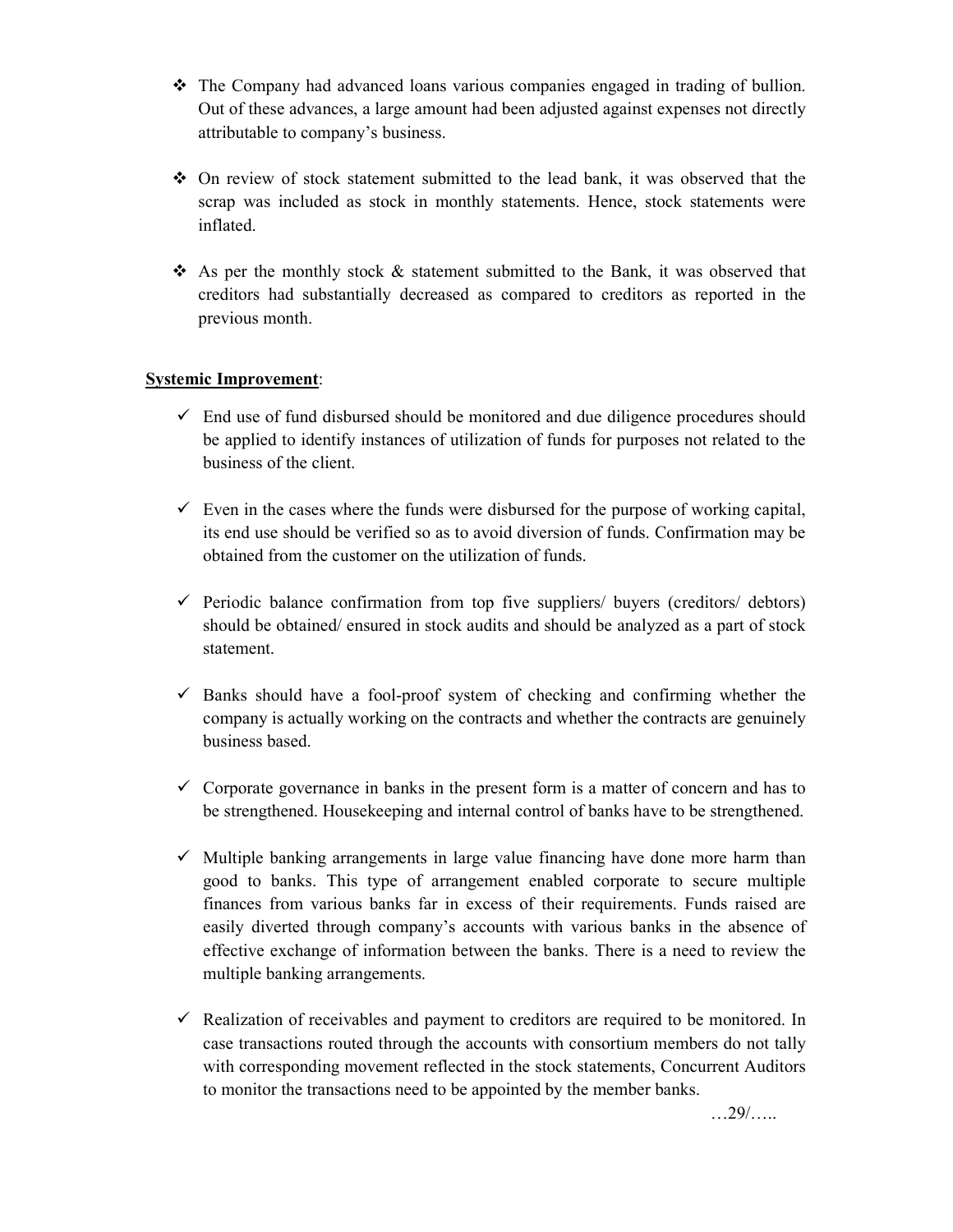- $\div$  The Company had advanced loans various companies engaged in trading of bullion. Out of these advances, a large amount had been adjusted against expenses not directly attributable to company's business.
- On review of stock statement submitted to the lead bank, it was observed that the scrap was included as stock in monthly statements. Hence, stock statements were inflated.
- As per the monthly stock  $\&$  statement submitted to the Bank, it was observed that creditors had substantially decreased as compared to creditors as reported in the previous month.

- $\checkmark$  End use of fund disbursed should be monitored and due diligence procedures should be applied to identify instances of utilization of funds for purposes not related to the business of the client.
- $\checkmark$  Even in the cases where the funds were disbursed for the purpose of working capital, its end use should be verified so as to avoid diversion of funds. Confirmation may be obtained from the customer on the utilization of funds.
- $\checkmark$  Periodic balance confirmation from top five suppliers/ buyers (creditors/ debtors) should be obtained/ ensured in stock audits and should be analyzed as a part of stock statement.
- $\checkmark$  Banks should have a fool-proof system of checking and confirming whether the company is actually working on the contracts and whether the contracts are genuinely business based.
- $\checkmark$  Corporate governance in banks in the present form is a matter of concern and has to be strengthened. Housekeeping and internal control of banks have to be strengthened.
- $\checkmark$  Multiple banking arrangements in large value financing have done more harm than good to banks. This type of arrangement enabled corporate to secure multiple finances from various banks far in excess of their requirements. Funds raised are easily diverted through company's accounts with various banks in the absence of effective exchange of information between the banks. There is a need to review the multiple banking arrangements.
- $\checkmark$  Realization of receivables and payment to creditors are required to be monitored. In case transactions routed through the accounts with consortium members do not tally with corresponding movement reflected in the stock statements, Concurrent Auditors to monitor the transactions need to be appointed by the member banks.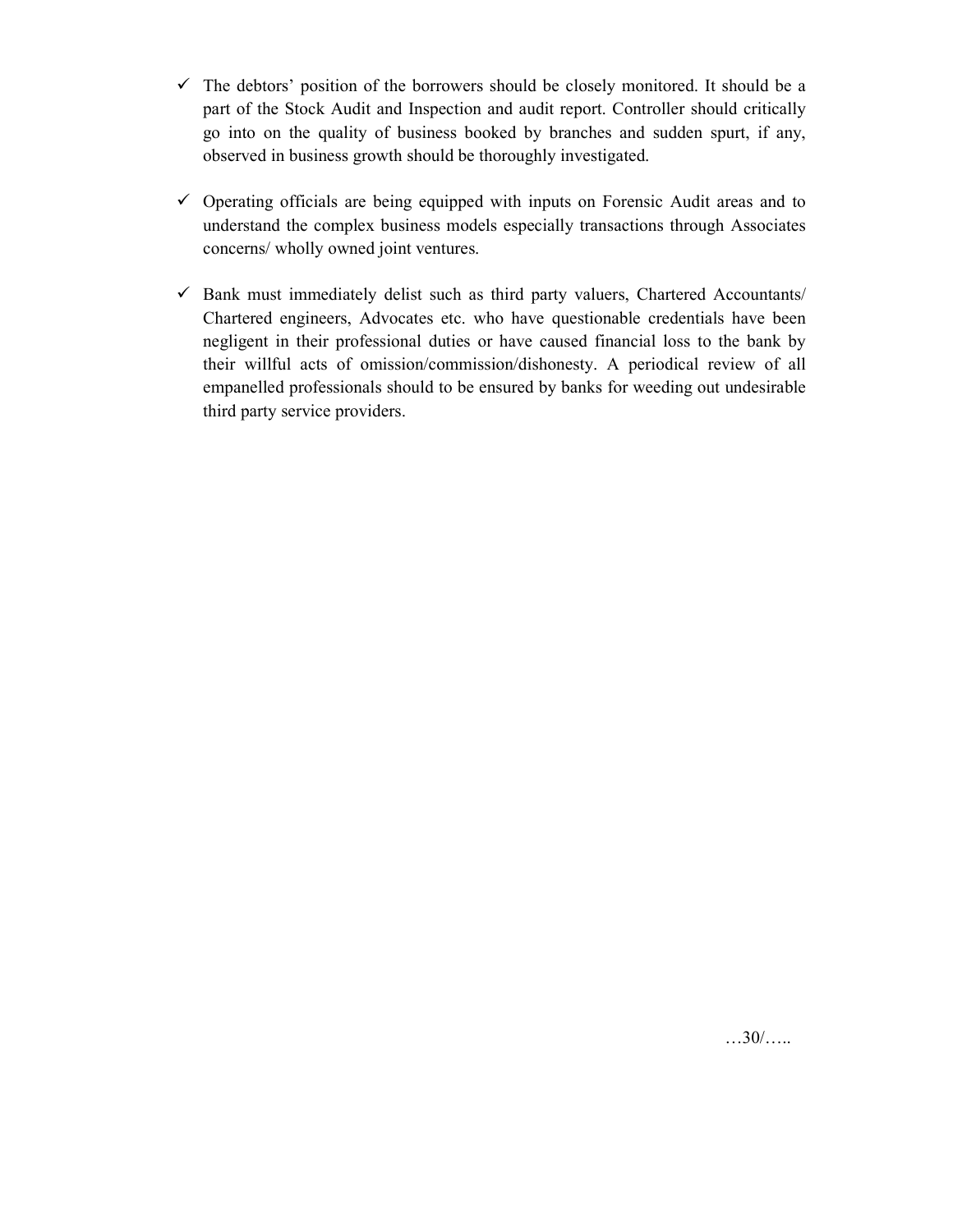- $\checkmark$  The debtors' position of the borrowers should be closely monitored. It should be a part of the Stock Audit and Inspection and audit report. Controller should critically go into on the quality of business booked by branches and sudden spurt, if any, observed in business growth should be thoroughly investigated.
- $\checkmark$  Operating officials are being equipped with inputs on Forensic Audit areas and to understand the complex business models especially transactions through Associates concerns/ wholly owned joint ventures.
- $\checkmark$  Bank must immediately delist such as third party valuers, Chartered Accountants/ Chartered engineers, Advocates etc. who have questionable credentials have been negligent in their professional duties or have caused financial loss to the bank by their willful acts of omission/commission/dishonesty. A periodical review of all empanelled professionals should to be ensured by banks for weeding out undesirable third party service providers.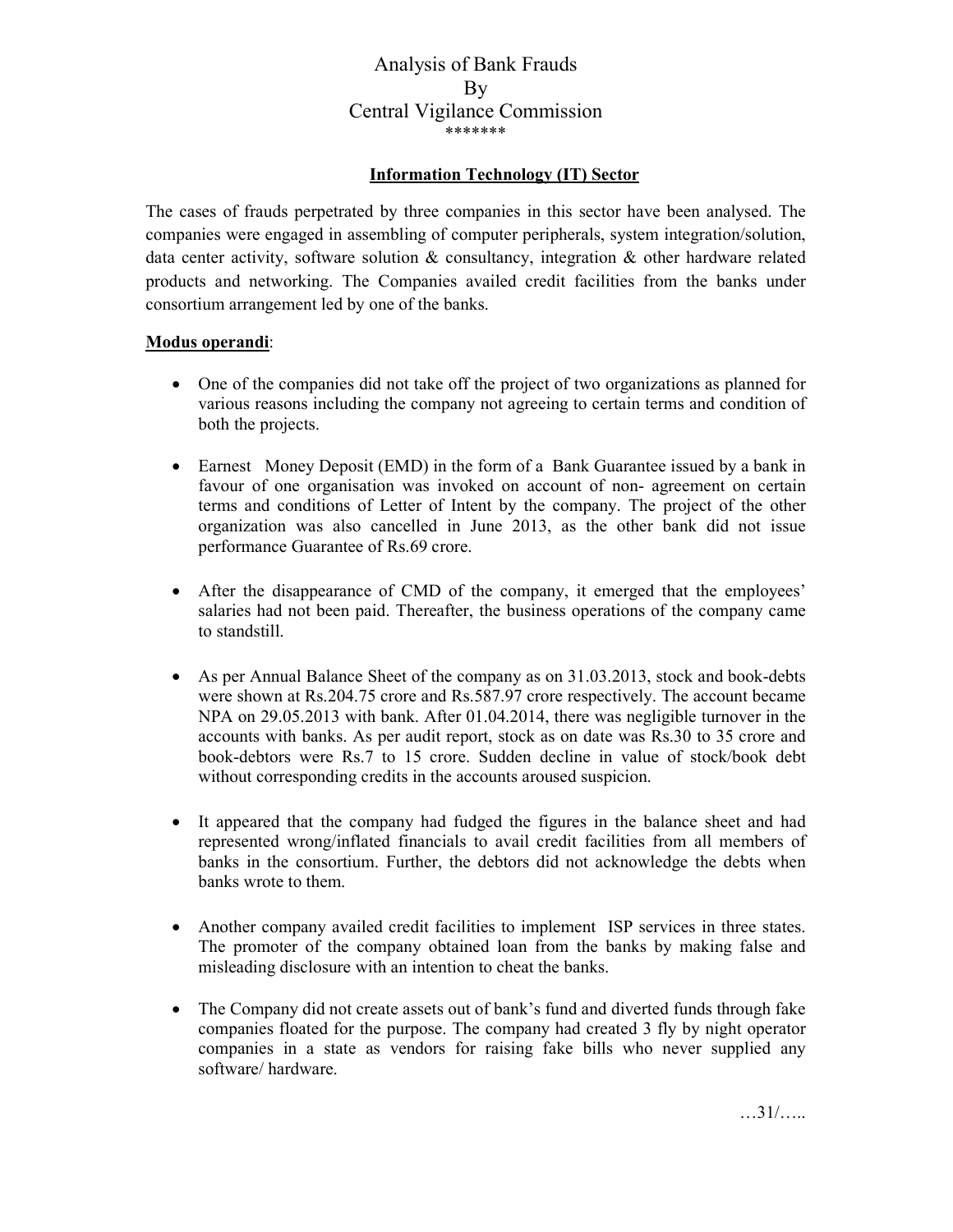#### **Information Technology (IT) Sector**

The cases of frauds perpetrated by three companies in this sector have been analysed. The companies were engaged in assembling of computer peripherals, system integration/solution, data center activity, software solution  $\&$  consultancy, integration  $\&$  other hardware related products and networking. The Companies availed credit facilities from the banks under consortium arrangement led by one of the banks.

#### **Modus operandi**:

- One of the companies did not take off the project of two organizations as planned for various reasons including the company not agreeing to certain terms and condition of both the projects.
- Earnest Money Deposit (EMD) in the form of a Bank Guarantee issued by a bank in favour of one organisation was invoked on account of non- agreement on certain terms and conditions of Letter of Intent by the company. The project of the other organization was also cancelled in June 2013, as the other bank did not issue performance Guarantee of Rs.69 crore.
- After the disappearance of CMD of the company, it emerged that the employees' salaries had not been paid. Thereafter, the business operations of the company came to standstill.
- As per Annual Balance Sheet of the company as on 31.03.2013, stock and book-debts were shown at Rs.204.75 crore and Rs.587.97 crore respectively. The account became NPA on 29.05.2013 with bank. After 01.04.2014, there was negligible turnover in the accounts with banks. As per audit report, stock as on date was Rs.30 to 35 crore and book-debtors were Rs.7 to 15 crore. Sudden decline in value of stock/book debt without corresponding credits in the accounts aroused suspicion.
- It appeared that the company had fudged the figures in the balance sheet and had represented wrong/inflated financials to avail credit facilities from all members of banks in the consortium. Further, the debtors did not acknowledge the debts when banks wrote to them.
- Another company availed credit facilities to implement ISP services in three states. The promoter of the company obtained loan from the banks by making false and misleading disclosure with an intention to cheat the banks.
- The Company did not create assets out of bank's fund and diverted funds through fake companies floated for the purpose. The company had created 3 fly by night operator companies in a state as vendors for raising fake bills who never supplied any software/ hardware.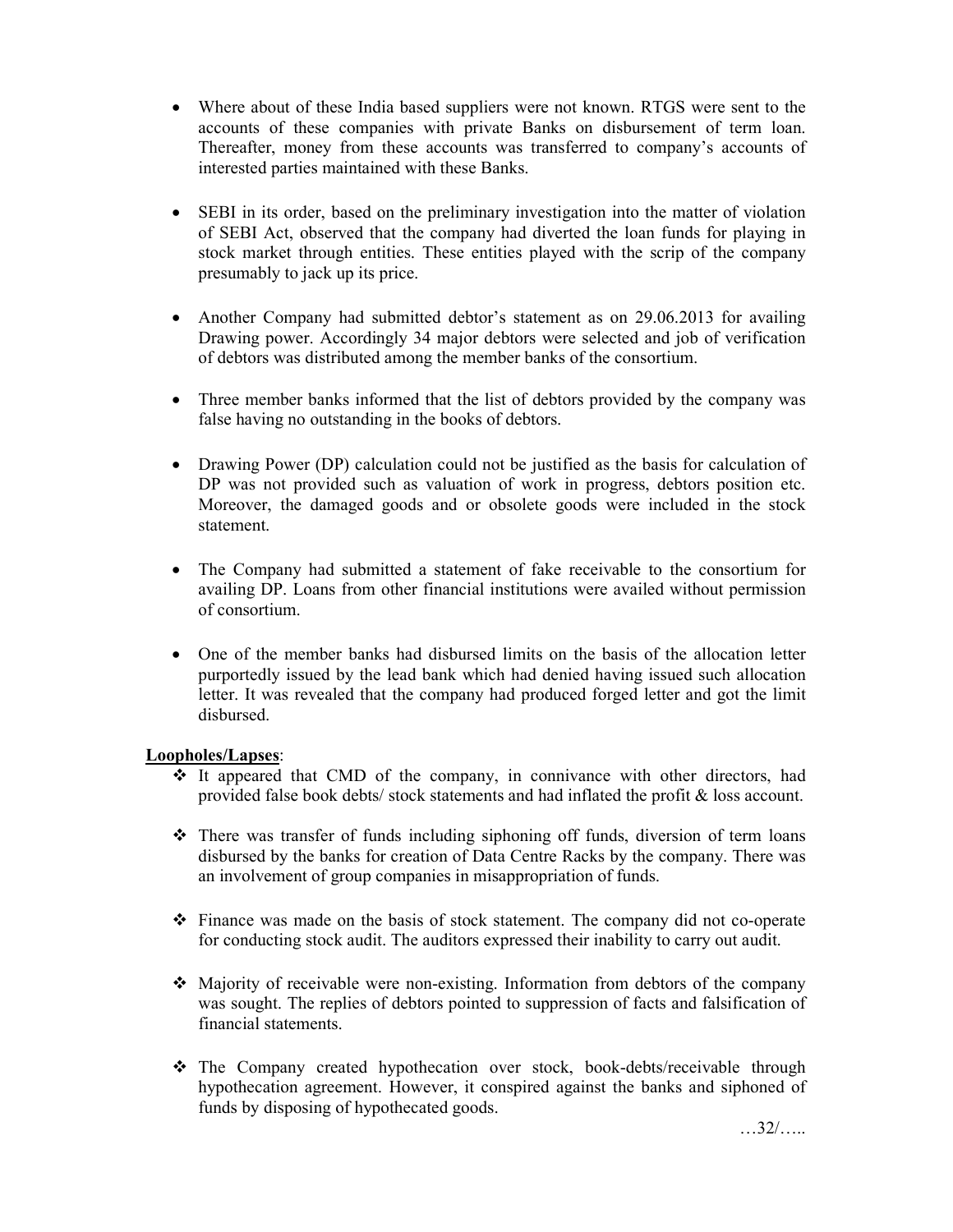- Where about of these India based suppliers were not known. RTGS were sent to the accounts of these companies with private Banks on disbursement of term loan. Thereafter, money from these accounts was transferred to company's accounts of interested parties maintained with these Banks.
- SEBI in its order, based on the preliminary investigation into the matter of violation of SEBI Act, observed that the company had diverted the loan funds for playing in stock market through entities. These entities played with the scrip of the company presumably to jack up its price.
- Another Company had submitted debtor's statement as on 29.06.2013 for availing Drawing power. Accordingly 34 major debtors were selected and job of verification of debtors was distributed among the member banks of the consortium.
- Three member banks informed that the list of debtors provided by the company was false having no outstanding in the books of debtors.
- Drawing Power (DP) calculation could not be justified as the basis for calculation of DP was not provided such as valuation of work in progress, debtors position etc. Moreover, the damaged goods and or obsolete goods were included in the stock statement.
- The Company had submitted a statement of fake receivable to the consortium for availing DP. Loans from other financial institutions were availed without permission of consortium.
- One of the member banks had disbursed limits on the basis of the allocation letter purportedly issued by the lead bank which had denied having issued such allocation letter. It was revealed that the company had produced forged letter and got the limit disbursed.

#### **Loopholes/Lapses**:

- $\div$  It appeared that CMD of the company, in connivance with other directors, had provided false book debts/ stock statements and had inflated the profit & loss account.
- There was transfer of funds including siphoning off funds, diversion of term loans disbursed by the banks for creation of Data Centre Racks by the company. There was an involvement of group companies in misappropriation of funds.
- $\div$  Finance was made on the basis of stock statement. The company did not co-operate for conducting stock audit. The auditors expressed their inability to carry out audit.
- Majority of receivable were non-existing. Information from debtors of the company was sought. The replies of debtors pointed to suppression of facts and falsification of financial statements.
- The Company created hypothecation over stock, book-debts/receivable through hypothecation agreement. However, it conspired against the banks and siphoned of funds by disposing of hypothecated goods.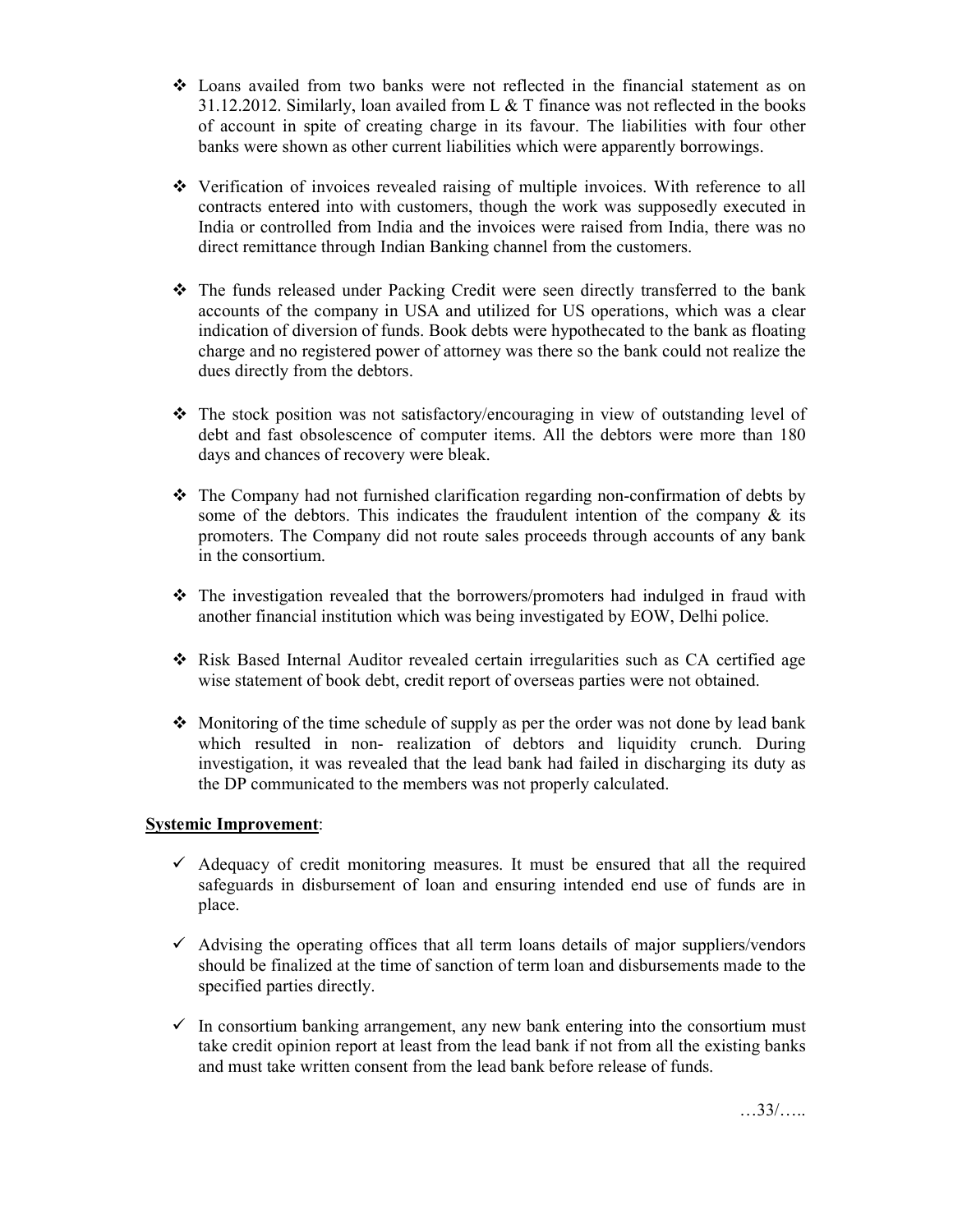- Loans availed from two banks were not reflected in the financial statement as on 31.12.2012. Similarly, loan availed from L & T finance was not reflected in the books of account in spite of creating charge in its favour. The liabilities with four other banks were shown as other current liabilities which were apparently borrowings.
- Verification of invoices revealed raising of multiple invoices. With reference to all contracts entered into with customers, though the work was supposedly executed in India or controlled from India and the invoices were raised from India, there was no direct remittance through Indian Banking channel from the customers.
- The funds released under Packing Credit were seen directly transferred to the bank accounts of the company in USA and utilized for US operations, which was a clear indication of diversion of funds. Book debts were hypothecated to the bank as floating charge and no registered power of attorney was there so the bank could not realize the dues directly from the debtors.
- $\div$  The stock position was not satisfactory/encouraging in view of outstanding level of debt and fast obsolescence of computer items. All the debtors were more than 180 days and chances of recovery were bleak.
- The Company had not furnished clarification regarding non-confirmation of debts by some of the debtors. This indicates the fraudulent intention of the company  $\&$  its promoters. The Company did not route sales proceeds through accounts of any bank in the consortium.
- The investigation revealed that the borrowers/promoters had indulged in fraud with another financial institution which was being investigated by EOW, Delhi police.
- \* Risk Based Internal Auditor revealed certain irregularities such as CA certified age wise statement of book debt, credit report of overseas parties were not obtained.
- Monitoring of the time schedule of supply as per the order was not done by lead bank which resulted in non- realization of debtors and liquidity crunch. During investigation, it was revealed that the lead bank had failed in discharging its duty as the DP communicated to the members was not properly calculated.

- $\checkmark$  Adequacy of credit monitoring measures. It must be ensured that all the required safeguards in disbursement of loan and ensuring intended end use of funds are in place.
- $\checkmark$  Advising the operating offices that all term loans details of major suppliers/vendors should be finalized at the time of sanction of term loan and disbursements made to the specified parties directly.
- $\checkmark$  In consortium banking arrangement, any new bank entering into the consortium must take credit opinion report at least from the lead bank if not from all the existing banks and must take written consent from the lead bank before release of funds.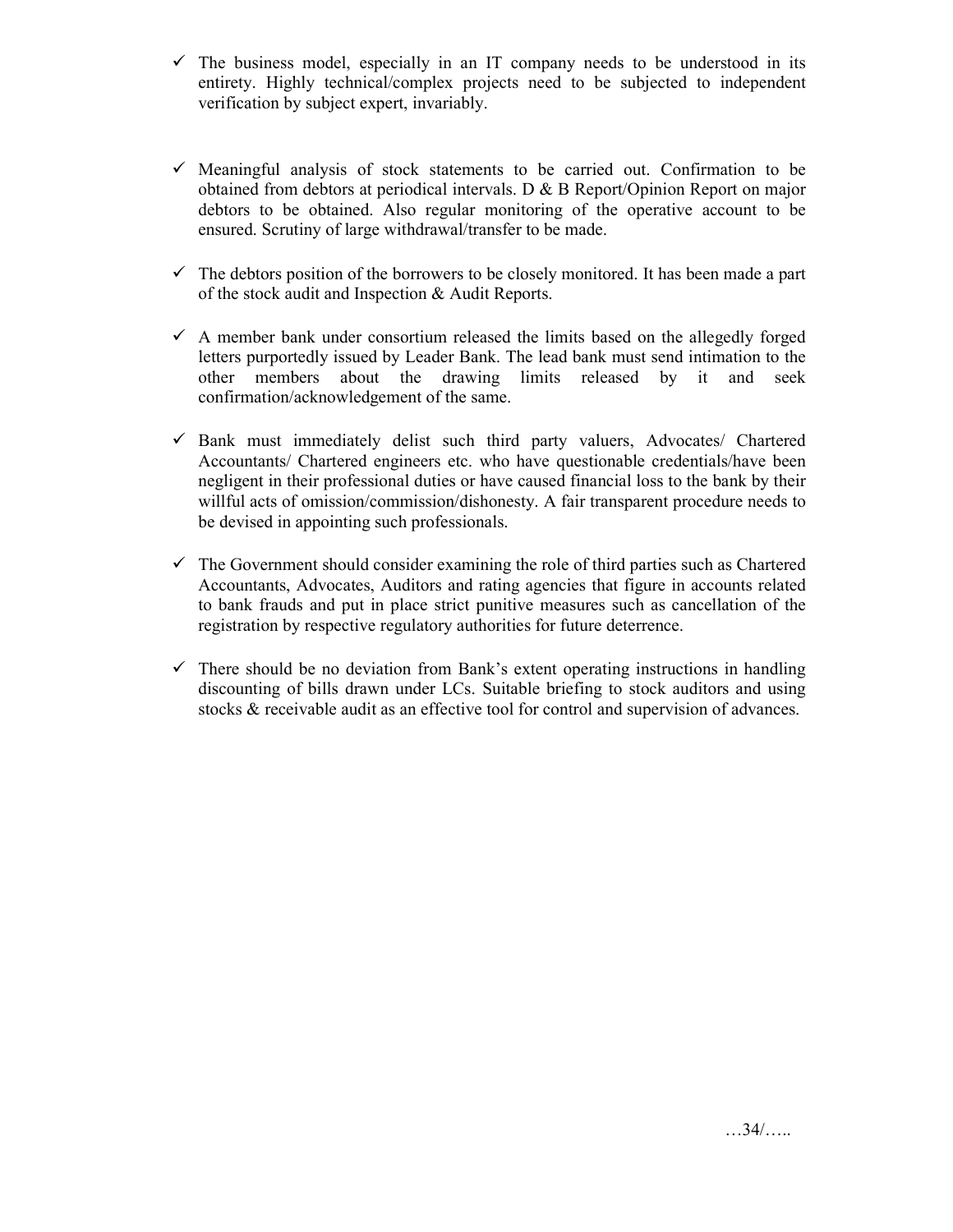- $\checkmark$  The business model, especially in an IT company needs to be understood in its entirety. Highly technical/complex projects need to be subjected to independent verification by subject expert, invariably.
- $\checkmark$  Meaningful analysis of stock statements to be carried out. Confirmation to be obtained from debtors at periodical intervals. D & B Report/Opinion Report on major debtors to be obtained. Also regular monitoring of the operative account to be ensured. Scrutiny of large withdrawal/transfer to be made.
- $\checkmark$  The debtors position of the borrowers to be closely monitored. It has been made a part of the stock audit and Inspection & Audit Reports.
- $\checkmark$  A member bank under consortium released the limits based on the allegedly forged letters purportedly issued by Leader Bank. The lead bank must send intimation to the other members about the drawing limits released by it and seek confirmation/acknowledgement of the same.
- $\checkmark$  Bank must immediately delist such third party valuers, Advocates/ Chartered Accountants/ Chartered engineers etc. who have questionable credentials/have been negligent in their professional duties or have caused financial loss to the bank by their willful acts of omission/commission/dishonesty. A fair transparent procedure needs to be devised in appointing such professionals.
- $\checkmark$  The Government should consider examining the role of third parties such as Chartered Accountants, Advocates, Auditors and rating agencies that figure in accounts related to bank frauds and put in place strict punitive measures such as cancellation of the registration by respective regulatory authorities for future deterrence.
- $\checkmark$  There should be no deviation from Bank's extent operating instructions in handling discounting of bills drawn under LCs. Suitable briefing to stock auditors and using stocks & receivable audit as an effective tool for control and supervision of advances.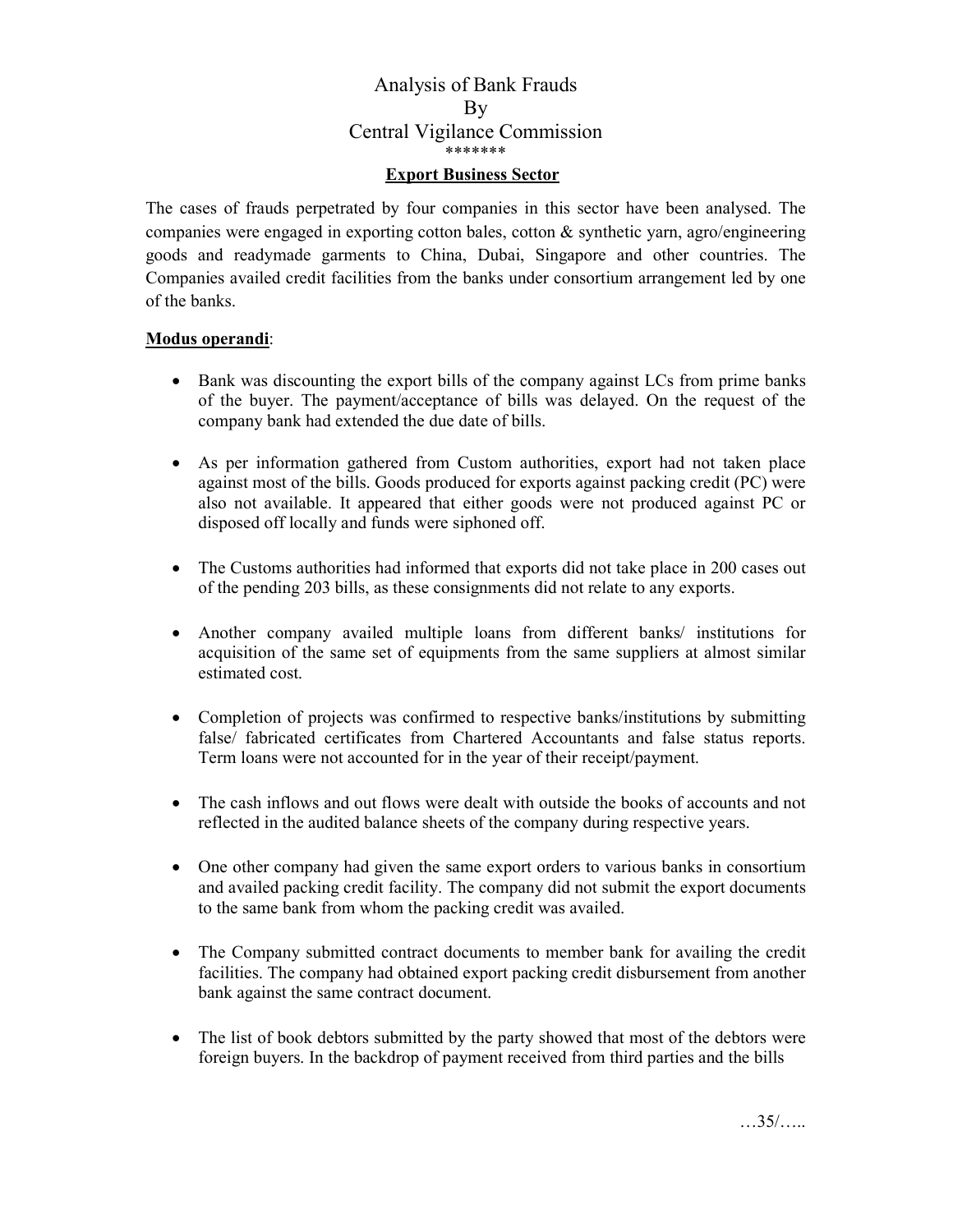### **Export Business Sector**

The cases of frauds perpetrated by four companies in this sector have been analysed. The companies were engaged in exporting cotton bales, cotton & synthetic yarn, agro/engineering goods and readymade garments to China, Dubai, Singapore and other countries. The Companies availed credit facilities from the banks under consortium arrangement led by one of the banks.

### **Modus operandi**:

- Bank was discounting the export bills of the company against LCs from prime banks of the buyer. The payment/acceptance of bills was delayed. On the request of the company bank had extended the due date of bills.
- As per information gathered from Custom authorities, export had not taken place against most of the bills. Goods produced for exports against packing credit (PC) were also not available. It appeared that either goods were not produced against PC or disposed off locally and funds were siphoned off.
- The Customs authorities had informed that exports did not take place in 200 cases out of the pending 203 bills, as these consignments did not relate to any exports.
- Another company availed multiple loans from different banks/ institutions for acquisition of the same set of equipments from the same suppliers at almost similar estimated cost.
- Completion of projects was confirmed to respective banks/institutions by submitting false/ fabricated certificates from Chartered Accountants and false status reports. Term loans were not accounted for in the year of their receipt/payment.
- The cash inflows and out flows were dealt with outside the books of accounts and not reflected in the audited balance sheets of the company during respective years.
- One other company had given the same export orders to various banks in consortium and availed packing credit facility. The company did not submit the export documents to the same bank from whom the packing credit was availed.
- The Company submitted contract documents to member bank for availing the credit facilities. The company had obtained export packing credit disbursement from another bank against the same contract document.
- The list of book debtors submitted by the party showed that most of the debtors were foreign buyers. In the backdrop of payment received from third parties and the bills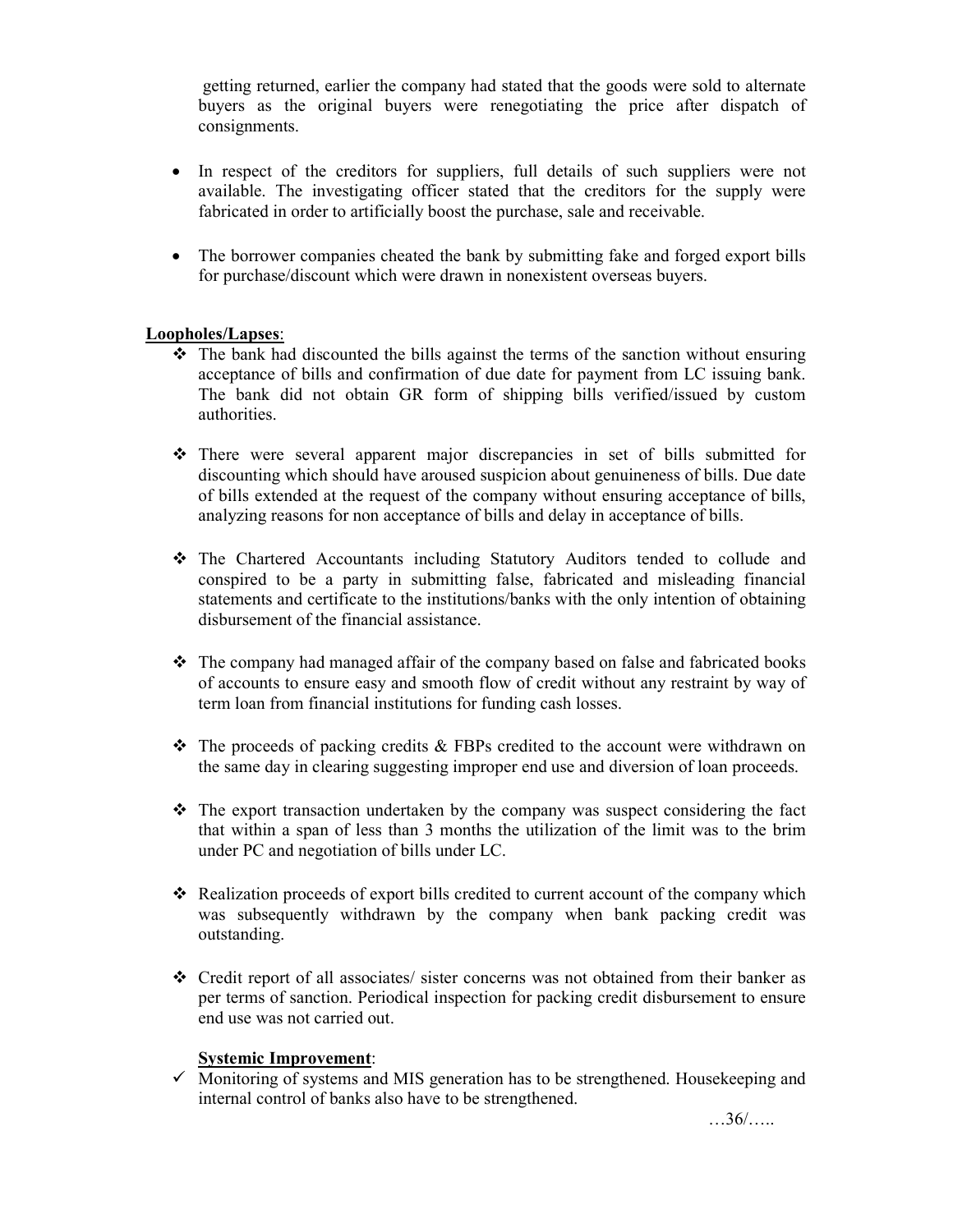getting returned, earlier the company had stated that the goods were sold to alternate buyers as the original buyers were renegotiating the price after dispatch of consignments.

- In respect of the creditors for suppliers, full details of such suppliers were not available. The investigating officer stated that the creditors for the supply were fabricated in order to artificially boost the purchase, sale and receivable.
- The borrower companies cheated the bank by submitting fake and forged export bills for purchase/discount which were drawn in nonexistent overseas buyers.

### **Loopholes/Lapses**:

- $\div$  The bank had discounted the bills against the terms of the sanction without ensuring acceptance of bills and confirmation of due date for payment from LC issuing bank. The bank did not obtain GR form of shipping bills verified/issued by custom authorities.
- There were several apparent major discrepancies in set of bills submitted for discounting which should have aroused suspicion about genuineness of bills. Due date of bills extended at the request of the company without ensuring acceptance of bills, analyzing reasons for non acceptance of bills and delay in acceptance of bills.
- The Chartered Accountants including Statutory Auditors tended to collude and conspired to be a party in submitting false, fabricated and misleading financial statements and certificate to the institutions/banks with the only intention of obtaining disbursement of the financial assistance.
- $\div$  The company had managed affair of the company based on false and fabricated books of accounts to ensure easy and smooth flow of credit without any restraint by way of term loan from financial institutions for funding cash losses.
- $\div$  The proceeds of packing credits & FBPs credited to the account were withdrawn on the same day in clearing suggesting improper end use and diversion of loan proceeds.
- $\div$  The export transaction undertaken by the company was suspect considering the fact that within a span of less than 3 months the utilization of the limit was to the brim under PC and negotiation of bills under LC.
- Realization proceeds of export bills credited to current account of the company which was subsequently withdrawn by the company when bank packing credit was outstanding.
- Credit report of all associates/ sister concerns was not obtained from their banker as per terms of sanction. Periodical inspection for packing credit disbursement to ensure end use was not carried out.

#### **Systemic Improvement**:

 $\checkmark$  Monitoring of systems and MIS generation has to be strengthened. House keeping and internal control of banks also have to be strengthened.

…36/…..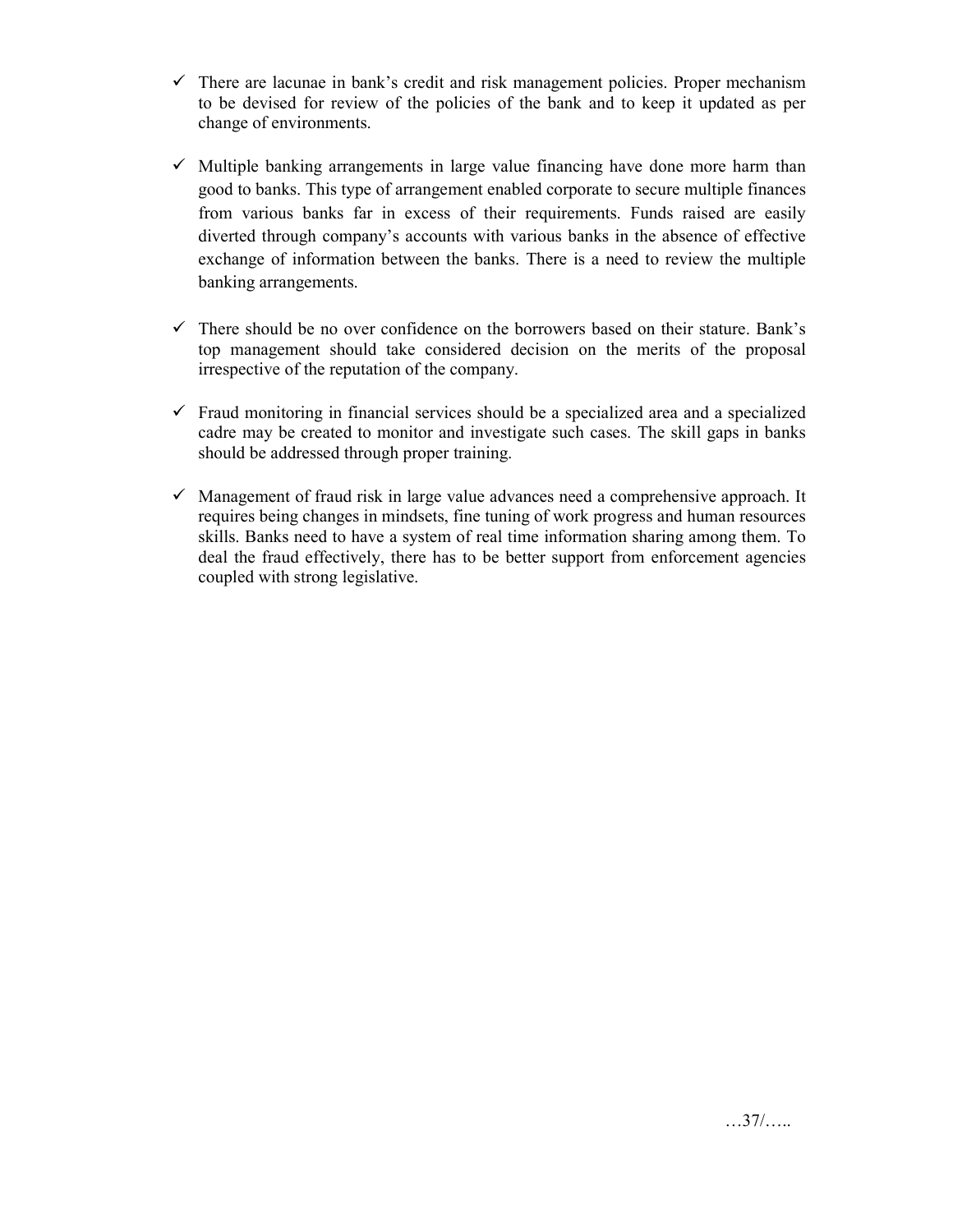- $\checkmark$  There are lacunae in bank's credit and risk management policies. Proper mechanism to be devised for review of the policies of the bank and to keep it updated as per change of environments.
- $\checkmark$  Multiple banking arrangements in large value financing have done more harm than good to banks. This type of arrangement enabled corporate to secure multiple finances from various banks far in excess of their requirements. Funds raised are easily diverted through company's accounts with various banks in the absence of effective exchange of information between the banks. There is a need to review the multiple banking arrangements.
- $\checkmark$  There should be no over confidence on the borrowers based on their stature. Bank's top management should take considered decision on the merits of the proposal irrespective of the reputation of the company.
- $\checkmark$  Fraud monitoring in financial services should be a specialized area and a specialized cadre may be created to monitor and investigate such cases. The skill gaps in banks should be addressed through proper training.
- $\checkmark$  Management of fraud risk in large value advances need a comprehensive approach. It requires being changes in mindsets, fine tuning of work progress and human resources skills. Banks need to have a system of real time information sharing among them. To deal the fraud effectively, there has to be better support from enforcement agencies coupled with strong legislative.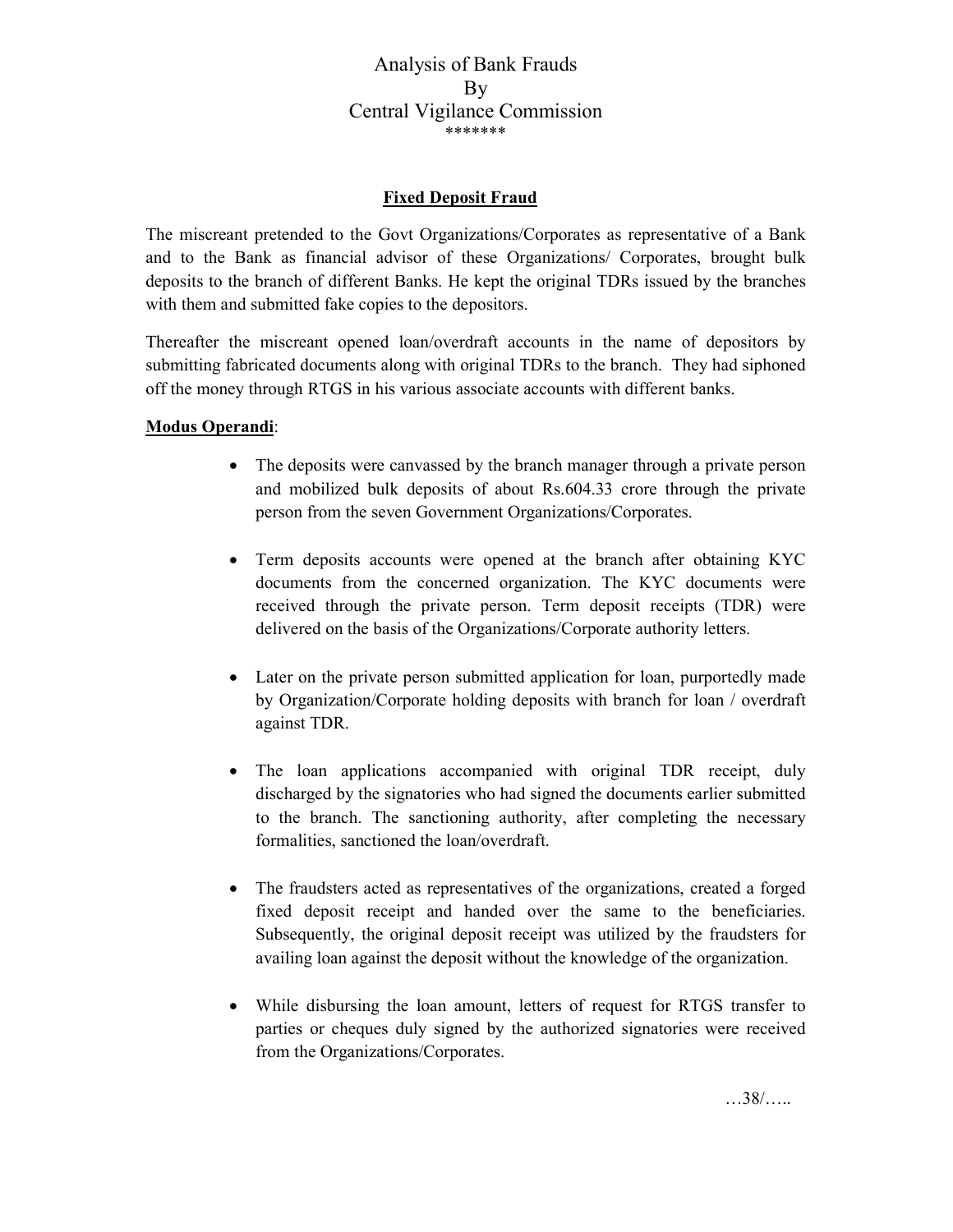### **Fixed Deposit Fraud**

The miscreant pretended to the Govt Organizations/Corporates as representative of a Bank and to the Bank as financial advisor of these Organizations/ Corporates, brought bulk deposits to the branch of different Banks. He kept the original TDRs issued by the branches with them and submitted fake copies to the depositors.

Thereafter the miscreant opened loan/overdraft accounts in the name of depositors by submitting fabricated documents along with original TDRs to the branch. They had siphoned off the money through RTGS in his various associate accounts with different banks.

#### **Modus Operandi**:

- The deposits were canvassed by the branch manager through a private person and mobilized bulk deposits of about Rs.604.33 crore through the private person from the seven Government Organizations/Corporates.
- Term deposits accounts were opened at the branch after obtaining KYC documents from the concerned organization. The KYC documents were received through the private person. Term deposit receipts (TDR) were delivered on the basis of the Organizations/Corporate authority letters.
- Later on the private person submitted application for loan, purportedly made by Organization/Corporate holding deposits with branch for loan / overdraft against TDR.
- The loan applications accompanied with original TDR receipt, duly discharged by the signatories who had signed the documents earlier submitted to the branch. The sanctioning authority, after completing the necessary formalities, sanctioned the loan/overdraft.
- The fraudsters acted as representatives of the organizations, created a forged fixed deposit receipt and handed over the same to the beneficiaries. Subsequently, the original deposit receipt was utilized by the fraudsters for availing loan against the deposit without the knowledge of the organization.
- While disbursing the loan amount, letters of request for RTGS transfer to parties or cheques duly signed by the authorized signatories were received from the Organizations/Corporates.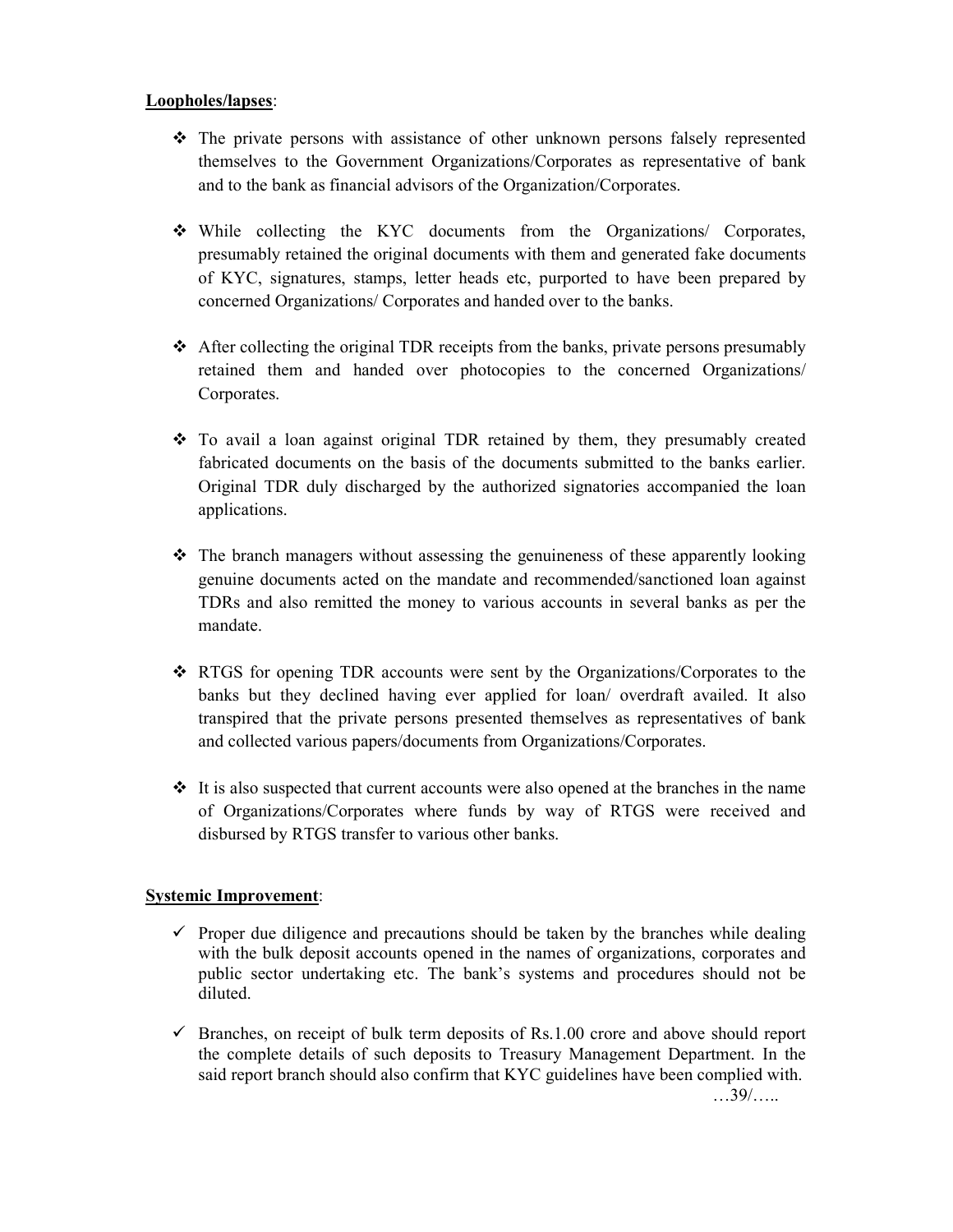#### **Loopholes/lapses**:

- The private persons with assistance of other unknown persons falsely represented themselves to the Government Organizations/Corporates as representative of bank and to the bank as financial advisors of the Organization/Corporates.
- While collecting the KYC documents from the Organizations/ Corporates, presumably retained the original documents with them and generated fake documents of KYC, signatures, stamps, letter heads etc, purported to have been prepared by concerned Organizations/ Corporates and handed over to the banks.
- After collecting the original TDR receipts from the banks, private persons presumably retained them and handed over photocopies to the concerned Organizations/ Corporates.
- To avail a loan against original TDR retained by them, they presumably created fabricated documents on the basis of the documents submitted to the banks earlier. Original TDR duly discharged by the authorized signatories accompanied the loan applications.
- $\cdot \cdot$  The branch managers without assessing the genuineness of these apparently looking genuine documents acted on the mandate and recommended/sanctioned loan against TDRs and also remitted the money to various accounts in several banks as per the mandate.
- RTGS for opening TDR accounts were sent by the Organizations/Corporates to the banks but they declined having ever applied for loan/ overdraft availed. It also transpired that the private persons presented themselves as representatives of bank and collected various papers/documents from Organizations/Corporates.
- $\cdot \cdot$  It is also suspected that current accounts were also opened at the branches in the name of Organizations/Corporates where funds by way of RTGS were received and disbursed by RTGS transfer to various other banks.

- $\checkmark$  Proper due diligence and precautions should be taken by the branches while dealing with the bulk deposit accounts opened in the names of organizations, corporates and public sector undertaking etc. The bank's systems and procedures should not be diluted.
- $\checkmark$  Branches, on receipt of bulk term deposits of Rs.1.00 crore and above should report the complete details of such deposits to Treasury Management Department. In the said report branch should also confirm that KYC guidelines have been complied with.  $\dots$ 39/ $\dots$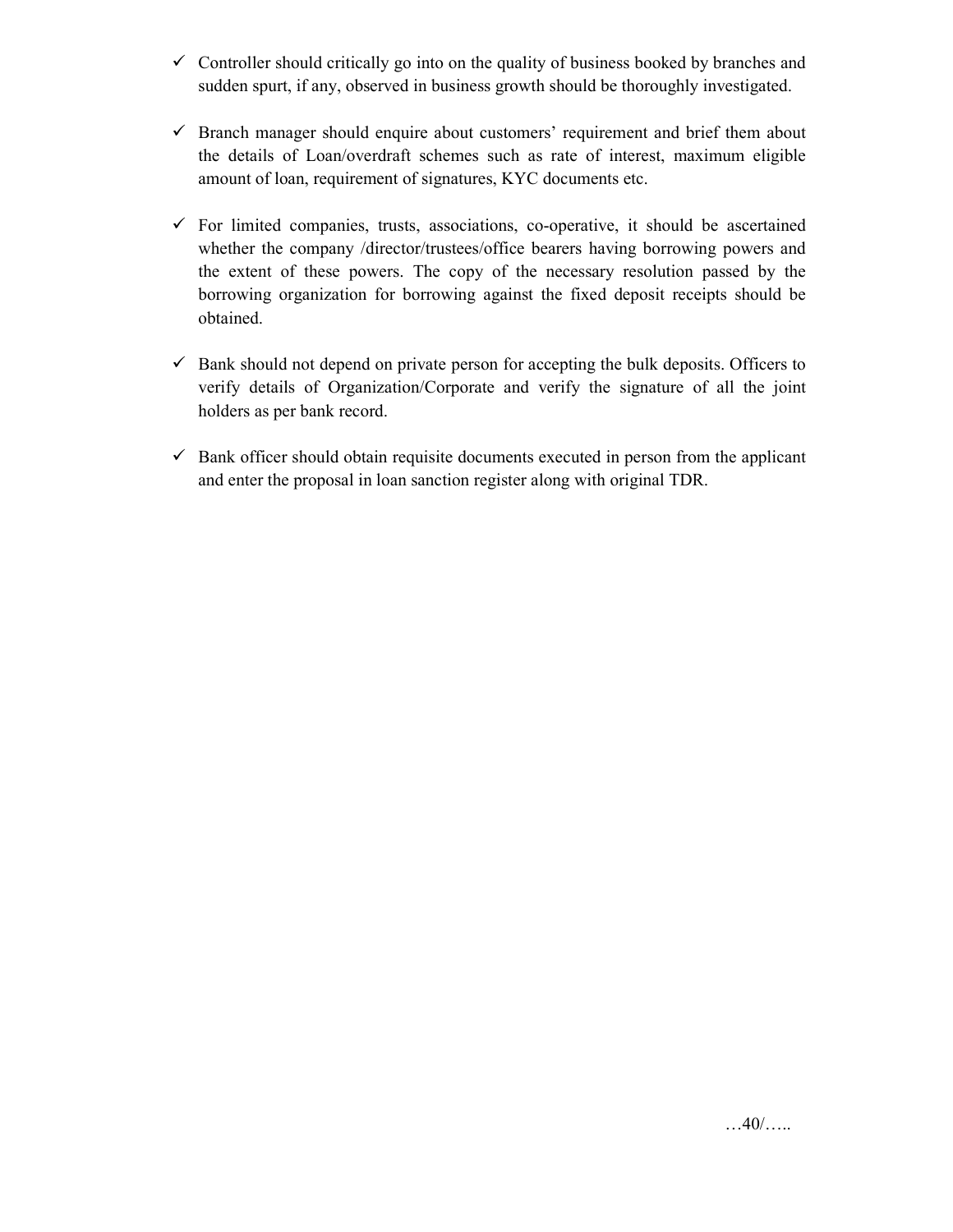- $\checkmark$  Controller should critically go into on the quality of business booked by branches and sudden spurt, if any, observed in business growth should be thoroughly investigated.
- $\checkmark$  Branch manager should enquire about customers' requirement and brief them about the details of Loan/overdraft schemes such as rate of interest, maximum eligible amount of loan, requirement of signatures, KYC documents etc.
- $\checkmark$  For limited companies, trusts, associations, co-operative, it should be ascertained whether the company /director/trustees/office bearers having borrowing powers and the extent of these powers. The copy of the necessary resolution passed by the borrowing organization for borrowing against the fixed deposit receipts should be obtained.
- $\checkmark$  Bank should not depend on private person for accepting the bulk deposits. Officers to verify details of Organization/Corporate and verify the signature of all the joint holders as per bank record.
- $\checkmark$  Bank officer should obtain requisite documents executed in person from the applicant and enter the proposal in loan sanction register along with original TDR.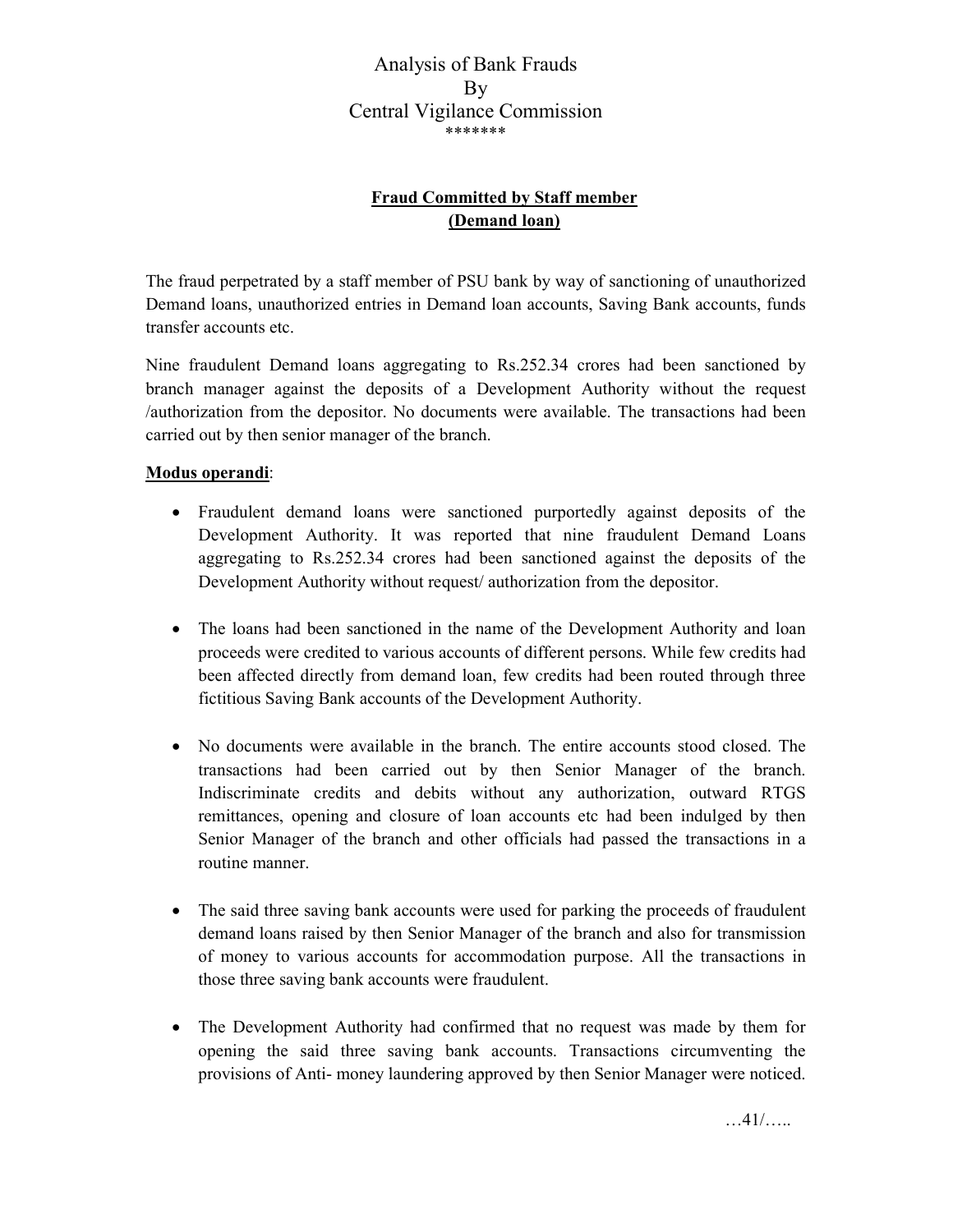# **Fraud Committed by Staff member (Demand loan)**

The fraud perpetrated by a staff member of PSU bank by way of sanctioning of unauthorized Demand loans, unauthorized entries in Demand loan accounts, Saving Bank accounts, funds transfer accounts etc.

Nine fraudulent Demand loans aggregating to Rs.252.34 crores had been sanctioned by branch manager against the deposits of a Development Authority without the request /authorization from the depositor. No documents were available. The transactions had been carried out by then senior manager of the branch.

### **Modus operandi**:

- Fraudulent demand loans were sanctioned purportedly against deposits of the Development Authority. It was reported that nine fraudulent Demand Loans aggregating to Rs.252.34 crores had been sanctioned against the deposits of the Development Authority without request/ authorization from the depositor.
- The loans had been sanctioned in the name of the Development Authority and loan proceeds were credited to various accounts of different persons. While few credits had been affected directly from demand loan, few credits had been routed through three fictitious Saving Bank accounts of the Development Authority.
- No documents were available in the branch. The entire accounts stood closed. The transactions had been carried out by then Senior Manager of the branch. Indiscriminate credits and debits without any authorization, outward RTGS remittances, opening and closure of loan accounts etc had been indulged by then Senior Manager of the branch and other officials had passed the transactions in a routine manner.
- The said three saving bank accounts were used for parking the proceeds of fraudulent demand loans raised by then Senior Manager of the branch and also for transmission of money to various accounts for accommodation purpose. All the transactions in those three saving bank accounts were fraudulent.
- The Development Authority had confirmed that no request was made by them for opening the said three saving bank accounts. Transactions circumventing the provisions of Anti- money laundering approved by then Senior Manager were noticed.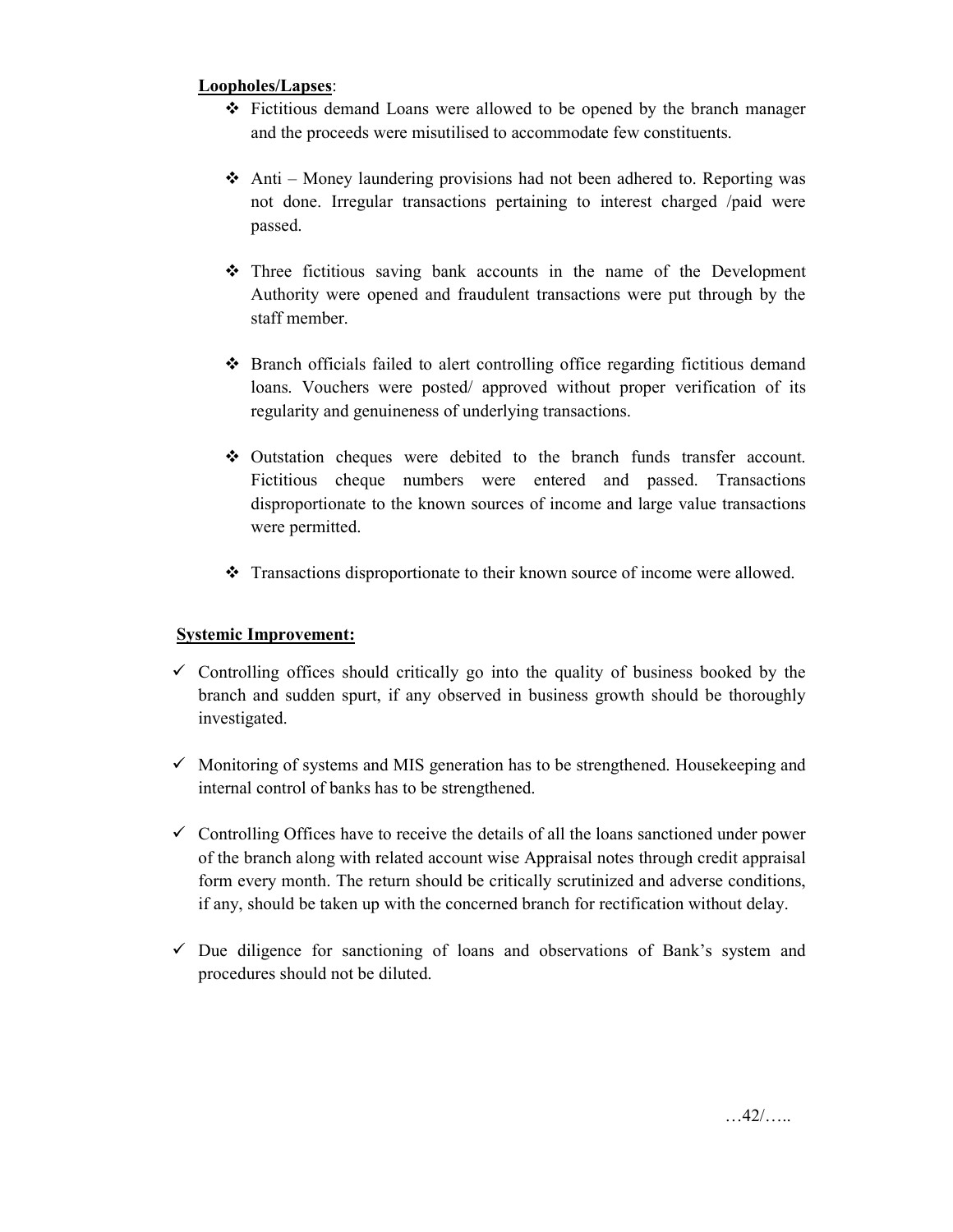### **Loopholes/Lapses**:

- Fictitious demand Loans were allowed to be opened by the branch manager and the proceeds were misutilised to accommodate few constituents.
- $\triangleleft$  Anti Money laundering provisions had not been adhered to. Reporting was not done. Irregular transactions pertaining to interest charged /paid were passed.
- $\div$  Three fictitious saving bank accounts in the name of the Development Authority were opened and fraudulent transactions were put through by the staff member.
- Branch officials failed to alert controlling office regarding fictitious demand loans. Vouchers were posted/ approved without proper verification of its regularity and genuineness of underlying transactions.
- Outstation cheques were debited to the branch funds transfer account. Fictitious cheque numbers were entered and passed. Transactions disproportionate to the known sources of income and large value transactions were permitted.
- \* Transactions disproportionate to their known source of income were allowed.

- $\checkmark$  Controlling offices should critically go into the quality of business booked by the branch and sudden spurt, if any observed in business growth should be thoroughly investigated.
- $\checkmark$  Monitoring of systems and MIS generation has to be strengthened. Housekeeping and internal control of banks has to be strengthened.
- $\checkmark$  Controlling Offices have to receive the details of all the loans sanctioned under power of the branch along with related account wise Appraisal notes through credit appraisal form every month. The return should be critically scrutinized and adverse conditions, if any, should be taken up with the concerned branch for rectification without delay.
- $\checkmark$  Due diligence for sanctioning of loans and observations of Bank's system and procedures should not be diluted.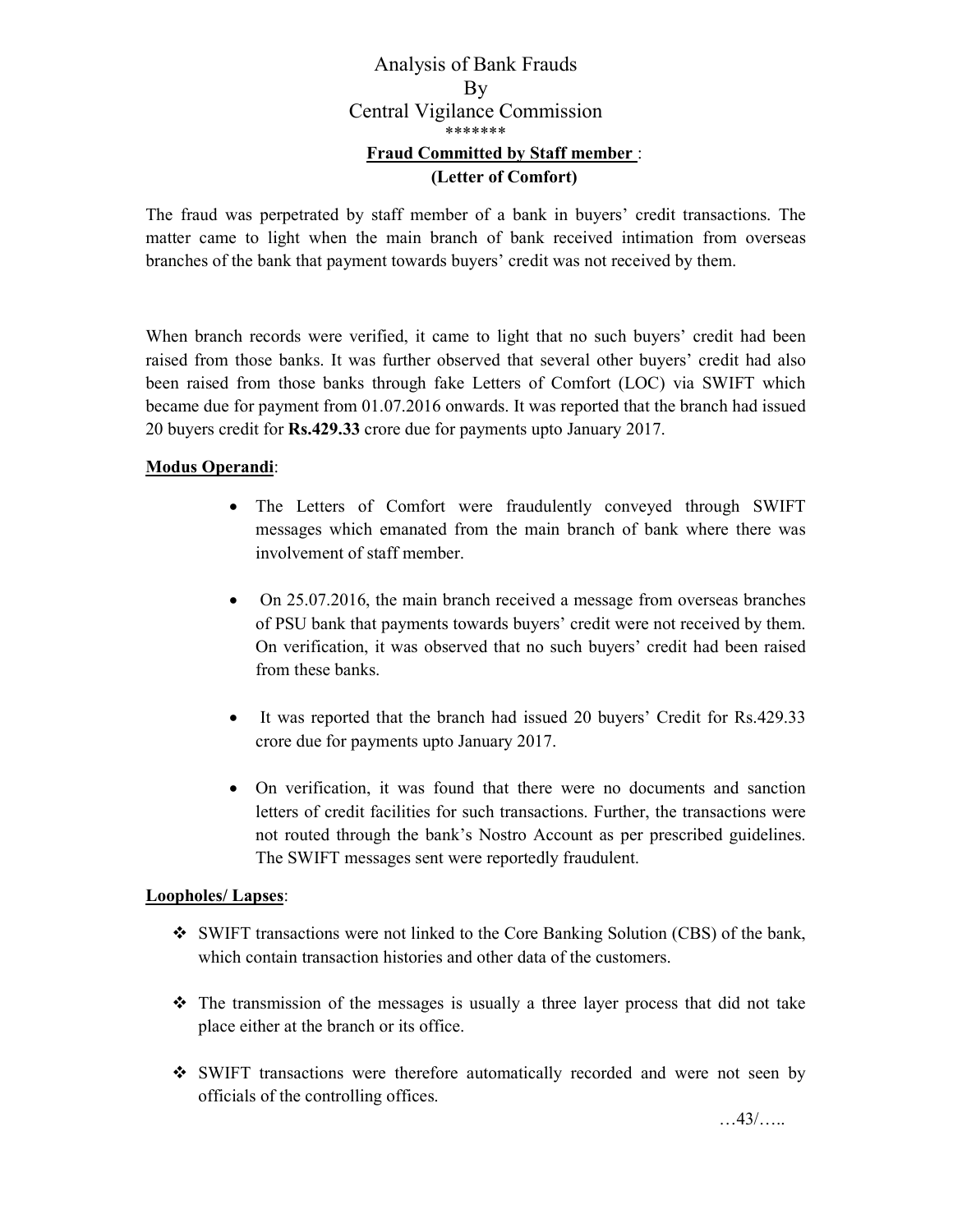# Analysis of Bank Frauds By Central Vigilance Commission \*\*\*\*\*\*\* **Fraud Committed by Staff member** : **(Letter of Comfort)**

The fraud was perpetrated by staff member of a bank in buyers' credit transactions. The matter came to light when the main branch of bank received intimation from overseas branches of the bank that payment towards buyers' credit was not received by them.

When branch records were verified, it came to light that no such buyers' credit had been raised from those banks. It was further observed that several other buyers' credit had also been raised from those banks through fake Letters of Comfort (LOC) via SWIFT which became due for payment from 01.07.2016 onwards. It was reported that the branch had issued 20 buyers credit for **Rs.429.33** crore due for payments upto January 2017.

### **Modus Operandi**:

- The Letters of Comfort were fraudulently conveyed through SWIFT messages which emanated from the main branch of bank where there was involvement of staff member.
- On 25.07.2016, the main branch received a message from overseas branches of PSU bank that payments towards buyers' credit were not received by them. On verification, it was observed that no such buyers' credit had been raised from these banks.
- It was reported that the branch had issued 20 buyers' Credit for Rs.429.33 crore due for payments upto January 2017.
- On verification, it was found that there were no documents and sanction letters of credit facilities for such transactions. Further, the transactions were not routed through the bank's Nostro Account as per prescribed guidelines. The SWIFT messages sent were reportedly fraudulent.

#### **Loopholes/ Lapses**:

- SWIFT transactions were not linked to the Core Banking Solution (CBS) of the bank, which contain transaction histories and other data of the customers.
- $\div$  The transmission of the messages is usually a three layer process that did not take place either at the branch or its office.
- SWIFT transactions were therefore automatically recorded and were not seen by officials of the controlling offices.

…43/…..